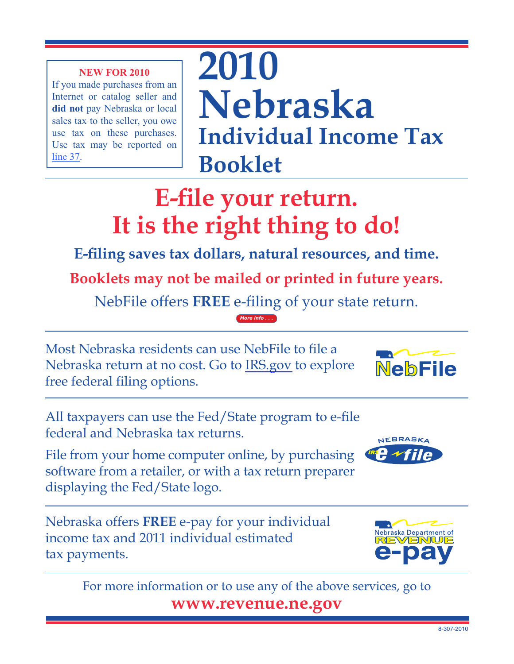If you made purchases from an Internet or catalog seller and **did not** pay Nebraska or local sales tax to the seller, you owe use tax on these purchases. Use tax may be reported on [line](#page-9-0) 37.

**2010 Nebraska Individual Income Tax Booklet**

# **E-file your return. It is the right thing to do!**

**E-filing saves tax dollars, natural resources, and time.**

**Booklets may not be mailed or printed in future years.**

NebFile offers **FREE** e-filing of your state return. *[More info](http://www.revenue.ne.gov/tax/current/2010_indiv_bklt/advantage.html) . . .*

Most Nebraska residents can use NebFile to file a Nebraska return at no cost. Go to [IRS.gov](www.irs.gov) to explore free federal filing options.

All taxpayers can use the Fed/State program to e-file federal and Nebraska tax returns.

File from your home computer online, by purchasing software from a retailer, or with a tax return preparer displaying the Fed/State logo.

Nebraska offers **FREE** e-pay for your individual income tax and 2011 individual estimated tax payments.



For more information or to use any of the above services, go to **www.revenue.ne.gov** 



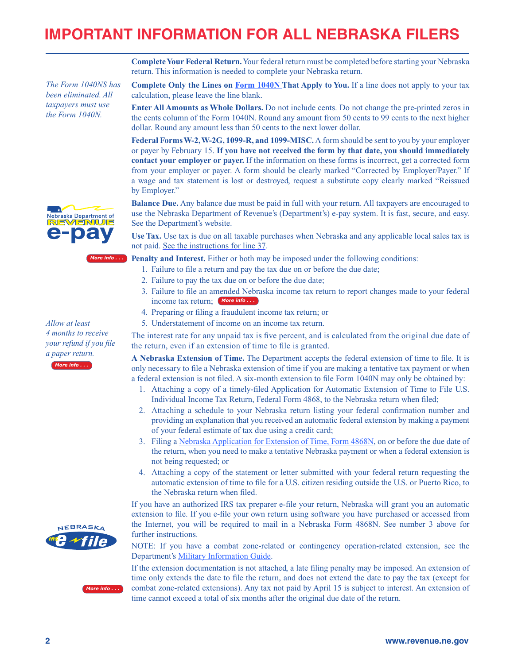# **IMPORTANT INFORMATION FOR ALL NEBRASKA FILERS**

calculation, please leave the line blank.

**Complete Your Federal Return.** Your federal return must be completed before starting your Nebraska return. This information is needed to complete your Nebraska return.

*The Form 1040NS has been eliminated. All taxpayers must use the Form 1040N.*



*Allow at least 4 months to receive your refund if you file a paper return. [More info](http://www.revenue.ne.gov/tax/current/2010_indiv_bklt/filing_tips.html) . . .*



**Complete Only the Lines on [Form 1040N](#page-12-0) That Apply to You.** If a line does not apply to your tax

**Enter All Amounts as Whole Dollars.** Do not include cents. Do not change the pre-printed zeros in the cents column of the Form 1040N. Round any amount from 50 cents to 99 cents to the next higher dollar. Round any amount less than 50 cents to the next lower dollar.

Federal Forms W-2, W-2G, 1099-R, and 1099-MISC. A form should be sent to you by your employer or payer by February 15. **If you have not received the form by that date, you should immediately contact your employer or payer.** If the information on these forms is incorrect, get a corrected form from your employer or payer. A form should be clearly marked "Corrected by Employer/Payer." If a wage and tax statement is lost or destroyed, request a substitute copy clearly marked "Reissued by Employer."

**Balance Due.** Any balance due must be paid in full with your return. All taxpayers are encouraged to use the Nebraska Department of Revenue's (Department's) e-pay system. It is fast, secure, and easy. See the Department's website.

**Use Tax.** Use tax is due on all taxable purchases when Nebraska and any applicable local sales tax is not paid. [See the instructions for line 37](#page-9-0).

**Penalty and Interest.** Either or both may be imposed under the following conditions: *[More info](http://www.revenue.ne.gov/tax/current/2010_indiv_bklt/penalty.html) . . .*

- 1. Failure to file a return and pay the tax due on or before the due date;
- 2. Failure to pay the tax due on or before the due date;
- 3. Failure to file an amended Nebraska income tax return to report changes made to your federal income tax return; *[More info](http://www.revenue.ne.gov/tax/current/2010_indiv_bklt/amended.html) . . .*
- 4. Preparing or filing a fraudulent income tax return; or
- 5. Understatement of income on an income tax return.

The interest rate for any unpaid tax is five percent, and is calculated from the original due date of the return, even if an extension of time to file is granted.

**A Nebraska Extension of Time.** The Department accepts the federal extension of time to file. It is only necessary to file a Nebraska extension of time if you are making a tentative tax payment or when a federal extension is not filed. A six-month extension to file Form 1040N may only be obtained by:

- 1. Attaching a copy of a timely-filed Application for Automatic Extension of Time to File U.S. Individual Income Tax Return, Federal Form 4868, to the Nebraska return when filed;
- 2. Attaching a schedule to your Nebraska return listing your federal confirmation number and providing an explanation that you received an automatic federal extension by making a payment of your federal estimate of tax due using a credit card;
- 3. Filing a [Nebraska Application for Extension of Time, Form 4868N,](http://www.revenue.ne.gov/tax/current/fill-in/f_4868n.pdf) on or before the due date of the return, when you need to make a tentative Nebraska payment or when a federal extension is not being requested; or
- 4. Attaching a copy of the statement or letter submitted with your federal return requesting the automatic extension of time to file for a U.S. citizen residing outside the U.S. or Puerto Rico, to the Nebraska return when filed.

If you have an authorized IRS tax preparer e-file your return, Nebraska will grant you an automatic extension to file. If you e-file your own return using software you have purchased or accessed from the Internet, you will be required to mail in a Nebraska Form 4868N. See number 3 above for further instructions.

NOTE: If you have a combat zone-related or contingency operation-related extension, see the Department's [Military Information Guide.](http://www.revenue.ne.gov/info/8-364.pdf)

If the extension documentation is not attached, a late filing penalty may be imposed. An extension of time only extends the date to file the return, and does not extend the date to pay the tax (except for combat zone-related extensions). Any tax not paid by April 15 is subject to interest. An extension of time cannot exceed a total of six months after the original due date of the return.



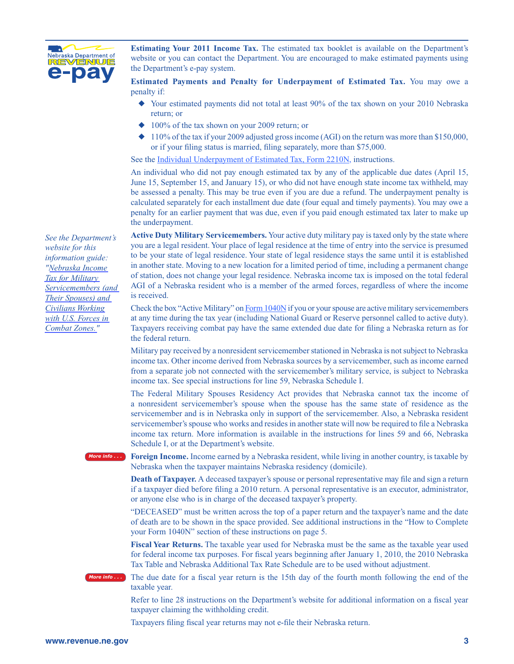

**Estimating Your 2011 Income Tax.** The estimated tax booklet is available on the Department's website or you can contact the Department. You are encouraged to make estimated payments using the Department's e-pay system.

**Estimated Payments and Penalty for Underpayment of Estimated Tax.** You may owe a penalty if:

- $\blacklozenge$  Your estimated payments did not total at least 90% of the tax shown on your 2010 Nebraska return; or
- $\triangle$  100% of the tax shown on your 2009 return; or
- $\blacklozenge$  110% of the tax if your 2009 adjusted gross income (AGI) on the return was more than \$150,000, or if your filing status is married, filing separately, more than \$75,000.

See the [Individual Underpayment of Estimated Tax, Form 2210N,](http://www.revenue.ne.gov/tax/current/fill-in/f_2210n.pdf) instructions.

An individual who did not pay enough estimated tax by any of the applicable due dates (April 15, June 15, September 15, and January 15), or who did not have enough state income tax withheld, may be assessed a penalty. This may be true even if you are due a refund. The underpayment penalty is calculated separately for each installment due date (four equal and timely payments). You may owe a penalty for an earlier payment that was due, even if you paid enough estimated tax later to make up the underpayment.

**Active Duty Military Servicemembers.** Your active duty military pay is taxed only by the state where you are a legal resident. Your place of legal residence at the time of entry into the service is presumed to be your state of legal residence. Your state of legal residence stays the same until it is established in another state. Moving to a new location for a limited period of time, including a permanent change of station, does not change your legal residence. Nebraska income tax is imposed on the total federal AGI of a Nebraska resident who is a member of the armed forces, regardless of where the income is received.

Check the box "Active Military" on [Form 1040N i](#page-12-0)f you or your spouse are active military servicemembers at any time during the tax year (including National Guard or Reserve personnel called to active duty). Taxpayers receiving combat pay have the same extended due date for filing a Nebraska return as for the federal return.

Military pay received by a nonresident servicemember stationed in Nebraska is not subject to Nebraska income tax. Other income derived from Nebraska sources by a servicemember, such as income earned from a separate job not connected with the servicemember's military service, is subject to Nebraska income tax. See special instructions for line 59, Nebraska Schedule I.

The Federal Military Spouses Residency Act provides that Nebraska cannot tax the income of a nonresident servicemember's spouse when the spouse has the same state of residence as the servicemember and is in Nebraska only in support of the servicemember. Also, a Nebraska resident servicemember's spouse who works and resides in another state will now be required to file a Nebraska income tax return. More information is available in the instructions for lines 59 and 66, Nebraska Schedule I, or at the Department's website.

**Foreign Income.** Income earned by a Nebraska resident, while living in another country, is taxable by Nebraska when the taxpayer maintains Nebraska residency (domicile).

**Death of Taxpayer.** A deceased taxpayer's spouse or personal representative may file and sign a return if a taxpayer died before filing a 2010 return. A personal representative is an executor, administrator, or anyone else who is in charge of the deceased taxpayer's property.

"DECEASED" must be written across the top of a paper return and the taxpayer's name and the date of death are to be shown in the space provided. See additional instructions in the "How to Complete your Form 1040N" section of these instructions on page 5.

**Fiscal Year Returns.** The taxable year used for Nebraska must be the same as the taxable year used for federal income tax purposes. For fiscal years beginning after January 1, 2010, the 2010 Nebraska Tax Table and Nebraska Additional Tax Rate Schedule are to be used without adjustment.

*[More info](http://www.revenue.ne.gov/tax/current/2010_indiv_bklt/due_date.html) . . .*

*[More info](http://www.revenue.ne.gov/tax/current/2010_indiv_bklt/foreign.html) . . .*

The due date for a fiscal year return is the 15th day of the fourth month following the end of the taxable year.

Refer to line 28 instructions on the Department's website for additional information on a fiscal year taxpayer claiming the withholding credit.

Taxpayers filing fiscal year returns may not e-file their Nebraska return.

*See the Department's website for this information guide: "[Nebraska Income](http://www.revenue.ne.gov/info/8-364.pdf)  [Tax for Military](http://www.revenue.ne.gov/info/8-364.pdf)  [Servicemembers \(and](http://www.revenue.ne.gov/info/8-364.pdf)  [Their Spouses\) and](http://www.revenue.ne.gov/info/8-364.pdf)  [Civilians Working](http://www.revenue.ne.gov/info/8-364.pdf)  [with U.S. Forces in](http://www.revenue.ne.gov/info/8-364.pdf)  [Combat Zones."](http://www.revenue.ne.gov/info/8-364.pdf)*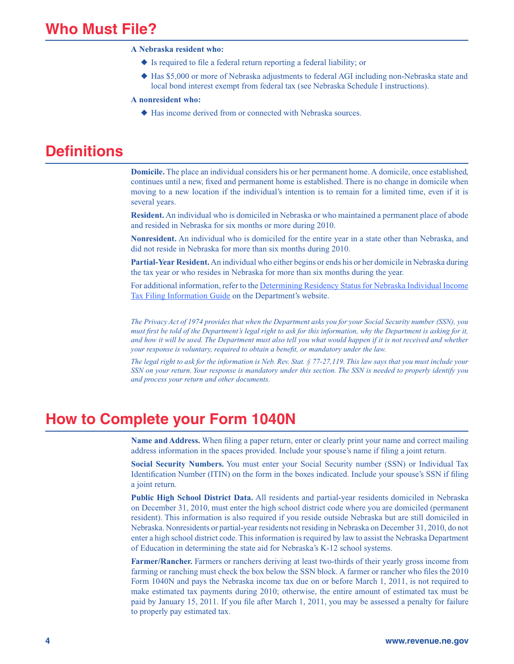#### **A Nebraska resident who:**

- $\blacklozenge$  Is required to file a federal return reporting a federal liability; or
- u Has \$5,000 or more of Nebraska adjustments to federal AGI including non-Nebraska state and local bond interest exempt from federal tax (see Nebraska Schedule I instructions).

#### **A nonresident who:**

 $\blacklozenge$  Has income derived from or connected with Nebraska sources.

### **Definitions**

**Domicile.** The place an individual considers his or her permanent home. A domicile, once established, continues until a new, fixed and permanent home is established. There is no change in domicile when moving to a new location if the individual's intention is to remain for a limited time, even if it is several years.

**Resident.** An individual who is domiciled in Nebraska or who maintained a permanent place of abode and resided in Nebraska for six months or more during 2010.

**Nonresident.** An individual who is domiciled for the entire year in a state other than Nebraska, and did not reside in Nebraska for more than six months during 2010.

**Partial-Year Resident.** An individual who either begins or ends his or her domicile in Nebraska during the tax year or who resides in Nebraska for more than six months during the year.

For additional information, refer to the [Determining Residency Status for Nebraska Individual Income](http://www.revenue.ne.gov/info/8-645.pdf)  [Tax Filing Information Guide](http://www.revenue.ne.gov/info/8-645.pdf) on the Department's website.

*The Privacy Act of 1974 provides that when the Department asks you for your Social Security number (SSN), you must first be told of the Department's legal right to ask for this information, why the Department is asking for it, and how it will be used. The Department must also tell you what would happen if it is not received and whether your response is voluntary, required to obtain a benefit, or mandatory under the law.* 

*The legal right to ask for the information is Neb. Rev. Stat. § 77-27,119. This law says that you must include your SSN on your return. Your response is mandatory under this section. The SSN is needed to properly identify you and process your return and other documents.*

### **How to Complete your Form 1040N**

**Name and Address.** When filing a paper return, enter or clearly print your name and correct mailing address information in the spaces provided. Include your spouse's name if filing a joint return.

**Social Security Numbers.** You must enter your Social Security number (SSN) or Individual Tax Identification Number (ITIN) on the form in the boxes indicated. Include your spouse's SSN if filing a joint return.

**Public High School District Data.** All residents and partial-year residents domiciled in Nebraska on December 31, 2010, must enter the high school district code where you are domiciled (permanent resident). This information is also required if you reside outside Nebraska but are still domiciled in Nebraska. Nonresidents or partial-year residents not residing in Nebraska on December 31, 2010, do not enter a high school district code. This information is required by law to assist the Nebraska Department of Education in determining the state aid for Nebraska's K-12 school systems.

**Farmer/Rancher.** Farmers or ranchers deriving at least two-thirds of their yearly gross income from farming or ranching must check the box below the SSN block. A farmer or rancher who files the 2010 Form 1040N and pays the Nebraska income tax due on or before March 1, 2011, is not required to make estimated tax payments during 2010; otherwise, the entire amount of estimated tax must be paid by January 15, 2011. If you file after March 1, 2011, you may be assessed a penalty for failure to properly pay estimated tax.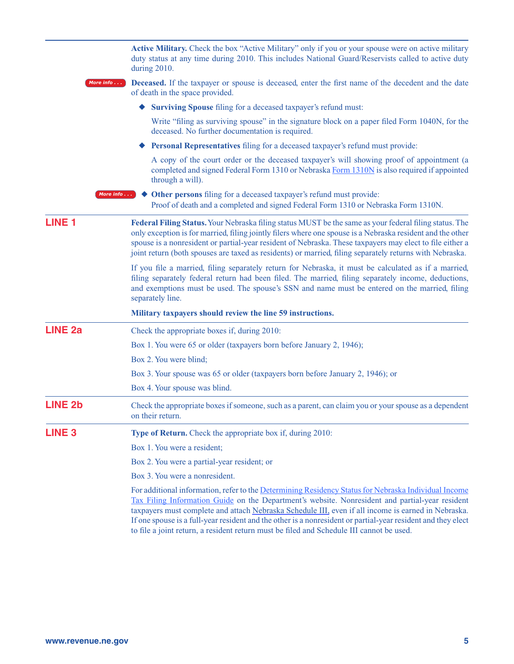|                | Active Military. Check the box "Active Military" only if you or your spouse were on active military<br>duty status at any time during 2010. This includes National Guard/Reservists called to active duty<br>during 2010.                                                                                                                                                                                                                                                                                                  |
|----------------|----------------------------------------------------------------------------------------------------------------------------------------------------------------------------------------------------------------------------------------------------------------------------------------------------------------------------------------------------------------------------------------------------------------------------------------------------------------------------------------------------------------------------|
| More info      | <b>Deceased.</b> If the taxpayer or spouse is deceased, enter the first name of the decedent and the date<br>of death in the space provided.                                                                                                                                                                                                                                                                                                                                                                               |
|                | <b>Surviving Spouse</b> filing for a deceased taxpayer's refund must:                                                                                                                                                                                                                                                                                                                                                                                                                                                      |
|                | Write "filing as surviving spouse" in the signature block on a paper filed Form 1040N, for the<br>deceased. No further documentation is required.                                                                                                                                                                                                                                                                                                                                                                          |
|                | Personal Representatives filing for a deceased taxpayer's refund must provide:                                                                                                                                                                                                                                                                                                                                                                                                                                             |
|                | A copy of the court order or the deceased taxpayer's will showing proof of appointment (a<br>completed and signed Federal Form 1310 or Nebraska Form 1310N is also required if appointed<br>through a will).                                                                                                                                                                                                                                                                                                               |
|                | Other persons filing for a deceased taxpayer's refund must provide:<br>More info<br>Proof of death and a completed and signed Federal Form 1310 or Nebraska Form 1310N.                                                                                                                                                                                                                                                                                                                                                    |
| <b>LINE 1</b>  | Federal Filing Status. Your Nebraska filing status MUST be the same as your federal filing status. The<br>only exception is for married, filing jointly filers where one spouse is a Nebraska resident and the other<br>spouse is a nonresident or partial-year resident of Nebraska. These taxpayers may elect to file either a<br>joint return (both spouses are taxed as residents) or married, filing separately returns with Nebraska.                                                                                |
|                | If you file a married, filing separately return for Nebraska, it must be calculated as if a married,<br>filing separately federal return had been filed. The married, filing separately income, deductions,<br>and exemptions must be used. The spouse's SSN and name must be entered on the married, filing<br>separately line.                                                                                                                                                                                           |
|                | Military taxpayers should review the line 59 instructions.                                                                                                                                                                                                                                                                                                                                                                                                                                                                 |
| <b>LINE 2a</b> | Check the appropriate boxes if, during 2010:                                                                                                                                                                                                                                                                                                                                                                                                                                                                               |
|                | Box 1. You were 65 or older (taxpayers born before January 2, 1946);                                                                                                                                                                                                                                                                                                                                                                                                                                                       |
|                | Box 2. You were blind;                                                                                                                                                                                                                                                                                                                                                                                                                                                                                                     |
|                | Box 3. Your spouse was 65 or older (taxpayers born before January 2, 1946); or                                                                                                                                                                                                                                                                                                                                                                                                                                             |
|                | Box 4. Your spouse was blind.                                                                                                                                                                                                                                                                                                                                                                                                                                                                                              |
| <b>LINE 2b</b> | Check the appropriate boxes if someone, such as a parent, can claim you or your spouse as a dependent<br>on their return.                                                                                                                                                                                                                                                                                                                                                                                                  |
| <b>LINE 3</b>  | <b>Type of Return.</b> Check the appropriate box if, during 2010:                                                                                                                                                                                                                                                                                                                                                                                                                                                          |
|                | Box 1. You were a resident;                                                                                                                                                                                                                                                                                                                                                                                                                                                                                                |
|                | Box 2. You were a partial-year resident; or                                                                                                                                                                                                                                                                                                                                                                                                                                                                                |
|                | Box 3. You were a nonresident.                                                                                                                                                                                                                                                                                                                                                                                                                                                                                             |
|                | For additional information, refer to the Determining Residency Status for Nebraska Individual Income<br>Tax Filing Information Guide on the Department's website. Nonresident and partial-year resident<br>taxpayers must complete and attach Nebraska Schedule III, even if all income is earned in Nebraska.<br>If one spouse is a full-year resident and the other is a nonresident or partial-year resident and they elect<br>to file a joint return, a resident return must be filed and Schedule III cannot be used. |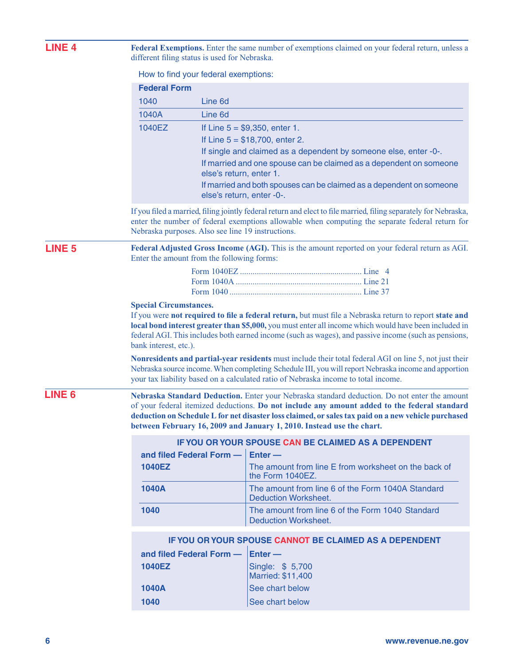| <b>LINE 4</b> | Federal Exemptions. Enter the same number of exemptions claimed on your federal return, unless a<br>different filing status is used for Nebraska. |                                                   |                                                                                                                                                                                                                                                                                                                                                                              |  |  |
|---------------|---------------------------------------------------------------------------------------------------------------------------------------------------|---------------------------------------------------|------------------------------------------------------------------------------------------------------------------------------------------------------------------------------------------------------------------------------------------------------------------------------------------------------------------------------------------------------------------------------|--|--|
|               |                                                                                                                                                   | How to find your federal exemptions:              |                                                                                                                                                                                                                                                                                                                                                                              |  |  |
|               | <b>Federal Form</b>                                                                                                                               |                                                   |                                                                                                                                                                                                                                                                                                                                                                              |  |  |
|               | 1040                                                                                                                                              | Line 6d                                           |                                                                                                                                                                                                                                                                                                                                                                              |  |  |
|               | 1040A                                                                                                                                             | Line 6d                                           |                                                                                                                                                                                                                                                                                                                                                                              |  |  |
|               | 1040EZ                                                                                                                                            |                                                   | If Line $5 = $9,350$ , enter 1.                                                                                                                                                                                                                                                                                                                                              |  |  |
|               |                                                                                                                                                   |                                                   | If Line $5 = $18,700$ , enter 2.                                                                                                                                                                                                                                                                                                                                             |  |  |
|               |                                                                                                                                                   |                                                   | If single and claimed as a dependent by someone else, enter -0-.                                                                                                                                                                                                                                                                                                             |  |  |
|               |                                                                                                                                                   | else's return, enter 1.                           | If married and one spouse can be claimed as a dependent on someone                                                                                                                                                                                                                                                                                                           |  |  |
|               |                                                                                                                                                   | else's return, enter -0-.                         | If married and both spouses can be claimed as a dependent on someone                                                                                                                                                                                                                                                                                                         |  |  |
|               |                                                                                                                                                   | Nebraska purposes. Also see line 19 instructions. | If you filed a married, filing jointly federal return and elect to file married, filing separately for Nebraska,<br>enter the number of federal exemptions allowable when computing the separate federal return for                                                                                                                                                          |  |  |
| <b>LINE 5</b> |                                                                                                                                                   | Enter the amount from the following forms:        | Federal Adjusted Gross Income (AGI). This is the amount reported on your federal return as AGI.                                                                                                                                                                                                                                                                              |  |  |
|               |                                                                                                                                                   |                                                   |                                                                                                                                                                                                                                                                                                                                                                              |  |  |
|               |                                                                                                                                                   |                                                   |                                                                                                                                                                                                                                                                                                                                                                              |  |  |
|               | bank interest, etc.).                                                                                                                             |                                                   | If you were not required to file a federal return, but must file a Nebraska return to report state and<br>local bond interest greater than \$5,000, you must enter all income which would have been included in<br>federal AGI. This includes both earned income (such as wages), and passive income (such as pensions,                                                      |  |  |
|               |                                                                                                                                                   |                                                   | Nonresidents and partial-year residents must include their total federal AGI on line 5, not just their<br>Nebraska source income. When completing Schedule III, you will report Nebraska income and apportion<br>your tax liability based on a calculated ratio of Nebraska income to total income.                                                                          |  |  |
| <b>LINE 6</b> |                                                                                                                                                   |                                                   | Nebraska Standard Deduction. Enter your Nebraska standard deduction. Do not enter the amount<br>of your federal itemized deductions. Do not include any amount added to the federal standard<br>deduction on Schedule L for net disaster loss claimed, or sales tax paid on a new vehicle purchased<br>between February 16, 2009 and January 1, 2010. Instead use the chart. |  |  |
|               |                                                                                                                                                   |                                                   | IF YOU OR YOUR SPOUSE CAN BE CLAIMED AS A DEPENDENT                                                                                                                                                                                                                                                                                                                          |  |  |
|               |                                                                                                                                                   | and filed Federal Form -                          | $Enter -$                                                                                                                                                                                                                                                                                                                                                                    |  |  |
|               | 1040EZ                                                                                                                                            |                                                   | The amount from line E from worksheet on the back of<br>the Form 1040EZ.                                                                                                                                                                                                                                                                                                     |  |  |
|               | <b>1040A</b>                                                                                                                                      |                                                   | The amount from line 6 of the Form 1040A Standard<br><b>Deduction Worksheet.</b>                                                                                                                                                                                                                                                                                             |  |  |
|               | 1040                                                                                                                                              |                                                   | The amount from line 6 of the Form 1040 Standard<br><b>Deduction Worksheet.</b>                                                                                                                                                                                                                                                                                              |  |  |
|               |                                                                                                                                                   |                                                   | IF YOU OR YOUR SPOUSE CANNOT BE CLAIMED AS A DEPENDENT                                                                                                                                                                                                                                                                                                                       |  |  |
|               |                                                                                                                                                   | and filed Federal Form -                          | $Enter -$                                                                                                                                                                                                                                                                                                                                                                    |  |  |
|               | 1040EZ                                                                                                                                            |                                                   | Single: \$ 5,700<br>Married: \$11,400                                                                                                                                                                                                                                                                                                                                        |  |  |
|               | <b>1040A</b>                                                                                                                                      |                                                   | See chart below                                                                                                                                                                                                                                                                                                                                                              |  |  |

**1040** See chart below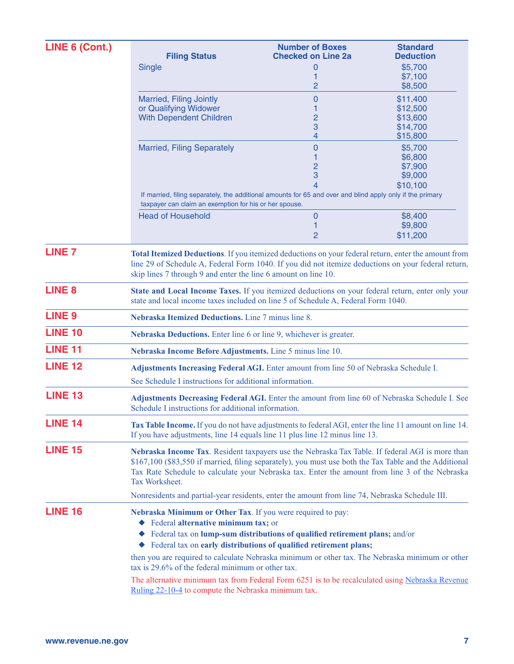| LINE 6 (Cont.) |                                                                                                                                                                                                                                                                                                                               | <b>Number of Boxes</b>                                                                                                                           | <b>Standard</b>      |  |  |
|----------------|-------------------------------------------------------------------------------------------------------------------------------------------------------------------------------------------------------------------------------------------------------------------------------------------------------------------------------|--------------------------------------------------------------------------------------------------------------------------------------------------|----------------------|--|--|
|                | <b>Filing Status</b>                                                                                                                                                                                                                                                                                                          | <b>Checked on Line 2a</b>                                                                                                                        | <b>Deduction</b>     |  |  |
|                | <b>Single</b>                                                                                                                                                                                                                                                                                                                 | 0<br>1                                                                                                                                           | \$5,700<br>\$7,100   |  |  |
|                |                                                                                                                                                                                                                                                                                                                               | 2                                                                                                                                                | \$8,500              |  |  |
|                | Married, Filing Jointly                                                                                                                                                                                                                                                                                                       | 0                                                                                                                                                | \$11,400             |  |  |
|                | or Qualifying Widower                                                                                                                                                                                                                                                                                                         |                                                                                                                                                  | \$12,500             |  |  |
|                | <b>With Dependent Children</b>                                                                                                                                                                                                                                                                                                | $\overline{c}$<br>3                                                                                                                              | \$13,600<br>\$14,700 |  |  |
|                |                                                                                                                                                                                                                                                                                                                               | 4                                                                                                                                                | \$15,800             |  |  |
|                | <b>Married, Filing Separately</b>                                                                                                                                                                                                                                                                                             | $\overline{0}$                                                                                                                                   | \$5,700              |  |  |
|                |                                                                                                                                                                                                                                                                                                                               |                                                                                                                                                  | \$6,800              |  |  |
|                |                                                                                                                                                                                                                                                                                                                               | $\overline{2}$                                                                                                                                   | \$7,900              |  |  |
|                |                                                                                                                                                                                                                                                                                                                               | 3<br>4                                                                                                                                           | \$9,000              |  |  |
|                |                                                                                                                                                                                                                                                                                                                               | If married, filing separately, the additional amounts for 65 and over and blind apply only if the primary                                        | \$10,100             |  |  |
|                | taxpayer can claim an exemption for his or her spouse.                                                                                                                                                                                                                                                                        |                                                                                                                                                  |                      |  |  |
|                | <b>Head of Household</b>                                                                                                                                                                                                                                                                                                      | $\mathbf 0$                                                                                                                                      | \$8,400              |  |  |
|                |                                                                                                                                                                                                                                                                                                                               | 1<br>$\overline{2}$                                                                                                                              | \$9,800<br>\$11,200  |  |  |
| <b>LINE 7</b>  | Total Itemized Deductions. If you itemized deductions on your federal return, enter the amount from<br>line 29 of Schedule A, Federal Form 1040. If you did not itemize deductions on your federal return,<br>skip lines 7 through 9 and enter the line 6 amount on line 10.                                                  |                                                                                                                                                  |                      |  |  |
| <b>LINE 8</b>  | State and Local Income Taxes. If you itemized deductions on your federal return, enter only your<br>state and local income taxes included on line 5 of Schedule A, Federal Form 1040.                                                                                                                                         |                                                                                                                                                  |                      |  |  |
| <b>LINE 9</b>  | Nebraska Itemized Deductions. Line 7 minus line 8.                                                                                                                                                                                                                                                                            |                                                                                                                                                  |                      |  |  |
| <b>LINE 10</b> | Nebraska Deductions. Enter line 6 or line 9, whichever is greater.                                                                                                                                                                                                                                                            |                                                                                                                                                  |                      |  |  |
| <b>LINE 11</b> | Nebraska Income Before Adjustments. Line 5 minus line 10.                                                                                                                                                                                                                                                                     |                                                                                                                                                  |                      |  |  |
| <b>LINE 12</b> | Adjustments Increasing Federal AGI. Enter amount from line 50 of Nebraska Schedule I.<br>See Schedule I instructions for additional information.                                                                                                                                                                              |                                                                                                                                                  |                      |  |  |
| <b>LINE 13</b> | Adjustments Decreasing Federal AGI. Enter the amount from line 60 of Nebraska Schedule I. See<br>Schedule I instructions for additional information.                                                                                                                                                                          |                                                                                                                                                  |                      |  |  |
| <b>LINE 14</b> | Tax Table Income. If you do not have adjustments to federal AGI, enter the line 11 amount on line 14.<br>If you have adjustments, line 14 equals line 11 plus line 12 minus line 13.                                                                                                                                          |                                                                                                                                                  |                      |  |  |
| <b>LINE 15</b> | Nebraska Income Tax. Resident taxpayers use the Nebraska Tax Table. If federal AGI is more than<br>\$167,100 (\$83,550 if married, filing separately), you must use both the Tax Table and the Additional<br>Tax Rate Schedule to calculate your Nebraska tax. Enter the amount from line 3 of the Nebraska<br>Tax Worksheet. |                                                                                                                                                  |                      |  |  |
|                | Nonresidents and partial-year residents, enter the amount from line 74, Nebraska Schedule III.                                                                                                                                                                                                                                |                                                                                                                                                  |                      |  |  |
| <b>LINE 16</b> | Nebraska Minimum or Other Tax. If you were required to pay:<br>◆ Federal alternative minimum tax; or<br>٠                                                                                                                                                                                                                     | Federal tax on lump-sum distributions of qualified retirement plans; and/or<br>Federal tax on early distributions of qualified retirement plans; |                      |  |  |
|                | then you are required to calculate Nebraska minimum or other tax. The Nebraska minimum or other<br>tax is 29.6% of the federal minimum or other tax.                                                                                                                                                                          |                                                                                                                                                  |                      |  |  |
|                | The alternative minimum tax from Federal Form 6251 is to be recalculated using Nebraska Revenue<br>Ruling 22-10-4 to compute the Nebraska minimum tax.                                                                                                                                                                        |                                                                                                                                                  |                      |  |  |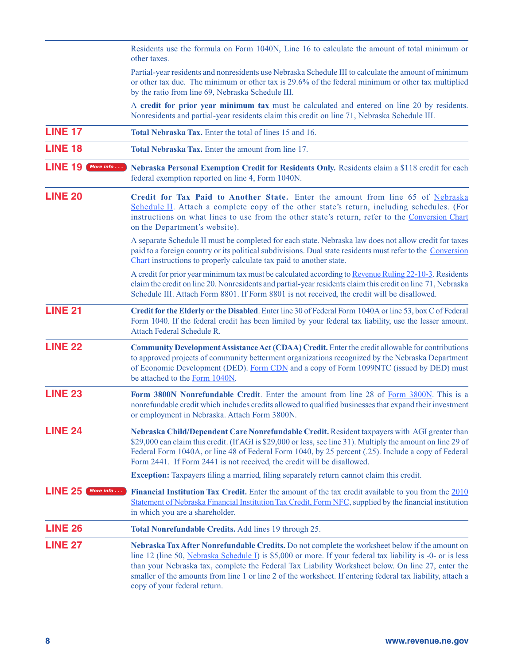|                             | Residents use the formula on Form 1040N, Line 16 to calculate the amount of total minimum or<br>other taxes.                                                                                                                                                                                                                                                                                                                                                    |
|-----------------------------|-----------------------------------------------------------------------------------------------------------------------------------------------------------------------------------------------------------------------------------------------------------------------------------------------------------------------------------------------------------------------------------------------------------------------------------------------------------------|
|                             | Partial-year residents and nonresidents use Nebraska Schedule III to calculate the amount of minimum<br>or other tax due. The minimum or other tax is 29.6% of the federal minimum or other tax multiplied<br>by the ratio from line 69, Nebraska Schedule III.                                                                                                                                                                                                 |
|                             | A credit for prior year minimum tax must be calculated and entered on line 20 by residents.<br>Nonresidents and partial-year residents claim this credit on line 71, Nebraska Schedule III.                                                                                                                                                                                                                                                                     |
| <b>LINE 17</b>              | Total Nebraska Tax. Enter the total of lines 15 and 16.                                                                                                                                                                                                                                                                                                                                                                                                         |
| <b>LINE 18</b>              | Total Nebraska Tax. Enter the amount from line 17.                                                                                                                                                                                                                                                                                                                                                                                                              |
| <b>LINE 19</b><br>More info | Nebraska Personal Exemption Credit for Residents Only. Residents claim a \$118 credit for each<br>federal exemption reported on line 4, Form 1040N.                                                                                                                                                                                                                                                                                                             |
| <b>LINE 20</b>              | Credit for Tax Paid to Another State. Enter the amount from line 65 of Nebraska<br>Schedule II. Attach a complete copy of the other state's return, including schedules. (For<br>instructions on what lines to use from the other state's return, refer to the Conversion Chart<br>on the Department's website).                                                                                                                                                |
|                             | A separate Schedule II must be completed for each state. Nebraska law does not allow credit for taxes<br>paid to a foreign country or its political subdivisions. Dual state residents must refer to the Conversion<br>Chart instructions to properly calculate tax paid to another state.                                                                                                                                                                      |
|                             | A credit for prior year minimum tax must be calculated according to Revenue Ruling 22-10-3. Residents<br>claim the credit on line 20. Nonresidents and partial-year residents claim this credit on line 71, Nebraska<br>Schedule III. Attach Form 8801. If Form 8801 is not received, the credit will be disallowed.                                                                                                                                            |
| <b>LINE 21</b>              | Credit for the Elderly or the Disabled. Enter line 30 of Federal Form 1040A or line 53, box C of Federal<br>Form 1040. If the federal credit has been limited by your federal tax liability, use the lesser amount.<br>Attach Federal Schedule R.                                                                                                                                                                                                               |
| <b>LINE 22</b>              | <b>Community Development Assistance Act (CDAA) Credit.</b> Enter the credit allowable for contributions<br>to approved projects of community betterment organizations recognized by the Nebraska Department<br>of Economic Development (DED). Form CDN and a copy of Form 1099NTC (issued by DED) must<br>be attached to the Form 1040N.                                                                                                                        |
| <b>LINE 23</b>              | Form 3800N Nonrefundable Credit. Enter the amount from line 28 of Form 3800N. This is a<br>nonrefundable credit which includes credits allowed to qualified businesses that expand their investment<br>or employment in Nebraska. Attach Form 3800N.                                                                                                                                                                                                            |
| <b>LINE 24</b>              | Nebraska Child/Dependent Care Nonrefundable Credit. Resident taxpayers with AGI greater than<br>\$29,000 can claim this credit. (If AGI is \$29,000 or less, see line 31). Multiply the amount on line 29 of<br>Federal Form 1040A, or line 48 of Federal Form 1040, by 25 percent (.25). Include a copy of Federal<br>Form 2441. If Form 2441 is not received, the credit will be disallowed.                                                                  |
|                             | <b>Exception:</b> Taxpayers filing a married, filing separately return cannot claim this credit.                                                                                                                                                                                                                                                                                                                                                                |
| <b>LINE 25</b><br>More info | <b>Financial Institution Tax Credit.</b> Enter the amount of the tax credit available to you from the 2010<br>Statement of Nebraska Financial Institution Tax Credit, Form NFC, supplied by the financial institution<br>in which you are a shareholder.                                                                                                                                                                                                        |
| <b>LINE 26</b>              | Total Nonrefundable Credits. Add lines 19 through 25.                                                                                                                                                                                                                                                                                                                                                                                                           |
| <b>LINE 27</b>              | Nebraska Tax After Nonrefundable Credits. Do not complete the worksheet below if the amount on<br>line 12 (line 50, Nebraska Schedule I) is \$5,000 or more. If your federal tax liability is -0- or is less<br>than your Nebraska tax, complete the Federal Tax Liability Worksheet below. On line 27, enter the<br>smaller of the amounts from line 1 or line 2 of the worksheet. If entering federal tax liability, attach a<br>copy of your federal return. |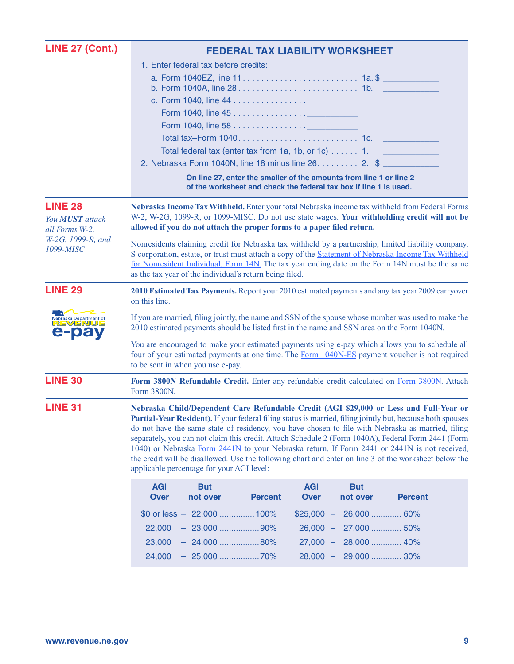| <b>LINE 27 (Cont.)</b>                                     | <b>FEDERAL TAX LIABILITY WORKSHEET</b>                                                                                                                                                                                                                                                                                                                                                                                                                                                                                                                                                                                                                                |  |  |  |  |  |
|------------------------------------------------------------|-----------------------------------------------------------------------------------------------------------------------------------------------------------------------------------------------------------------------------------------------------------------------------------------------------------------------------------------------------------------------------------------------------------------------------------------------------------------------------------------------------------------------------------------------------------------------------------------------------------------------------------------------------------------------|--|--|--|--|--|
|                                                            | 1. Enter federal tax before credits:                                                                                                                                                                                                                                                                                                                                                                                                                                                                                                                                                                                                                                  |  |  |  |  |  |
|                                                            |                                                                                                                                                                                                                                                                                                                                                                                                                                                                                                                                                                                                                                                                       |  |  |  |  |  |
|                                                            |                                                                                                                                                                                                                                                                                                                                                                                                                                                                                                                                                                                                                                                                       |  |  |  |  |  |
|                                                            | Form 1040, line 45 <u>.</u>                                                                                                                                                                                                                                                                                                                                                                                                                                                                                                                                                                                                                                           |  |  |  |  |  |
|                                                            |                                                                                                                                                                                                                                                                                                                                                                                                                                                                                                                                                                                                                                                                       |  |  |  |  |  |
|                                                            |                                                                                                                                                                                                                                                                                                                                                                                                                                                                                                                                                                                                                                                                       |  |  |  |  |  |
|                                                            | Total federal tax (enter tax from 1a, 1b, or 1c) $\dots$ . 1.                                                                                                                                                                                                                                                                                                                                                                                                                                                                                                                                                                                                         |  |  |  |  |  |
|                                                            | 2. Nebraska Form 1040N, line 18 minus line 26. 2. \$                                                                                                                                                                                                                                                                                                                                                                                                                                                                                                                                                                                                                  |  |  |  |  |  |
|                                                            | On line 27, enter the smaller of the amounts from line 1 or line 2<br>of the worksheet and check the federal tax box if line 1 is used.                                                                                                                                                                                                                                                                                                                                                                                                                                                                                                                               |  |  |  |  |  |
| <b>LINE 28</b><br>You <b>MUST</b> attach<br>all Forms W-2, | Nebraska Income Tax Withheld. Enter your total Nebraska income tax withheld from Federal Forms<br>W-2, W-2G, 1099-R, or 1099-MISC. Do not use state wages. Your withholding credit will not be<br>allowed if you do not attach the proper forms to a paper filed return.                                                                                                                                                                                                                                                                                                                                                                                              |  |  |  |  |  |
| W-2G, 1099-R, and<br>1099-MISC                             | Nonresidents claiming credit for Nebraska tax withheld by a partnership, limited liability company,<br>S corporation, estate, or trust must attach a copy of the Statement of Nebraska Income Tax Withheld<br>for Nonresident Individual, Form 14N. The tax year ending date on the Form 14N must be the same<br>as the tax year of the individual's return being filed.                                                                                                                                                                                                                                                                                              |  |  |  |  |  |
| <b>LINE 29</b>                                             | 2010 Estimated Tax Payments. Report your 2010 estimated payments and any tax year 2009 carryover<br>on this line.                                                                                                                                                                                                                                                                                                                                                                                                                                                                                                                                                     |  |  |  |  |  |
| Nebraska Department of<br>REVENUE<br>ba                    | If you are married, filing jointly, the name and SSN of the spouse whose number was used to make the<br>2010 estimated payments should be listed first in the name and SSN area on the Form 1040N.                                                                                                                                                                                                                                                                                                                                                                                                                                                                    |  |  |  |  |  |
|                                                            | You are encouraged to make your estimated payments using e-pay which allows you to schedule all<br>four of your estimated payments at one time. The Form 1040N-ES payment voucher is not required<br>to be sent in when you use e-pay.                                                                                                                                                                                                                                                                                                                                                                                                                                |  |  |  |  |  |
| <b>LINE 30</b>                                             | Form 3800N Refundable Credit. Enter any refundable credit calculated on Form 3800N. Attach<br>Form 3800N.                                                                                                                                                                                                                                                                                                                                                                                                                                                                                                                                                             |  |  |  |  |  |
| <b>LINE 31</b>                                             | Nebraska Child/Dependent Care Refundable Credit (AGI \$29,000 or Less and Full-Year or<br>Partial-Year Resident). If your federal filing status is married, filing jointly but, because both spouses<br>do not have the same state of residency, you have chosen to file with Nebraska as married, filing<br>separately, you can not claim this credit. Attach Schedule 2 (Form 1040A), Federal Form 2441 (Form<br>1040) or Nebraska Form 2441N to your Nebraska return. If Form 2441 or 2441N is not received,<br>the credit will be disallowed. Use the following chart and enter on line 3 of the worksheet below the<br>applicable percentage for your AGI level: |  |  |  |  |  |
|                                                            | <b>AGI</b><br><b>AGI</b><br><b>But</b><br><b>But</b><br><b>Over</b><br>not over<br><b>Percent</b><br><b>Over</b><br>not over<br><b>Percent</b>                                                                                                                                                                                                                                                                                                                                                                                                                                                                                                                        |  |  |  |  |  |
|                                                            | \$0 or less $-22,000$ 100%<br>$$25,000 -$<br>26,000  60%                                                                                                                                                                                                                                                                                                                                                                                                                                                                                                                                                                                                              |  |  |  |  |  |
|                                                            | $-23,000$ 90%<br>$26,000 - 27,000$ 50%<br>22,000                                                                                                                                                                                                                                                                                                                                                                                                                                                                                                                                                                                                                      |  |  |  |  |  |
|                                                            | $-24,000$ 80%<br>27,000 - 28,000  40%<br>23,000                                                                                                                                                                                                                                                                                                                                                                                                                                                                                                                                                                                                                       |  |  |  |  |  |
|                                                            | 28,000 - 29,000  30%<br>24,000                                                                                                                                                                                                                                                                                                                                                                                                                                                                                                                                                                                                                                        |  |  |  |  |  |
|                                                            |                                                                                                                                                                                                                                                                                                                                                                                                                                                                                                                                                                                                                                                                       |  |  |  |  |  |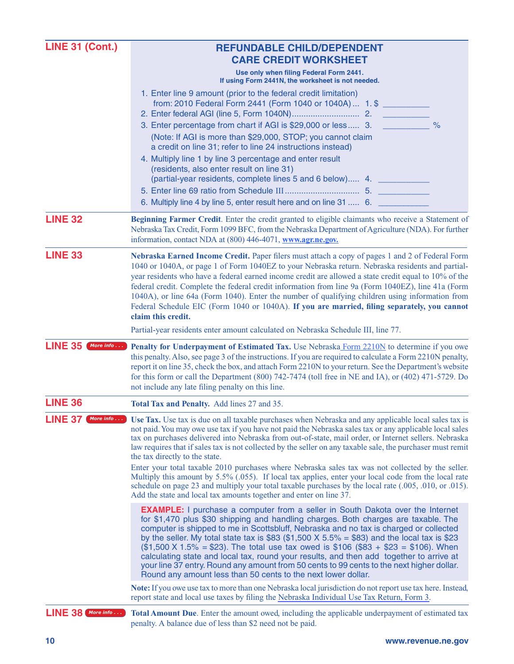<span id="page-9-0"></span>

| <b>LINE 31 (Cont.)</b>      | <b>REFUNDABLE CHILD/DEPENDENT</b>                                                                                                                                                                                                                                                                                                                                                                                                                                                                                                                                                                                                                                                                                        |
|-----------------------------|--------------------------------------------------------------------------------------------------------------------------------------------------------------------------------------------------------------------------------------------------------------------------------------------------------------------------------------------------------------------------------------------------------------------------------------------------------------------------------------------------------------------------------------------------------------------------------------------------------------------------------------------------------------------------------------------------------------------------|
|                             | <b>CARE CREDIT WORKSHEET</b>                                                                                                                                                                                                                                                                                                                                                                                                                                                                                                                                                                                                                                                                                             |
|                             | Use only when filing Federal Form 2441.<br>If using Form 2441N, the worksheet is not needed.                                                                                                                                                                                                                                                                                                                                                                                                                                                                                                                                                                                                                             |
|                             | 1. Enter line 9 amount (prior to the federal credit limitation)<br>from: 2010 Federal Form 2441 (Form 1040 or 1040A)  1. \$                                                                                                                                                                                                                                                                                                                                                                                                                                                                                                                                                                                              |
|                             | 3. Enter percentage from chart if AGI is \$29,000 or less 3.<br>$\frac{9}{6}$<br>(Note: If AGI is more than \$29,000, STOP; you cannot claim<br>a credit on line 31; refer to line 24 instructions instead)                                                                                                                                                                                                                                                                                                                                                                                                                                                                                                              |
|                             | 4. Multiply line 1 by line 3 percentage and enter result<br>(residents, also enter result on line 31)<br>(partial-year residents, complete lines 5 and 6 below) 4.<br>6. Multiply line 4 by line 5, enter result here and on line 31  6.                                                                                                                                                                                                                                                                                                                                                                                                                                                                                 |
| <b>LINE 32</b>              | Beginning Farmer Credit. Enter the credit granted to eligible claimants who receive a Statement of<br>Nebraska Tax Credit, Form 1099 BFC, from the Nebraska Department of Agriculture (NDA). For further<br>information, contact NDA at (800) 446-4071, www.agr.ne.gov.                                                                                                                                                                                                                                                                                                                                                                                                                                                  |
| <b>LINE 33</b>              | Nebraska Earned Income Credit. Paper filers must attach a copy of pages 1 and 2 of Federal Form<br>1040 or 1040A, or page 1 of Form 1040EZ to your Nebraska return. Nebraska residents and partial-<br>year residents who have a federal earned income credit are allowed a state credit equal to 10% of the<br>federal credit. Complete the federal credit information from line 9a (Form 1040EZ), line 41a (Form<br>1040A), or line 64a (Form 1040). Enter the number of qualifying children using information from<br>Federal Schedule EIC (Form 1040 or 1040A). If you are married, filing separately, you cannot<br>claim this credit.                                                                              |
|                             | Partial-year residents enter amount calculated on Nebraska Schedule III, line 77.                                                                                                                                                                                                                                                                                                                                                                                                                                                                                                                                                                                                                                        |
| <b>LINE 35</b><br>More info | Penalty for Underpayment of Estimated Tax. Use Nebraska Form 2210N to determine if you owe<br>this penalty. Also, see page 3 of the instructions. If you are required to calculate a Form 2210N penalty,<br>report it on line 35, check the box, and attach Form 2210N to your return. See the Department's website<br>for this form or call the Department (800) 742-7474 (toll free in NE and IA), or (402) 471-5729. Do<br>not include any late filing penalty on this line.                                                                                                                                                                                                                                          |
| <b>LINE 36</b>              | Total Tax and Penalty. Add lines 27 and 35.                                                                                                                                                                                                                                                                                                                                                                                                                                                                                                                                                                                                                                                                              |
| <b>LINE 37</b><br>More info | Use Tax. Use tax is due on all taxable purchases when Nebraska and any applicable local sales tax is<br>not paid. You may owe use tax if you have not paid the Nebraska sales tax or any applicable local sales<br>tax on purchases delivered into Nebraska from out-of-state, mail order, or Internet sellers. Nebraska<br>law requires that if sales tax is not collected by the seller on any taxable sale, the purchaser must remit<br>the tax directly to the state.                                                                                                                                                                                                                                                |
|                             | Enter your total taxable 2010 purchases where Nebraska sales tax was not collected by the seller.<br>Multiply this amount by 5.5% (.055). If local tax applies, enter your local code from the local rate<br>schedule on page 23 and multiply your total taxable purchases by the local rate (.005, .010, or .015).<br>Add the state and local tax amounts together and enter on line 37.                                                                                                                                                                                                                                                                                                                                |
|                             | <b>EXAMPLE:</b> I purchase a computer from a seller in South Dakota over the Internet<br>for \$1,470 plus \$30 shipping and handling charges. Both charges are taxable. The<br>computer is shipped to me in Scottsbluff, Nebraska and no tax is charged or collected<br>by the seller. My total state tax is \$83 (\$1,500 X 5.5% = \$83) and the local tax is \$23<br>$(\$1,500 X 1.5\% = \$23)$ . The total use tax owed is \$106 (\$83 + \$23 = \$106). When<br>calculating state and local tax, round your results, and then add together to arrive at<br>your line 37 entry. Round any amount from 50 cents to 99 cents to the next higher dollar.<br>Round any amount less than 50 cents to the next lower dollar. |
|                             | Note: If you owe use tax to more than one Nebraska local jurisdiction do not report use tax here. Instead,<br>report state and local use taxes by filing the Nebraska Individual Use Tax Return, Form 3.                                                                                                                                                                                                                                                                                                                                                                                                                                                                                                                 |
| $LINE 38$ More info         | Total Amount Due. Enter the amount owed, including the applicable underpayment of estimated tax<br>penalty. A balance due of less than \$2 need not be paid.                                                                                                                                                                                                                                                                                                                                                                                                                                                                                                                                                             |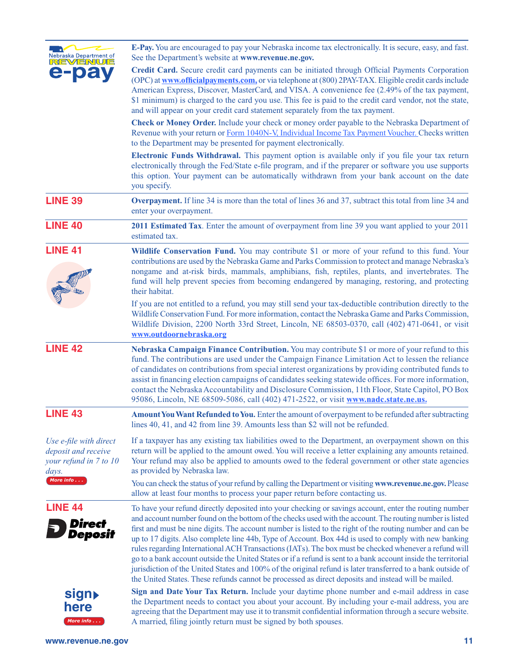| Nebraska Department of<br>REVENUE                                                | <b>E-Pay.</b> You are encouraged to pay your Nebraska income tax electronically. It is secure, easy, and fast.<br>See the Department's website at www.revenue.ne.gov.                                                                                                                                                                                                                                                                                                                                                                                                                                                                                                                                                                                                                                                                                                                    |
|----------------------------------------------------------------------------------|------------------------------------------------------------------------------------------------------------------------------------------------------------------------------------------------------------------------------------------------------------------------------------------------------------------------------------------------------------------------------------------------------------------------------------------------------------------------------------------------------------------------------------------------------------------------------------------------------------------------------------------------------------------------------------------------------------------------------------------------------------------------------------------------------------------------------------------------------------------------------------------|
| e-pa                                                                             | Credit Card. Secure credit card payments can be initiated through Official Payments Corporation<br>(OPC) at www.officialpayments.com, or via telephone at (800) 2PAY-TAX. Eligible credit cards include<br>American Express, Discover, MasterCard, and VISA. A convenience fee (2.49% of the tax payment,<br>\$1 minimum) is charged to the card you use. This fee is paid to the credit card vendor, not the state,<br>and will appear on your credit card statement separately from the tax payment.                                                                                                                                                                                                                                                                                                                                                                                   |
|                                                                                  | Check or Money Order. Include your check or money order payable to the Nebraska Department of<br>Revenue with your return or Form 1040N-V, Individual Income Tax Payment Voucher. Checks written<br>to the Department may be presented for payment electronically.                                                                                                                                                                                                                                                                                                                                                                                                                                                                                                                                                                                                                       |
|                                                                                  | <b>Electronic Funds Withdrawal.</b> This payment option is available only if you file your tax return<br>electronically through the Fed/State e-file program, and if the preparer or software you use supports<br>this option. Your payment can be automatically withdrawn from your bank account on the date<br>you specify.                                                                                                                                                                                                                                                                                                                                                                                                                                                                                                                                                            |
| <b>LINE 39</b>                                                                   | <b>Overpayment.</b> If line 34 is more than the total of lines 36 and 37, subtract this total from line 34 and<br>enter your overpayment.                                                                                                                                                                                                                                                                                                                                                                                                                                                                                                                                                                                                                                                                                                                                                |
| <b>LINE 40</b>                                                                   | 2011 Estimated Tax. Enter the amount of overpayment from line 39 you want applied to your 2011<br>estimated tax.                                                                                                                                                                                                                                                                                                                                                                                                                                                                                                                                                                                                                                                                                                                                                                         |
| <b>LINE 41</b>                                                                   | Wildlife Conservation Fund. You may contribute \$1 or more of your refund to this fund. Your<br>contributions are used by the Nebraska Game and Parks Commission to protect and manage Nebraska's<br>nongame and at-risk birds, mammals, amphibians, fish, reptiles, plants, and invertebrates. The<br>fund will help prevent species from becoming endangered by managing, restoring, and protecting<br>their habitat.                                                                                                                                                                                                                                                                                                                                                                                                                                                                  |
|                                                                                  | If you are not entitled to a refund, you may still send your tax-deductible contribution directly to the<br>Wildlife Conservation Fund. For more information, contact the Nebraska Game and Parks Commission,<br>Wildlife Division, 2200 North 33rd Street, Lincoln, NE 68503-0370, call (402) 471-0641, or visit<br>www.outdoornebraska.org                                                                                                                                                                                                                                                                                                                                                                                                                                                                                                                                             |
| <b>LINE 42</b>                                                                   | Nebraska Campaign Finance Contribution. You may contribute \$1 or more of your refund to this<br>fund. The contributions are used under the Campaign Finance Limitation Act to lessen the reliance<br>of candidates on contributions from special interest organizations by providing contributed funds to<br>assist in financing election campaigns of candidates seeking statewide offices. For more information,<br>contact the Nebraska Accountability and Disclosure Commission, 11th Floor, State Capitol, PO Box<br>95086, Lincoln, NE 68509-5086, call (402) 471-2522, or visit www.nadc.state.ne.us.                                                                                                                                                                                                                                                                            |
| <b>LINE 43</b>                                                                   | Amount You Want Refunded to You. Enter the amount of overpayment to be refunded after subtracting<br>lines 40, 41, and 42 from line 39. Amounts less than \$2 will not be refunded.                                                                                                                                                                                                                                                                                                                                                                                                                                                                                                                                                                                                                                                                                                      |
| Use e-file with direct<br>deposit and receive<br>your refund in 7 to 10<br>days. | If a taxpayer has any existing tax liabilities owed to the Department, an overpayment shown on this<br>return will be applied to the amount owed. You will receive a letter explaining any amounts retained.<br>Your refund may also be applied to amounts owed to the federal government or other state agencies<br>as provided by Nebraska law.                                                                                                                                                                                                                                                                                                                                                                                                                                                                                                                                        |
| More info                                                                        | You can check the status of your refund by calling the Department or visiting www.revenue.ne.gov. Please<br>allow at least four months to process your paper return before contacting us.                                                                                                                                                                                                                                                                                                                                                                                                                                                                                                                                                                                                                                                                                                |
| <b>LINE 44</b><br><b>Direct</b><br><b>Deposit</b>                                | To have your refund directly deposited into your checking or savings account, enter the routing number<br>and account number found on the bottom of the checks used with the account. The routing number is listed<br>first and must be nine digits. The account number is listed to the right of the routing number and can be<br>up to 17 digits. Also complete line 44b, Type of Account. Box 44d is used to comply with new banking<br>rules regarding International ACH Transactions (IATs). The box must be checked whenever a refund will<br>go to a bank account outside the United States or if a refund is sent to a bank account inside the territorial<br>jurisdiction of the United States and 100% of the original refund is later transferred to a bank outside of<br>the United States. These refunds cannot be processed as direct deposits and instead will be mailed. |
| sign▶<br>here<br>More info                                                       | Sign and Date Your Tax Return. Include your daytime phone number and e-mail address in case<br>the Department needs to contact you about your account. By including your e-mail address, you are<br>agreeing that the Department may use it to transmit confidential information through a secure website.<br>A married, filing jointly return must be signed by both spouses.                                                                                                                                                                                                                                                                                                                                                                                                                                                                                                           |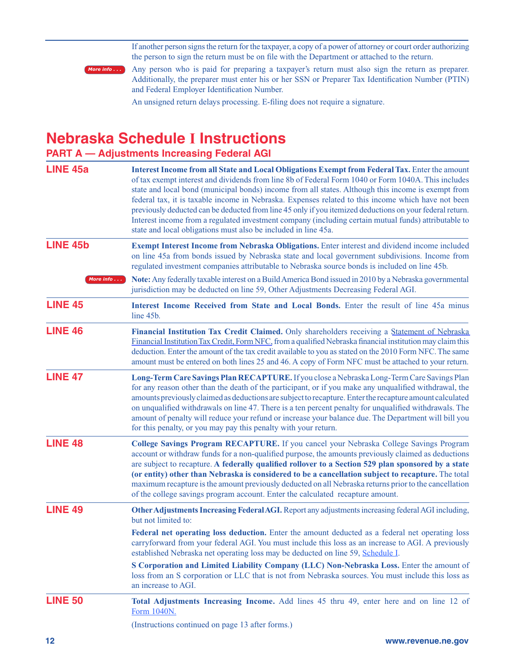If another person signs the return for the taxpayer, a copy of a power of attorney or court order authorizing the person to sign the return must be on file with the Department or attached to the return.



Any person who is paid for preparing a taxpayer's return must also sign the return as preparer. Additionally, the preparer must enter his or her SSN or Preparer Tax Identification Number (PTIN) and Federal Employer Identification Number.

An unsigned return delays processing. E-filing does not require a signature.

### **Nebraska Schedule I Instructions**

### **PART A — Adjustments Increasing Federal AGI**

| <b>LINE 45a</b> | Interest Income from all State and Local Obligations Exempt from Federal Tax. Enter the amount<br>of tax exempt interest and dividends from line 8b of Federal Form 1040 or Form 1040A. This includes<br>state and local bond (municipal bonds) income from all states. Although this income is exempt from<br>federal tax, it is taxable income in Nebraska. Expenses related to this income which have not been<br>previously deducted can be deducted from line 45 only if you itemized deductions on your federal return.<br>Interest income from a regulated investment company (including certain mutual funds) attributable to<br>state and local obligations must also be included in line 45a. |
|-----------------|---------------------------------------------------------------------------------------------------------------------------------------------------------------------------------------------------------------------------------------------------------------------------------------------------------------------------------------------------------------------------------------------------------------------------------------------------------------------------------------------------------------------------------------------------------------------------------------------------------------------------------------------------------------------------------------------------------|
| <b>LINE 45b</b> | Exempt Interest Income from Nebraska Obligations. Enter interest and dividend income included<br>on line 45a from bonds issued by Nebraska state and local government subdivisions. Income from<br>regulated investment companies attributable to Nebraska source bonds is included on line 45b.                                                                                                                                                                                                                                                                                                                                                                                                        |
| More info       | Note: Any federally taxable interest on a Build America Bond issued in 2010 by a Nebraska governmental<br>jurisdiction may be deducted on line 59, Other Adjustments Decreasing Federal AGI.                                                                                                                                                                                                                                                                                                                                                                                                                                                                                                            |
| <b>LINE 45</b>  | Interest Income Received from State and Local Bonds. Enter the result of line 45a minus<br>line 45b.                                                                                                                                                                                                                                                                                                                                                                                                                                                                                                                                                                                                    |
| <b>LINE 46</b>  | Financial Institution Tax Credit Claimed. Only shareholders receiving a Statement of Nebraska<br>Financial Institution Tax Credit, Form NFC, from a qualified Nebraska financial institution may claim this<br>deduction. Enter the amount of the tax credit available to you as stated on the 2010 Form NFC. The same<br>amount must be entered on both lines 25 and 46. A copy of Form NFC must be attached to your return.                                                                                                                                                                                                                                                                           |
| <b>LINE 47</b>  | Long-Term Care Savings Plan RECAPTURE. If you close a Nebraska Long-Term Care Savings Plan<br>for any reason other than the death of the participant, or if you make any unqualified withdrawal, the<br>amounts previously claimed as deductions are subject to recapture. Enter the recapture amount calculated<br>on unqualified withdrawals on line 47. There is a ten percent penalty for unqualified withdrawals. The<br>amount of penalty will reduce your refund or increase your balance due. The Department will bill you<br>for this penalty, or you may pay this penalty with your return.                                                                                                   |
| <b>LINE 48</b>  | College Savings Program RECAPTURE. If you cancel your Nebraska College Savings Program<br>account or withdraw funds for a non-qualified purpose, the amounts previously claimed as deductions<br>are subject to recapture. A federally qualified rollover to a Section 529 plan sponsored by a state<br>(or entity) other than Nebraska is considered to be a cancellation subject to recapture. The total<br>maximum recapture is the amount previously deducted on all Nebraska returns prior to the cancellation<br>of the college savings program account. Enter the calculated recapture amount.                                                                                                   |
| <b>LINE 49</b>  | Other Adjustments Increasing Federal AGI. Report any adjustments increasing federal AGI including,<br>but not limited to:                                                                                                                                                                                                                                                                                                                                                                                                                                                                                                                                                                               |
|                 | Federal net operating loss deduction. Enter the amount deducted as a federal net operating loss<br>carryforward from your federal AGI. You must include this loss as an increase to AGI. A previously<br>established Nebraska net operating loss may be deducted on line 59, Schedule I.                                                                                                                                                                                                                                                                                                                                                                                                                |
|                 | S Corporation and Limited Liability Company (LLC) Non-Nebraska Loss. Enter the amount of<br>loss from an S corporation or LLC that is not from Nebraska sources. You must include this loss as<br>an increase to AGI.                                                                                                                                                                                                                                                                                                                                                                                                                                                                                   |
| <b>LINE 50</b>  | Total Adjustments Increasing Income. Add lines 45 thru 49, enter here and on line 12 of<br>Form 1040N.                                                                                                                                                                                                                                                                                                                                                                                                                                                                                                                                                                                                  |
|                 | (Instructions continued on page 13 after forms.)                                                                                                                                                                                                                                                                                                                                                                                                                                                                                                                                                                                                                                                        |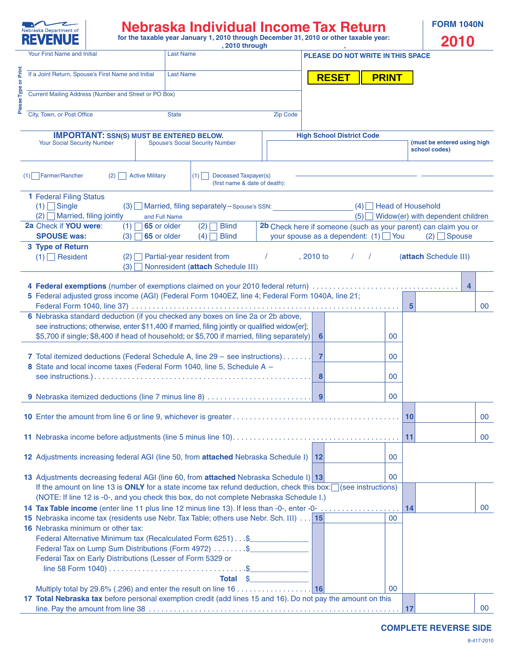<span id="page-12-0"></span>

# **Nebraska Individual Income Tax Return for the taxable year January 1, 2010 through December 31, 2010 or other taxable year:**

| <b>FORM 1040N</b> |       |
|-------------------|-------|
|                   | 501 A |

|        | ▎▚▙▝▐▖▎▜▀▙                                                                                                                                                                                                               |                                                                                                                                                                                                                |                                         | , 2010 through                                        |                 |                     |                                                                                                                 |              |                                                                    | 20 I V                      |        |
|--------|--------------------------------------------------------------------------------------------------------------------------------------------------------------------------------------------------------------------------|----------------------------------------------------------------------------------------------------------------------------------------------------------------------------------------------------------------|-----------------------------------------|-------------------------------------------------------|-----------------|---------------------|-----------------------------------------------------------------------------------------------------------------|--------------|--------------------------------------------------------------------|-----------------------------|--------|
|        | Your First Name and Initial                                                                                                                                                                                              |                                                                                                                                                                                                                | <b>Last Name</b>                        |                                                       |                 |                     | PLEASE DO NOT WRITE IN THIS SPACE                                                                               |              |                                                                    |                             |        |
|        | If a Joint Return, Spouse's First Name and Initial                                                                                                                                                                       |                                                                                                                                                                                                                | <b>Last Name</b>                        |                                                       |                 | <b>RESET</b>        |                                                                                                                 | <b>PRINT</b> |                                                                    |                             |        |
|        | Current Mailing Address (Number and Street or PO Box)                                                                                                                                                                    |                                                                                                                                                                                                                |                                         |                                                       |                 |                     |                                                                                                                 |              |                                                                    |                             |        |
| Please | City, Town, or Post Office                                                                                                                                                                                               |                                                                                                                                                                                                                | <b>State</b>                            |                                                       | <b>Zip Code</b> |                     |                                                                                                                 |              |                                                                    |                             |        |
|        | <b>Your Social Security Number</b>                                                                                                                                                                                       | <b>IMPORTANT: SSN(S) MUST BE ENTERED BELOW.</b>                                                                                                                                                                | <b>Spouse's Social Security Number</b>  |                                                       |                 |                     | <b>High School District Code</b>                                                                                |              | school codes)                                                      | (must be entered using high |        |
|        | $(1)$ Farmer/Rancher                                                                                                                                                                                                     | <b>Active Military</b><br>(2)                                                                                                                                                                                  | $(1)$                                   | Deceased Taxpayer(s)<br>(first name & date of death): |                 |                     |                                                                                                                 |              |                                                                    |                             |        |
|        | <b>1 Federal Filing Status</b><br>$(1)$ Single<br>$(2)$ Married, filing jointly                                                                                                                                          | and Full Name                                                                                                                                                                                                  |                                         | $(3)$ Married, filing separately – Spouse's SSN:      |                 |                     |                                                                                                                 |              | $(4)$ Head of Household<br>$(5)$ Widow(er) with dependent children |                             |        |
|        | 2a Check if YOU were:<br><b>SPOUSE was:</b>                                                                                                                                                                              | (1)<br>65 or older<br>$(3)$ 65 or older                                                                                                                                                                        |                                         | $(2)$ Blind<br><b>Blind</b>                           |                 |                     | 2b Check here if someone (such as your parent) can claim you or<br>your spouse as a dependent: $(1)$ $\Box$ You |              |                                                                    | $(2)$ Spouse                |        |
|        | 3 Type of Return<br>$(1)$ Resident                                                                                                                                                                                       |                                                                                                                                                                                                                | (4)<br>$(2)$ Partial-year resident from | (3) Nonresident (attach Schedule III)                 |                 | , 2010 to           | $\sqrt{1}$                                                                                                      |              | (attach Schedule III)                                              |                             |        |
|        | 5 Federal adjusted gross income (AGI) (Federal Form 1040EZ, line 4; Federal Form 1040A, line 21;                                                                                                                         |                                                                                                                                                                                                                |                                         |                                                       |                 |                     |                                                                                                                 |              | $5\overline{5}$                                                    | $\overline{4}$              | 00     |
|        | 6 Nebraska standard deduction (if you checked any boxes on line 2a or 2b above,                                                                                                                                          | see instructions; otherwise, enter \$11,400 if married, filing jointly or qualified widow[er];<br>\$5,700 if single; \$8,400 if head of household; or \$5,700 if married, filing separately)                   |                                         |                                                       |                 | $6\phantom{1}6$     |                                                                                                                 | 00           |                                                                    |                             |        |
|        | 7 Total itemized deductions (Federal Schedule A, line 29 - see instructions)<br>8 State and local income taxes (Federal Form 1040, line 5, Schedule A -                                                                  |                                                                                                                                                                                                                |                                         |                                                       |                 | $\overline{7}$<br>8 |                                                                                                                 | 00<br>00     |                                                                    |                             |        |
|        | 9 Nebraska itemized deductions (line 7 minus line 8)                                                                                                                                                                     |                                                                                                                                                                                                                |                                         |                                                       |                 | 9                   |                                                                                                                 | 00           |                                                                    |                             |        |
|        |                                                                                                                                                                                                                          |                                                                                                                                                                                                                |                                         |                                                       |                 |                     |                                                                                                                 |              | 10                                                                 |                             | $00\,$ |
|        |                                                                                                                                                                                                                          |                                                                                                                                                                                                                |                                         |                                                       |                 |                     |                                                                                                                 |              | 11                                                                 |                             | 00     |
|        | 12 Adjustments increasing federal AGI (line 50, from attached Nebraska Schedule I) 12                                                                                                                                    |                                                                                                                                                                                                                |                                         |                                                       |                 |                     |                                                                                                                 | 00           |                                                                    |                             |        |
|        | 13 Adjustments decreasing federal AGI (line 60, from attached Nebraska Schedule I) 13                                                                                                                                    | If the amount on line 13 is ONLY for a state income tax refund deduction, check this box: $\Box$ (see instructions)<br>(NOTE: If line 12 is -0-, and you check this box, do not complete Nebraska Schedule I.) |                                         |                                                       |                 |                     |                                                                                                                 | 00           |                                                                    |                             |        |
|        | 14 Tax Table income (enter line 11 plus line 12 minus line 13). If less than -0-, enter -0-<br>15 Nebraska income tax (residents use Nebr. Tax Table; others use Nebr. Sch. III) 15<br>16 Nebraska minimum or other tax: | Federal Alternative Minimum tax (Recalculated Form 6251) \$<br>Federal Tax on Lump Sum Distributions (Form 4972) \$<br>Federal Tax on Early Distributions (Lesser of Form 5329 or                              |                                         | Total \$                                              |                 |                     |                                                                                                                 | 00           | 14                                                                 |                             | 00     |
|        | 17 Total Nebraska tax before personal exemption credit (add lines 15 and 16). Do not pay the amount on this                                                                                                              |                                                                                                                                                                                                                |                                         |                                                       |                 |                     |                                                                                                                 | 00           | 17                                                                 |                             | 00     |

**COMPLETE REVERSE SIDE**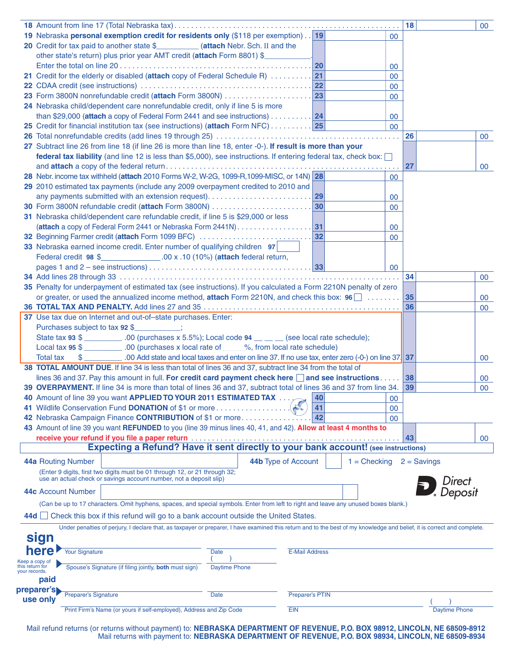|                                                    |                                                                                                                                                                          |                      |                        |                |        | 18            |                      | 00              |
|----------------------------------------------------|--------------------------------------------------------------------------------------------------------------------------------------------------------------------------|----------------------|------------------------|----------------|--------|---------------|----------------------|-----------------|
|                                                    | 19 Nebraska personal exemption credit for residents only (\$118 per exemption) 19                                                                                        |                      |                        |                | 00     |               |                      |                 |
|                                                    | 20 Credit for tax paid to another state \$___________ (attach Nebr. Sch. II and the                                                                                      |                      |                        |                |        |               |                      |                 |
|                                                    | other state's return) plus prior year AMT credit (attach Form 8801) \$                                                                                                   |                      |                        |                |        |               |                      |                 |
|                                                    |                                                                                                                                                                          |                      | 20                     |                | 00     |               |                      |                 |
|                                                    |                                                                                                                                                                          |                      |                        |                | $00\,$ |               |                      |                 |
|                                                    |                                                                                                                                                                          |                      |                        |                | $00\,$ |               |                      |                 |
|                                                    |                                                                                                                                                                          |                      |                        |                | $00\,$ |               |                      |                 |
|                                                    | 24 Nebraska child/dependent care nonrefundable credit, only if line 5 is more                                                                                            |                      |                        |                |        |               |                      |                 |
|                                                    | than \$29,000 (attach a copy of Federal Form 2441 and see instructions) $\ldots \ldots \ldots$ 24                                                                        |                      |                        |                | $00\,$ |               |                      |                 |
|                                                    | 25 Credit for financial institution tax (see instructions) (attach Form NFC) 25                                                                                          |                      |                        |                | 00     |               |                      |                 |
|                                                    |                                                                                                                                                                          |                      |                        |                |        | 26            |                      | 00 <sub>o</sub> |
|                                                    | 27 Subtract line 26 from line 18 (if line 26 is more than line 18, enter -0-). If result is more than your                                                               |                      |                        |                |        |               |                      |                 |
|                                                    | federal tax liability (and line 12 is less than \$5,000), see instructions. If entering federal tax, check box: $\Box$                                                   |                      |                        |                |        |               |                      |                 |
|                                                    |                                                                                                                                                                          |                      |                        |                |        | 27            |                      | 00              |
|                                                    | 28 Nebr. income tax withheld (attach 2010 Forms W-2, W-2G, 1099-R, 1099-MISC, or 14N) 28                                                                                 |                      |                        |                | $00\,$ |               |                      |                 |
|                                                    | 29 2010 estimated tax payments (include any 2009 overpayment credited to 2010 and                                                                                        |                      |                        |                |        |               |                      |                 |
|                                                    |                                                                                                                                                                          |                      |                        |                | 00     |               |                      |                 |
|                                                    |                                                                                                                                                                          |                      | 30                     |                | $00\,$ |               |                      |                 |
|                                                    | 31 Nebraska child/dependent care refundable credit, if line 5 is \$29,000 or less                                                                                        |                      |                        |                |        |               |                      |                 |
|                                                    |                                                                                                                                                                          |                      |                        |                | 00     |               |                      |                 |
|                                                    | 32 Beginning Farmer credit (attach Form 1099 BFC)                                                                                                                        |                      | 32                     |                | $00\,$ |               |                      |                 |
|                                                    | 33 Nebraska earned income credit. Enter number of qualifying children 97                                                                                                 |                      |                        |                |        |               |                      |                 |
|                                                    | Federal credit 98 \$_______________.00 x .10 (10%) (attach federal return,                                                                                               |                      |                        |                |        |               |                      |                 |
|                                                    |                                                                                                                                                                          |                      |                        |                | 00     |               |                      |                 |
|                                                    |                                                                                                                                                                          |                      |                        |                |        | 34            |                      | 00              |
|                                                    | 35 Penalty for underpayment of estimated tax (see instructions). If you calculated a Form 2210N penalty of zero                                                          |                      |                        |                |        |               |                      |                 |
|                                                    | or greater, or used the annualized income method, attach Form 2210N, and check this box: 96 [                                                                            |                      |                        |                |        | 35            |                      | 00              |
|                                                    |                                                                                                                                                                          |                      |                        |                |        | 36            |                      | 00              |
|                                                    | 37 Use tax due on Internet and out-of-state purchases. Enter:                                                                                                            |                      |                        |                |        |               |                      |                 |
|                                                    | Purchases subject to tax 92 \$                                                                                                                                           |                      |                        |                |        |               |                      |                 |
|                                                    | State tax 93 \$ __________.00 (purchases x 5.5%); Local code 94 __ _ (see local rate schedule);                                                                          |                      |                        |                |        |               |                      |                 |
|                                                    | Local tax 95 \$ ___________.00 (purchases x local rate of _____%, from local rate schedule)                                                                              |                      |                        |                |        |               |                      |                 |
|                                                    | \$ .00 Add state and local taxes and enter on line 37. If no use tax, enter zero (-0-) on line 37. 37<br><b>Total tax</b>                                                |                      |                        |                |        |               |                      | 00              |
|                                                    | 38 TOTAL AMOUNT DUE. If line 34 is less than total of lines 36 and 37, subtract line 34 from the total of                                                                |                      |                        |                |        |               |                      |                 |
|                                                    | lines 36 and 37. Pay this amount in full. For credit card payment check here $\Box$ and see instructions 38                                                              |                      |                        |                |        |               |                      | 00              |
|                                                    | 39 OVERPAYMENT. If line 34 is more than total of lines 36 and 37, subtract total of lines 36 and 37 from line 34.                                                        |                      |                        |                |        | 39            |                      | 00              |
|                                                    | 40 Amount of line 39 you want APPLIED TO YOUR 2011 ESTIMATED TAX  20 40                                                                                                  |                      |                        |                | 00     |               |                      |                 |
|                                                    | 41 Wildlife Conservation Fund DONATION of \$1 or more                                                                                                                    |                      | 41                     |                | 00     |               |                      |                 |
|                                                    | 42 Nebraska Campaign Finance CONTRIBUTION of \$1 or more                                                                                                                 |                      | 42                     |                | 00     |               |                      |                 |
|                                                    | 43 Amount of line 39 you want REFUNDED to you (line 39 minus lines 40, 41, and 42). Allow at least 4 months to                                                           |                      |                        |                |        |               |                      |                 |
|                                                    |                                                                                                                                                                          |                      |                        |                |        | 43            |                      | 00              |
|                                                    | <b>Expecting a Refund? Have it sent directly to your bank account!</b> (see instructions)                                                                                |                      |                        |                |        |               |                      |                 |
|                                                    | 44a Routing Number                                                                                                                                                       | 44b Type of Account  |                        | $1 =$ Checking |        | $2 =$ Savings |                      |                 |
|                                                    | (Enter 9 digits, first two digits must be 01 through 12, or 21 through 32;                                                                                               |                      |                        |                |        |               |                      |                 |
|                                                    | use an actual check or savings account number, not a deposit slip)                                                                                                       |                      |                        |                |        |               | Direct<br>Deposii    |                 |
|                                                    | 44c Account Number                                                                                                                                                       |                      |                        |                |        |               |                      |                 |
|                                                    | (Can be up to 17 characters. Omit hyphens, spaces, and special symbols. Enter from left to right and leave any unused boxes blank.)                                      |                      |                        |                |        |               |                      |                 |
|                                                    | 44d Check this box if this refund will go to a bank account outside the United States.                                                                                   |                      |                        |                |        |               |                      |                 |
|                                                    | Under penalties of perjury, I declare that, as taxpayer or preparer, I have examined this return and to the best of my knowledge and belief, it is correct and complete. |                      |                        |                |        |               |                      |                 |
|                                                    | sign                                                                                                                                                                     |                      |                        |                |        |               |                      |                 |
|                                                    | here                                                                                                                                                                     |                      |                        |                |        |               |                      |                 |
|                                                    | <b>Your Signature</b><br><b>Date</b>                                                                                                                                     |                      | <b>E-Mail Address</b>  |                |        |               |                      |                 |
| Keep a copy of<br>this return for<br>your records. | Spouse's Signature (if filing jointly, both must sign)                                                                                                                   | <b>Daytime Phone</b> |                        |                |        |               |                      |                 |
|                                                    | paid                                                                                                                                                                     |                      |                        |                |        |               |                      |                 |
|                                                    | preparer's                                                                                                                                                               |                      |                        |                |        |               |                      |                 |
|                                                    | <b>Preparer's Signature</b><br><b>Date</b><br>use only                                                                                                                   |                      | <b>Preparer's PTIN</b> |                |        |               |                      |                 |
|                                                    | Print Firm's Name (or yours if self-employed), Address and Zip Code                                                                                                      | <b>EIN</b>           |                        |                |        |               | <b>Daytime Phone</b> |                 |
|                                                    |                                                                                                                                                                          |                      |                        |                |        |               |                      |                 |

Mail refund returns (or returns without payment) to: **NEBRASKA DEPARTMENT OF REVENUE, P.O. BOX 98912, LINCOLN, NE 68509-8912** Mail returns with payment to: **NEBRASKA DEPARTMENT OF REVENUE, P.O. BOX 98934, LINCOLN, NE 68509-8934**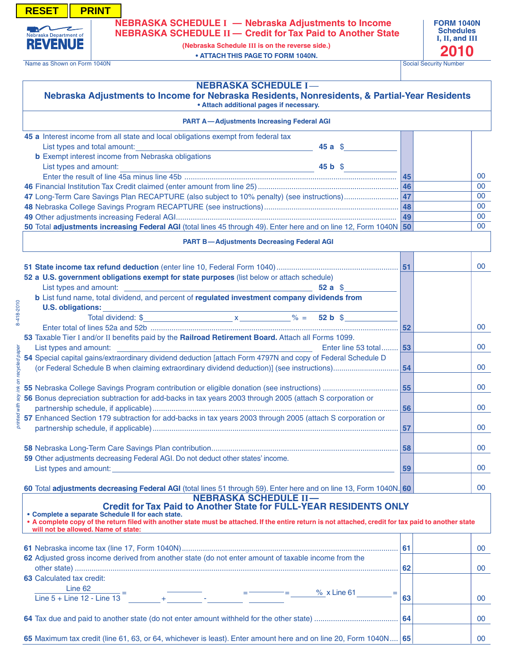**NEBRASKA SCHEDULE I — Nebraska Adjustments to Income NEBRASKA SCHEDULE II — Credit for Tax Paid to Another State**

> **(Nebraska Schedule Iii is on the reverse side.) • ATTACH THIS PAGE TO FORM 1040N.**

Name as Shown on Form 1040N Social Security Number

<span id="page-14-0"></span>**RESET | PRINT** 

Nebraska Department of **REVENUE** 

#### **Nebraska Schedule I—**

#### **• Attach additional pages if necessary. Nebraska Adjustments to Income for Nebraska Residents, Nonresidents, & Partial-Year Residents**

|                | <b>PART A-Adjustments Increasing Federal AGI</b>                                                                                                                                                                                                                                                                                                                                                                                                                                              |    |        |
|----------------|-----------------------------------------------------------------------------------------------------------------------------------------------------------------------------------------------------------------------------------------------------------------------------------------------------------------------------------------------------------------------------------------------------------------------------------------------------------------------------------------------|----|--------|
|                | 45 a Interest income from all state and local obligations exempt from federal tax                                                                                                                                                                                                                                                                                                                                                                                                             |    |        |
|                | List types and total amount:<br>45aS<br><u> 1989 - Johann Barbara, martxa alemaniar a</u>                                                                                                                                                                                                                                                                                                                                                                                                     |    |        |
|                | <b>b</b> Exempt interest income from Nebraska obligations                                                                                                                                                                                                                                                                                                                                                                                                                                     |    |        |
|                | List types and amount:<br>45 b S                                                                                                                                                                                                                                                                                                                                                                                                                                                              |    |        |
|                |                                                                                                                                                                                                                                                                                                                                                                                                                                                                                               | 45 | 00     |
|                |                                                                                                                                                                                                                                                                                                                                                                                                                                                                                               |    | 00     |
|                |                                                                                                                                                                                                                                                                                                                                                                                                                                                                                               |    | 00     |
|                |                                                                                                                                                                                                                                                                                                                                                                                                                                                                                               |    | 00     |
|                |                                                                                                                                                                                                                                                                                                                                                                                                                                                                                               |    | 00     |
|                | 50 Total adjustments increasing Federal AGI (total lines 45 through 49). Enter here and on line 12, Form 1040N 50                                                                                                                                                                                                                                                                                                                                                                             |    | 00     |
|                | <b>PART B-Adjustments Decreasing Federal AGI</b>                                                                                                                                                                                                                                                                                                                                                                                                                                              |    |        |
|                |                                                                                                                                                                                                                                                                                                                                                                                                                                                                                               |    | $00\,$ |
|                | 52 a U.S. government obligations exempt for state purposes (list below or attach schedule)                                                                                                                                                                                                                                                                                                                                                                                                    |    |        |
|                | $52a \text{ }$ \$                                                                                                                                                                                                                                                                                                                                                                                                                                                                             |    |        |
|                | b List fund name, total dividend, and percent of regulated investment company dividends from                                                                                                                                                                                                                                                                                                                                                                                                  |    |        |
|                |                                                                                                                                                                                                                                                                                                                                                                                                                                                                                               |    |        |
| 8-418-2010     |                                                                                                                                                                                                                                                                                                                                                                                                                                                                                               |    |        |
|                |                                                                                                                                                                                                                                                                                                                                                                                                                                                                                               | 52 | $00\,$ |
|                | 53 Taxable Tier I and/or II benefits paid by the Railroad Retirement Board. Attach all Forms 1099.                                                                                                                                                                                                                                                                                                                                                                                            |    |        |
|                | Enter line 53 total 53                                                                                                                                                                                                                                                                                                                                                                                                                                                                        |    | 00     |
| recycled paper | 54 Special capital gains/extraordinary dividend deduction [attach Form 4797N and copy of Federal Schedule D                                                                                                                                                                                                                                                                                                                                                                                   |    |        |
|                |                                                                                                                                                                                                                                                                                                                                                                                                                                                                                               | 54 | 00     |
|                |                                                                                                                                                                                                                                                                                                                                                                                                                                                                                               |    |        |
|                |                                                                                                                                                                                                                                                                                                                                                                                                                                                                                               |    | $00\,$ |
| Yos            | 56 Bonus depreciation subtraction for add-backs in tax years 2003 through 2005 (attach S corporation or                                                                                                                                                                                                                                                                                                                                                                                       |    |        |
|                |                                                                                                                                                                                                                                                                                                                                                                                                                                                                                               |    | $00\,$ |
| printed        | 57 Enhanced Section 179 subtraction for add-backs in tax years 2003 through 2005 (attach S corporation or                                                                                                                                                                                                                                                                                                                                                                                     |    |        |
|                |                                                                                                                                                                                                                                                                                                                                                                                                                                                                                               |    | 00     |
|                |                                                                                                                                                                                                                                                                                                                                                                                                                                                                                               |    |        |
|                |                                                                                                                                                                                                                                                                                                                                                                                                                                                                                               |    | 00     |
|                | 59 Other adjustments decreasing Federal AGI. Do not deduct other states' income.<br>List types and amount: the contract of the contract of the contract of the contract of the contract of the contract of the contract of the contract of the contract of the contract of the contract of the contract of the con                                                                                                                                                                            |    | 00     |
|                |                                                                                                                                                                                                                                                                                                                                                                                                                                                                                               | 59 |        |
|                | 60 Total adjustments decreasing Federal AGI (total lines 51 through 59). Enter here and on line 13, Form 1040N. 60                                                                                                                                                                                                                                                                                                                                                                            |    | 00     |
|                | <b>NEBRASKA SCHEDULE II-</b>                                                                                                                                                                                                                                                                                                                                                                                                                                                                  |    |        |
|                | <b>Credit for Tax Paid to Another State for FULL-YEAR RESIDENTS ONLY</b>                                                                                                                                                                                                                                                                                                                                                                                                                      |    |        |
|                | • Complete a separate Schedule II for each state.<br>• A complete copy of the return filed with another state must be attached. If the entire return is not attached, credit for tax paid to another state                                                                                                                                                                                                                                                                                    |    |        |
|                | will not be allowed. Name of state:                                                                                                                                                                                                                                                                                                                                                                                                                                                           |    |        |
|                |                                                                                                                                                                                                                                                                                                                                                                                                                                                                                               |    |        |
|                |                                                                                                                                                                                                                                                                                                                                                                                                                                                                                               |    | 00     |
|                | 62 Adjusted gross income derived from another state (do not enter amount of taxable income from the                                                                                                                                                                                                                                                                                                                                                                                           |    |        |
|                |                                                                                                                                                                                                                                                                                                                                                                                                                                                                                               |    | 00     |
|                | <b>63 Calculated tax credit:</b>                                                                                                                                                                                                                                                                                                                                                                                                                                                              |    |        |
|                | Line 62<br>$\frac{\text{Line 02}}{\text{Line 5 + Line 12 - Line 13}} = \frac{\text{Area 13}}{\text{Area 13}} = \frac{\text{Area 13}}{\text{Area 13}} = \frac{\text{Area 13}}{\text{Area 13}} = \frac{\text{Area 13}}{\text{Area 13}} = \frac{\text{Area 13}}{\text{Area 13}} = \frac{\text{Area 13}}{\text{Area 13}} = \frac{\text{Area 13}}{\text{Area 13}} = \frac{\text{Area 13}}{\text{Area 13}} = \frac{\text{Area 13}}{\text{Area 13}} = \frac{\text{Area 13}}{\text{Area 13}} = \frac$ |    |        |
|                |                                                                                                                                                                                                                                                                                                                                                                                                                                                                                               | 63 | 00     |
|                |                                                                                                                                                                                                                                                                                                                                                                                                                                                                                               |    |        |
|                |                                                                                                                                                                                                                                                                                                                                                                                                                                                                                               |    | 00     |
|                |                                                                                                                                                                                                                                                                                                                                                                                                                                                                                               |    |        |

**65** Maximum tax credit (line 61, 63, or 64, whichever is least). Enter amount here and on line 20, Form 1040N.... **65**

00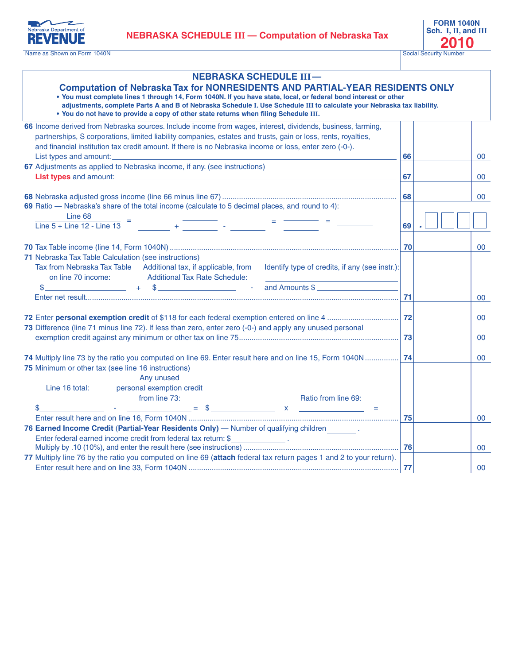**NEBRASKA SCHEDULE III** — **Computation of Nebraska Tax 2010**<br> **1** Social Security Number

<span id="page-15-0"></span>

Name as Shown on Form 1040N

**FORM 1040N Sch. I, II, and III**

| <b>NEBRASKA SCHEDULE III-</b><br><b>Computation of Nebraska Tax for NONRESIDENTS AND PARTIAL-YEAR RESIDENTS ONLY</b><br>. You must complete lines 1 through 14, Form 1040N. If you have state, local, or federal bond interest or other<br>adjustments, complete Parts A and B of Nebraska Schedule I. Use Schedule III to calculate your Nebraska tax liability.<br>. You do not have to provide a copy of other state returns when filing Schedule III.                    |    |        |  |
|------------------------------------------------------------------------------------------------------------------------------------------------------------------------------------------------------------------------------------------------------------------------------------------------------------------------------------------------------------------------------------------------------------------------------------------------------------------------------|----|--------|--|
| 66 Income derived from Nebraska sources. Include income from wages, interest, dividends, business, farming,                                                                                                                                                                                                                                                                                                                                                                  |    |        |  |
| partnerships, S corporations, limited liability companies, estates and trusts, gain or loss, rents, royalties,<br>and financial institution tax credit amount. If there is no Nebraska income or loss, enter zero (-0-).                                                                                                                                                                                                                                                     |    |        |  |
| 67 Adjustments as applied to Nebraska income, if any. (see instructions)                                                                                                                                                                                                                                                                                                                                                                                                     | 66 | 00     |  |
|                                                                                                                                                                                                                                                                                                                                                                                                                                                                              | 67 | 00     |  |
|                                                                                                                                                                                                                                                                                                                                                                                                                                                                              |    |        |  |
|                                                                                                                                                                                                                                                                                                                                                                                                                                                                              | 68 | 00     |  |
| 69 Ratio — Nebraska's share of the total income (calculate to 5 decimal places, and round to 4):                                                                                                                                                                                                                                                                                                                                                                             |    |        |  |
| Line 68<br>$\frac{1}{2}$ and $\frac{1}{2}$                                                                                                                                                                                                                                                                                                                                                                                                                                   |    |        |  |
| $\frac{\text{Line 68}}{\text{Line 5 + Line 12 - Line 13}} = \frac{\text{Line 68}}{\text{Line 14 - Line 13}} = \frac{\text{Line 68}}{\text{Line 14 - Line 13}} = \frac{\text{Line 68}}{\text{Line 14 - Line 13}} = \frac{\text{Line 68}}{\text{Line 14 - Line 13}} = \frac{\text{Line 68}}{\text{Line 14 - Line 13}} = \frac{\text{Line 68}}{\text{Line 14 - Line 13}} = \frac{\text{Line 68}}{\text{Line 14 - Line 13}} = \frac{\text{Line 68}}{\text{Line 14 - Line 13}} =$ | 69 |        |  |
|                                                                                                                                                                                                                                                                                                                                                                                                                                                                              |    |        |  |
|                                                                                                                                                                                                                                                                                                                                                                                                                                                                              | 70 | 00     |  |
| 71 Nebraska Tax Table Calculation (see instructions)                                                                                                                                                                                                                                                                                                                                                                                                                         |    |        |  |
| Tax from Nebraska Tax Table Additional tax, if applicable, from Identify type of credits, if any (see instr.):                                                                                                                                                                                                                                                                                                                                                               |    |        |  |
| on line 70 income: Additional Tax Rate Schedule:                                                                                                                                                                                                                                                                                                                                                                                                                             |    |        |  |
| <u>2006 - 2007 - Carl Stroman Stroman Stroman Stroman Stroman Stroman Stroman Stroman Stroman Stroman Stroman Stroman Stroman Stroman Stroman Stroman Stroman Stroman Stroman Stroman Stroman Stroman Stroman Stroman Stroman St</u><br>\$                                                                                                                                                                                                                                   |    |        |  |
|                                                                                                                                                                                                                                                                                                                                                                                                                                                                              | 71 | $00\,$ |  |
|                                                                                                                                                                                                                                                                                                                                                                                                                                                                              |    | 00     |  |
| 73 Difference (line 71 minus line 72). If less than zero, enter zero (-0-) and apply any unused personal                                                                                                                                                                                                                                                                                                                                                                     |    |        |  |
|                                                                                                                                                                                                                                                                                                                                                                                                                                                                              |    | 00     |  |
|                                                                                                                                                                                                                                                                                                                                                                                                                                                                              |    |        |  |
| 74 Multiply line 73 by the ratio you computed on line 69. Enter result here and on line 15, Form 1040N  74                                                                                                                                                                                                                                                                                                                                                                   |    | $00\,$ |  |
| 75 Minimum or other tax (see line 16 instructions)                                                                                                                                                                                                                                                                                                                                                                                                                           |    |        |  |
| Any unused                                                                                                                                                                                                                                                                                                                                                                                                                                                                   |    |        |  |
| Line 16 total: personal exemption credit                                                                                                                                                                                                                                                                                                                                                                                                                                     |    |        |  |
| from line 73:<br>Ratio from line 69:                                                                                                                                                                                                                                                                                                                                                                                                                                         |    |        |  |
| \$                                                                                                                                                                                                                                                                                                                                                                                                                                                                           |    |        |  |
|                                                                                                                                                                                                                                                                                                                                                                                                                                                                              | 75 | 00     |  |
| 76 Earned Income Credit (Partial-Year Residents Only) - Number of qualifying children _______.                                                                                                                                                                                                                                                                                                                                                                               |    |        |  |
| Enter federal earned income credit from federal tax return: \$                                                                                                                                                                                                                                                                                                                                                                                                               |    | 00     |  |
| 77 Multiply line 76 by the ratio you computed on line 69 (attach federal tax return pages 1 and 2 to your return).                                                                                                                                                                                                                                                                                                                                                           |    |        |  |
|                                                                                                                                                                                                                                                                                                                                                                                                                                                                              | 77 | 00     |  |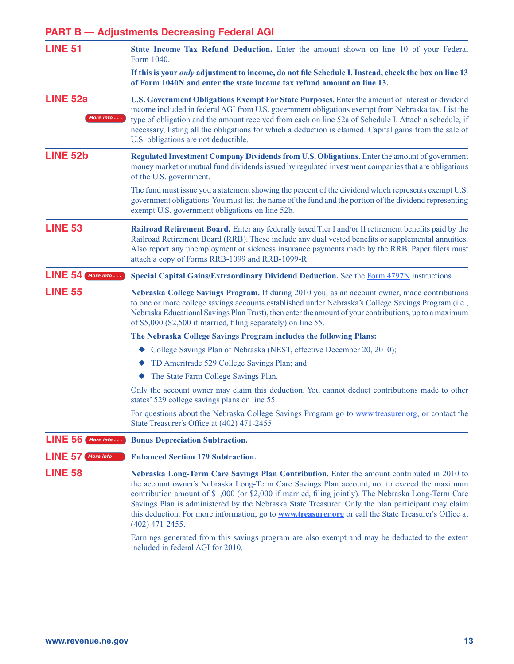### **PART B — Adjustments Decreasing Federal AGI**

| <b>LINE 51</b>                     | State Income Tax Refund Deduction. Enter the amount shown on line 10 of your Federal<br>Form 1040.                                                                                                                                                                                                                                                                                                                                                                                                                                                                                                                                           |
|------------------------------------|----------------------------------------------------------------------------------------------------------------------------------------------------------------------------------------------------------------------------------------------------------------------------------------------------------------------------------------------------------------------------------------------------------------------------------------------------------------------------------------------------------------------------------------------------------------------------------------------------------------------------------------------|
|                                    | If this is your <i>only</i> adjustment to income, do not file Schedule I. Instead, check the box on line 13<br>of Form 1040N and enter the state income tax refund amount on line 13.                                                                                                                                                                                                                                                                                                                                                                                                                                                        |
| <b>LINE 52a</b><br>More info       | U.S. Government Obligations Exempt For State Purposes. Enter the amount of interest or dividend<br>income included in federal AGI from U.S. government obligations exempt from Nebraska tax. List the<br>type of obligation and the amount received from each on line 52a of Schedule I. Attach a schedule, if<br>necessary, listing all the obligations for which a deduction is claimed. Capital gains from the sale of<br>U.S. obligations are not deductible.                                                                                                                                                                            |
| <b>LINE 52b</b>                    | Regulated Investment Company Dividends from U.S. Obligations. Enter the amount of government<br>money market or mutual fund dividends issued by regulated investment companies that are obligations<br>of the U.S. government.                                                                                                                                                                                                                                                                                                                                                                                                               |
|                                    | The fund must issue you a statement showing the percent of the dividend which represents exempt U.S.<br>government obligations. You must list the name of the fund and the portion of the dividend representing<br>exempt U.S. government obligations on line 52b.                                                                                                                                                                                                                                                                                                                                                                           |
| <b>LINE 53</b>                     | Railroad Retirement Board. Enter any federally taxed Tier I and/or II retirement benefits paid by the<br>Railroad Retirement Board (RRB). These include any dual vested benefits or supplemental annuities.<br>Also report any unemployment or sickness insurance payments made by the RRB. Paper filers must<br>attach a copy of Forms RRB-1099 and RRB-1099-R.                                                                                                                                                                                                                                                                             |
| $LINE 54$ More info                | Special Capital Gains/Extraordinary Dividend Deduction. See the Form 4797N instructions.                                                                                                                                                                                                                                                                                                                                                                                                                                                                                                                                                     |
| <b>LINE 55</b>                     | Nebraska College Savings Program. If during 2010 you, as an account owner, made contributions<br>to one or more college savings accounts established under Nebraska's College Savings Program (i.e.,<br>Nebraska Educational Savings Plan Trust), then enter the amount of your contributions, up to a maximum<br>of \$5,000 (\$2,500 if married, filing separately) on line 55.                                                                                                                                                                                                                                                             |
|                                    | The Nebraska College Savings Program includes the following Plans:                                                                                                                                                                                                                                                                                                                                                                                                                                                                                                                                                                           |
|                                    | ◆ College Savings Plan of Nebraska (NEST, effective December 20, 2010);                                                                                                                                                                                                                                                                                                                                                                                                                                                                                                                                                                      |
|                                    | • TD Ameritrade 529 College Savings Plan; and                                                                                                                                                                                                                                                                                                                                                                                                                                                                                                                                                                                                |
|                                    | The State Farm College Savings Plan.<br>٠                                                                                                                                                                                                                                                                                                                                                                                                                                                                                                                                                                                                    |
|                                    | Only the account owner may claim this deduction. You cannot deduct contributions made to other<br>states' 529 college savings plans on line 55.                                                                                                                                                                                                                                                                                                                                                                                                                                                                                              |
|                                    | For questions about the Nebraska College Savings Program go to www.treasurer.org, or contact the<br>State Treasurer's Office at (402) 471-2455.                                                                                                                                                                                                                                                                                                                                                                                                                                                                                              |
| <b>LINE 56</b><br>More info        | <b>Bonus Depreciation Subtraction.</b>                                                                                                                                                                                                                                                                                                                                                                                                                                                                                                                                                                                                       |
| <b>LINE 57</b><br><b>More info</b> | <b>Enhanced Section 179 Subtraction.</b>                                                                                                                                                                                                                                                                                                                                                                                                                                                                                                                                                                                                     |
| <b>LINE 58</b>                     | Nebraska Long-Term Care Savings Plan Contribution. Enter the amount contributed in 2010 to<br>the account owner's Nebraska Long-Term Care Savings Plan account, not to exceed the maximum<br>contribution amount of \$1,000 (or \$2,000 if married, filing jointly). The Nebraska Long-Term Care<br>Savings Plan is administered by the Nebraska State Treasurer. Only the plan participant may claim<br>this deduction. For more information, go to <b>www.treasurer.org</b> or call the State Treasurer's Office at<br>$(402)$ 471-2455.<br>Earnings generated from this savings program are also exempt and may be deducted to the extent |
|                                    | included in federal AGI for 2010.                                                                                                                                                                                                                                                                                                                                                                                                                                                                                                                                                                                                            |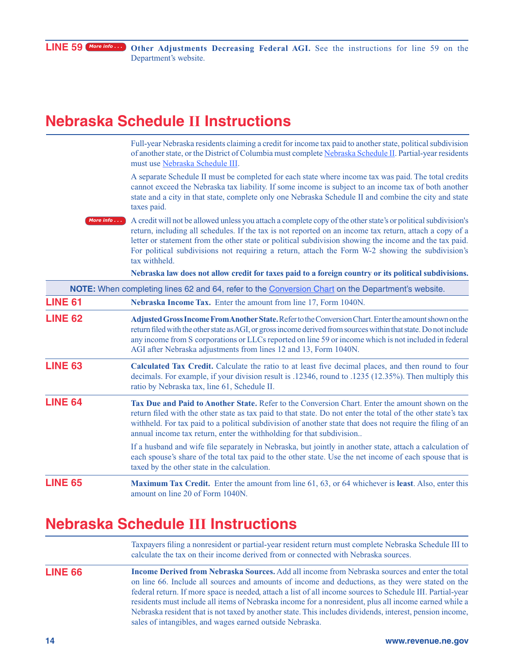### **Nebraska Schedule II Instructions**

Full-year Nebraska residents claiming a credit for income tax paid to another state, political subdivision of another state, or the District of Columbia must complete [Nebraska Schedule II.](#page-14-0) Partial-year residents must use [Nebraska Schedule III.](#page-15-0)

A separate Schedule II must be completed for each state where income tax was paid. The total credits cannot exceed the Nebraska tax liability. If some income is subject to an income tax of both another state and a city in that state, complete only one Nebraska Schedule II and combine the city and state taxes paid.

A credit will not be allowed unless you attach a complete copy of the other state's or political subdivision's return, including all schedules. If the tax is not reported on an income tax return, attach a copy of a letter or statement from the other state or political subdivision showing the income and the tax paid. For political subdivisions not requiring a return, attach the Form W-2 showing the subdivision's tax withheld. *[More info](http://www.revenue.ne.gov/tax/current/2010_indiv_bklt/credit.html) . . .*

**Nebraska law does not allow credit for taxes paid to a foreign country or its political subdivisions.** 

|                | NOTE: When completing lines 62 and 64, refer to the Conversion Chart on the Department's website.                                                                                                                                                                                                                                                                                                       |
|----------------|---------------------------------------------------------------------------------------------------------------------------------------------------------------------------------------------------------------------------------------------------------------------------------------------------------------------------------------------------------------------------------------------------------|
| <b>LINE 61</b> | Nebraska Income Tax. Enter the amount from line 17, Form 1040N.                                                                                                                                                                                                                                                                                                                                         |
| <b>LINE 62</b> | Adjusted Gross Income From Another State. Refer to the Conversion Chart. Enter the amount shown on the<br>return filed with the other state as AGI, or gross income derived from sources within that state. Do not include<br>any income from S corporations or LLCs reported on line 59 or income which is not included in federal<br>AGI after Nebraska adjustments from lines 12 and 13, Form 1040N. |
| <b>LINE 63</b> | Calculated Tax Credit. Calculate the ratio to at least five decimal places, and then round to four<br>decimals. For example, if your division result is .12346, round to .1235 (12.35%). Then multiply this<br>ratio by Nebraska tax, line 61, Schedule II.                                                                                                                                             |
| <b>LINE 64</b> | Tax Due and Paid to Another State, Refer to the Conversion Chart. Enter the amount shown on the<br>return filed with the other state as tax paid to that state. Do not enter the total of the other state's tax<br>withheld. For tax paid to a political subdivision of another state that does not require the filing of an<br>annual income tax return, enter the withholding for that subdivision    |
|                | If a husband and wife file separately in Nebraska, but jointly in another state, attach a calculation of<br>each spouse's share of the total tax paid to the other state. Use the net income of each spouse that is<br>taxed by the other state in the calculation.                                                                                                                                     |
| <b>LINE 65</b> | <b>Maximum Tax Credit.</b> Enter the amount from line 61, 63, or 64 whichever is <b>least</b> . Also, enter this<br>amount on line 20 of Form 1040N.                                                                                                                                                                                                                                                    |

### **Nebraska Schedule III Instructions**

**LINE 66** Taxpayers filing a nonresident or partial-year resident return must complete [Nebraska Schedule III](#page-15-0) to calculate the tax on their income derived from or connected with Nebraska sources. **Income Derived from Nebraska Sources.** Add all income from Nebraska sources and enter the total on line 66. Include all sources and amounts of income and deductions, as they were stated on the federal return. If more space is needed, attach a list of all income sources to Schedule III. Partial-year residents must include all items of Nebraska income for a nonresident, plus all income earned while a Nebraska resident that is not taxed by another state. This includes dividends, interest, pension income, sales of intangibles, and wages earned outside Nebraska.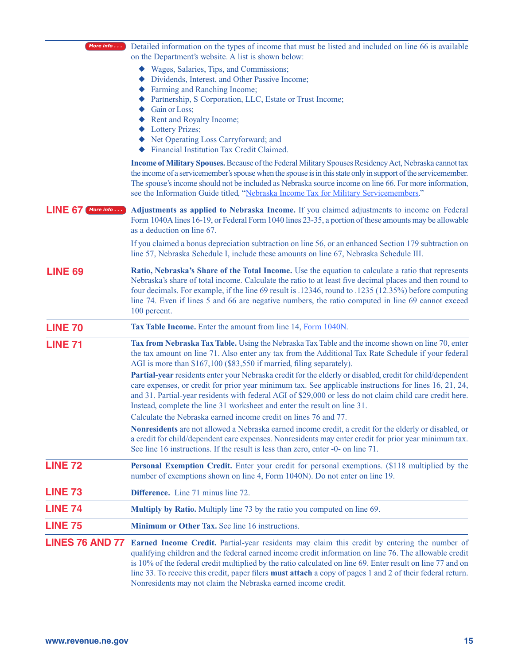| More info                    | Detailed information on the types of income that must be listed and included on line 66 is available<br>on the Department's website. A list is shown below:                                                                                                                                                                                                                                                                                                                                               |
|------------------------------|-----------------------------------------------------------------------------------------------------------------------------------------------------------------------------------------------------------------------------------------------------------------------------------------------------------------------------------------------------------------------------------------------------------------------------------------------------------------------------------------------------------|
|                              | Wages, Salaries, Tips, and Commissions;<br>Dividends, Interest, and Other Passive Income;<br>Farming and Ranching Income;<br>Partnership, S Corporation, LLC, Estate or Trust Income;                                                                                                                                                                                                                                                                                                                     |
|                              | Gain or Loss;<br>Rent and Royalty Income;<br><b>Lottery Prizes;</b><br>Net Operating Loss Carryforward; and<br>Financial Institution Tax Credit Claimed.                                                                                                                                                                                                                                                                                                                                                  |
|                              | Income of Military Spouses. Because of the Federal Military Spouses Residency Act, Nebraska cannot tax<br>the income of a servicemember's spouse when the spouse is in this state only in support of the servicemember.<br>The spouse's income should not be included as Nebraska source income on line 66. For more information,<br>see the Information Guide titled, "Nebraska Income Tax for Military Servicemembers."                                                                                 |
| <b>LINE 67</b><br>More info. | Adjustments as applied to Nebraska Income. If you claimed adjustments to income on Federal<br>Form 1040A lines 16-19, or Federal Form 1040 lines 23-35, a portion of these amounts may be allowable<br>as a deduction on line 67.                                                                                                                                                                                                                                                                         |
|                              | If you claimed a bonus depreciation subtraction on line 56, or an enhanced Section 179 subtraction on<br>line 57, Nebraska Schedule I, include these amounts on line 67, Nebraska Schedule III.                                                                                                                                                                                                                                                                                                           |
| <b>LINE 69</b>               | Ratio, Nebraska's Share of the Total Income. Use the equation to calculate a ratio that represents<br>Nebraska's share of total income. Calculate the ratio to at least five decimal places and then round to<br>four decimals. For example, if the line 69 result is .12346, round to .1235 (12.35%) before computing<br>line 74. Even if lines 5 and 66 are negative numbers, the ratio computed in line 69 cannot exceed<br>100 percent.                                                               |
| <b>LINE 70</b>               | Tax Table Income. Enter the amount from line 14, Form 1040N.                                                                                                                                                                                                                                                                                                                                                                                                                                              |
| <b>LINE 71</b>               | Tax from Nebraska Tax Table. Using the Nebraska Tax Table and the income shown on line 70, enter<br>the tax amount on line 71. Also enter any tax from the Additional Tax Rate Schedule if your federal<br>AGI is more than \$167,100 (\$83,550 if married, filing separately).                                                                                                                                                                                                                           |
|                              | Partial-year residents enter your Nebraska credit for the elderly or disabled, credit for child/dependent<br>care expenses, or credit for prior year minimum tax. See applicable instructions for lines 16, 21, 24,<br>and 31. Partial-year residents with federal AGI of \$29,000 or less do not claim child care credit here.<br>Instead, complete the line 31 worksheet and enter the result on line 31.                                                                                               |
|                              | Calculate the Nebraska earned income credit on lines 76 and 77.<br>Nonresidents are not allowed a Nebraska earned income credit, a credit for the elderly or disabled, or<br>a credit for child/dependent care expenses. Nonresidents may enter credit for prior year minimum tax.<br>See line 16 instructions. If the result is less than zero, enter -0- on line 71.                                                                                                                                    |
| <b>LINE 72</b>               | Personal Exemption Credit. Enter your credit for personal exemptions. (\$118 multiplied by the<br>number of exemptions shown on line 4, Form 1040N). Do not enter on line 19.                                                                                                                                                                                                                                                                                                                             |
| <b>LINE 73</b>               | <b>Difference.</b> Line 71 minus line 72.                                                                                                                                                                                                                                                                                                                                                                                                                                                                 |
| <b>LINE 74</b>               | Multiply by Ratio. Multiply line 73 by the ratio you computed on line 69.                                                                                                                                                                                                                                                                                                                                                                                                                                 |
| <b>LINE 75</b>               | Minimum or Other Tax. See line 16 instructions.                                                                                                                                                                                                                                                                                                                                                                                                                                                           |
| <b>LINES 76 AND 77</b>       | Earned Income Credit. Partial-year residents may claim this credit by entering the number of<br>qualifying children and the federal earned income credit information on line 76. The allowable credit<br>is 10% of the federal credit multiplied by the ratio calculated on line 69. Enter result on line 77 and on<br>line 33. To receive this credit, paper filers <b>must attach</b> a copy of pages 1 and 2 of their federal return.<br>Nonresidents may not claim the Nebraska earned income credit. |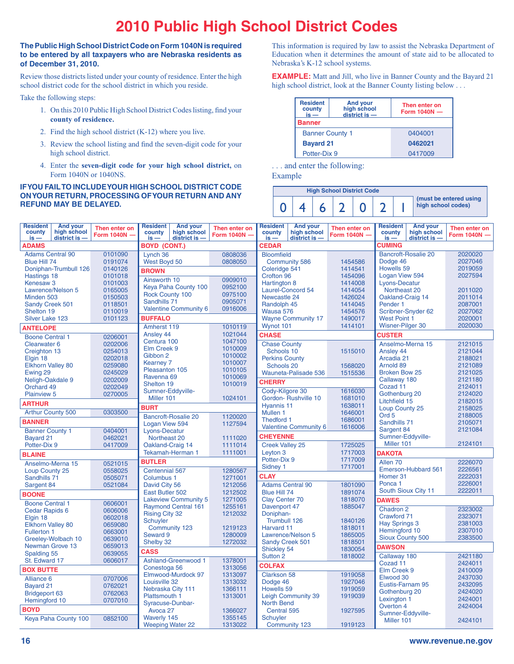### **2010 Public High School District Codes**

#### **The Public High School District Code on Form 1040N is required to be entered by all taxpayers who are Nebraska residents as of December 31, 2010.**

Review those districts listed under your county of residence. Enter the high school district code for the school district in which you reside.

Take the following steps:

- 1. On this 2010 Public High School District Codes listing, find your **county of residence.**
- 2. Find the high school district (K-12) where you live.
- 3. Review the school listing and find the seven-digit code for your high school district.
- 4. Enter the **seven-digit code for your high school district,** on Form 1040N or 1040NS.

#### **If you fail to include your HIGH school district CODE on your return, processing of your return and any refund may be delayed.**

This information is required by law to assist the Nebraska Department of Education when it determines the amount of state aid to be allocated to Nebraska's K-12 school systems.

**EXAMPLE:** Matt and Jill, who live in Banner County and the Bayard 21 high school district, look at the Banner County listing below . . .

| <b>Resident</b><br>county<br>$is -$ | <b>And your</b><br>high school<br>$district$ is $-$ | Then enter on<br>Form $1040N -$ |  |  |  |  |  |
|-------------------------------------|-----------------------------------------------------|---------------------------------|--|--|--|--|--|
| Banner                              |                                                     |                                 |  |  |  |  |  |
| <b>Banner County 1</b>              |                                                     | 0404001                         |  |  |  |  |  |
| <b>Bayard 21</b>                    |                                                     | 0462021                         |  |  |  |  |  |
| Potter-Dix 9                        |                                                     | 0417009                         |  |  |  |  |  |

. . . and enter the following:

Example

|  | <b>High School District Code</b> |  |  |                                              |
|--|----------------------------------|--|--|----------------------------------------------|
|  |                                  |  |  | (must be entered using<br>high school codes) |

| <b>And your</b><br><b>Resident</b><br>Then enter on<br>county<br>high school<br>Form 1040N -<br>district is -<br>$is -$ | <b>And your</b><br><b>Resident</b><br>county<br>high school<br>$district$ is $-$<br>$is -$ | Then enter on<br>Form 1040N - | <b>And your</b><br><b>Resident</b><br>high school<br>county<br>$district$ is $-$<br>$is -$ | Then enter on<br>Form 1040N - | <b>And your</b><br><b>Resident</b><br>county<br>high school<br>$district$ is $-$<br>$is -$ | Then enter on<br>Form 1040N - |  |  |
|-------------------------------------------------------------------------------------------------------------------------|--------------------------------------------------------------------------------------------|-------------------------------|--------------------------------------------------------------------------------------------|-------------------------------|--------------------------------------------------------------------------------------------|-------------------------------|--|--|
| <b>ADAMS</b>                                                                                                            | <b>BOYD (CONT.)</b>                                                                        |                               | <b>CEDAR</b>                                                                               |                               | <b>CUMING</b>                                                                              |                               |  |  |
| 0101090<br><b>Adams Central 90</b><br>0191074<br>Blue Hill 74                                                           | Lynch 36<br>West Boyd 50                                                                   | 0808036<br>0808050            | <b>Bloomfield</b><br><b>Community 586</b>                                                  | 1454586                       | <b>Bancroft-Rosalie 20</b><br>Dodge 46                                                     | 2020020<br>2027046            |  |  |
| 0140126<br>Doniphan-Trumbull 126                                                                                        | <b>BROWN</b>                                                                               |                               | Coleridge 541                                                                              | 1414541                       | Howells 59                                                                                 | 2019059                       |  |  |
| Hastings 18<br>0101018                                                                                                  | Ainsworth 10                                                                               | 0909010                       | Crofton 96                                                                                 | 1454096                       | Logan View 594                                                                             | 2027594                       |  |  |
| Kenesaw <sub>3</sub><br>0101003                                                                                         | Keya Paha County 100                                                                       | 0952100                       | <b>Hartington 8</b>                                                                        | 1414008                       | <b>Lyons-Decatur</b>                                                                       | 2011020                       |  |  |
| Lawrence/Nelson 5<br>0165005<br>Minden 503<br>0150503                                                                   | <b>Rock County 100</b>                                                                     | 0975100                       | Laurel-Concord 54<br>Newcastle 24                                                          | 1414054<br>1426024            | Northeast 20<br>Oakland-Craig 14                                                           | 2011014                       |  |  |
| 0118501<br>Sandy Creek 501                                                                                              | Sandhills 71                                                                               | 0905071                       | Randolph 45                                                                                | 1414045                       | Pender <sub>1</sub>                                                                        | 2087001                       |  |  |
| Shelton 19<br>0110019                                                                                                   | <b>Valentine Community 6</b>                                                               | 0916006                       | Wausa 576                                                                                  | 1454576                       | Scribner-Snyder 62                                                                         | 2027062                       |  |  |
| Silver Lake 123<br>0101123                                                                                              | <b>BUFFALO</b>                                                                             |                               | <b>Wayne Community 17</b>                                                                  | 1490017                       | <b>West Point 1</b>                                                                        | 2020001                       |  |  |
| <b>ANTELOPE</b>                                                                                                         | Amherst 119                                                                                | 1010119                       | Wynot 101                                                                                  | 1414101                       | Wisner-Pilger 30                                                                           | 2020030                       |  |  |
| <b>Boone Central 1</b><br>0206001                                                                                       | Ansley 44<br>Centura 100                                                                   | 1021044<br>1047100            | <b>CHASE</b>                                                                               |                               | <b>CUSTER</b>                                                                              |                               |  |  |
| 0202006<br><b>Clearwater 6</b>                                                                                          | Elm Creek 9                                                                                | 1010009                       | <b>Chase County</b>                                                                        |                               | Anselmo-Merna 15                                                                           | 2121015                       |  |  |
| Creighton 13<br>0254013<br>0202018<br>Elgin 18                                                                          | Gibbon 2                                                                                   | 1010002                       | Schools 10<br><b>Perkins County</b>                                                        | 1515010                       | Ansley 44<br>Arcadia 21                                                                    | 2121044<br>2188021            |  |  |
| <b>Elkhorn Valley 80</b><br>0259080                                                                                     | <b>Kearney 7</b>                                                                           | 1010007                       | Schools 20                                                                                 | 1568020                       | Arnold 89                                                                                  | 2121089                       |  |  |
| Ewing 29<br>0245029                                                                                                     | Pleasanton 105                                                                             | 1010105                       | Wauneta-Palisade 536                                                                       | 1515536                       | <b>Broken Bow 25</b>                                                                       | 2121025                       |  |  |
| 0202009<br>Neligh-Oakdale 9                                                                                             | Ravenna <sub>69</sub><br>Shelton 19                                                        | 1010069<br>1010019            | <b>CHERRY</b>                                                                              |                               | Callaway 180                                                                               | 2121180                       |  |  |
| Orchard 49<br>0202049                                                                                                   | Sumner-Eddyville-                                                                          |                               | Cody-Kilgore 30                                                                            | 1616030                       | Cozad 11                                                                                   | 2124011                       |  |  |
| <b>Plainview 5</b><br>0270005                                                                                           | Miller 101                                                                                 | 1024101                       | Gordon-Rushville 10                                                                        | 1681010                       | Gothenburg 20<br>Litchfield 15                                                             | 2124020<br>2182015            |  |  |
| <b>ARTHUR</b>                                                                                                           | <b>BURT</b>                                                                                |                               | Hvannis 11                                                                                 | 1638011                       | Loup County 25                                                                             | 2158025                       |  |  |
| <b>Arthur County 500</b><br>0303500                                                                                     | <b>Bancroft-Rosalie 20</b>                                                                 | 1120020                       | Mullen <sub>1</sub>                                                                        | 1646001                       | Ord <sub>5</sub>                                                                           | 2188005                       |  |  |
| <b>BANNER</b>                                                                                                           | Logan View 594                                                                             | 1127594                       | Thedford 1                                                                                 | 1686001<br>1616006            | Sandhills 71                                                                               | 2105071                       |  |  |
| <b>Banner County 1</b><br>0404001                                                                                       | Lyons-Decatur                                                                              |                               | Valentine Community 6                                                                      |                               | Sargent 84                                                                                 | 2121084                       |  |  |
| <b>Bayard 21</b><br>0462021                                                                                             | Northeast 20                                                                               | 1111020                       | <b>CHEYENNE</b>                                                                            |                               | Sumner-Eddyville-<br>Miller 101                                                            | 2124101                       |  |  |
| Potter-Dix 9<br>0417009                                                                                                 | Oakland-Craig 14<br>Tekamah-Herman 1                                                       | 1111014<br>1111001            | <b>Creek Valley 25</b><br>Leyton 3                                                         | 1725025<br>1717003            | <b>DAKOTA</b>                                                                              |                               |  |  |
| <b>BLAINE</b>                                                                                                           | <b>BUTLER</b>                                                                              |                               | Potter-Dix 9                                                                               | 1717009                       | Allen <sub>70</sub>                                                                        | 2226070                       |  |  |
| Anselmo-Merna 15<br>0521015<br>0558025<br>Loup County 25                                                                | <b>Centennial 567</b>                                                                      | 1280567                       | Sidney 1                                                                                   | 1717001                       | Emerson-Hubbard 561                                                                        | 2226561                       |  |  |
| Sandhills 71<br>0505071                                                                                                 | Columbus 1                                                                                 | 1271001                       | <b>CLAY</b>                                                                                |                               | Homer <sub>31</sub>                                                                        | 2222031                       |  |  |
| 0521084<br>Sargent 84                                                                                                   | David City 56                                                                              | 1212056                       | <b>Adams Central 90</b>                                                                    | 1801090                       | Ponca <sub>1</sub>                                                                         | 2226001                       |  |  |
| <b>BOONE</b>                                                                                                            | East Butler 502                                                                            | 1212502                       | Blue Hill 74                                                                               | 1891074                       | South Sioux City 11                                                                        | 2222011                       |  |  |
| <b>Boone Central 1</b><br>0606001                                                                                       | <b>Lakeview Community 5</b>                                                                | 1271005                       | <b>Clay Center 70</b>                                                                      | 1818070                       | <b>DAWES</b>                                                                               |                               |  |  |
| Cedar Rapids 6<br>0606006                                                                                               | <b>Raymond Central 161</b><br><b>Rising City 32</b>                                        | 1255161<br>1212032            | Davenport 47<br>Doniphan-                                                                  | 1885047                       | Chadron 2                                                                                  | 2323002                       |  |  |
| Elgin 18<br>0602018                                                                                                     | <b>Schuyler</b>                                                                            |                               | Trumbull 126                                                                               | 1840126                       | Crawford 71                                                                                | 2323071<br>2381003            |  |  |
| 0659080<br><b>Elkhorn Valley 80</b>                                                                                     | Community 123                                                                              | 1219123                       | Harvard 11                                                                                 | 1818011                       | <b>Hay Springs 3</b><br>Hemingford 10                                                      | 2307010                       |  |  |
| 0663001<br><b>Fullerton 1</b><br>0639010<br>Greeley-Wolbach 10                                                          | Seward 9                                                                                   | 1280009                       | Lawrence/Nelson 5                                                                          | 1865005                       | Sioux County 500                                                                           | 2383500                       |  |  |
| Newman Grove 13<br>0659013                                                                                              | Shelby 32                                                                                  | 1272032                       | Sandy Creek 501                                                                            | 1818501                       | <b>DAWSON</b>                                                                              |                               |  |  |
| Spalding 55<br>0639055                                                                                                  | <b>CASS</b>                                                                                |                               | Shickley 54<br>Sutton 2                                                                    | 1830054<br>1818002            | Callaway 180                                                                               | 2421180                       |  |  |
| St. Edward 17<br>0606017                                                                                                | Ashland-Greenwood 1                                                                        | 1378001                       | <b>COLFAX</b>                                                                              |                               | Cozad 11                                                                                   | 2424011                       |  |  |
| <b>BOX BUTTE</b>                                                                                                        | Conestoga 56                                                                               | 1313056                       |                                                                                            |                               | Elm Creek 9                                                                                | 2410009                       |  |  |
| 0707006<br>Alliance 6                                                                                                   | Elmwood-Murdock 97<br>Louisville 32                                                        | 1313097<br>1313032            | <b>Clarkson 58</b><br>Dodge 46                                                             | 1919058<br>1927046            | Elwood 30                                                                                  | 2437030                       |  |  |
| <b>Bayard 21</b><br>0762021                                                                                             | Nebraska City 111                                                                          | 1366111                       | Howells 59                                                                                 | 1919059                       | Eustis-Farnam 95                                                                           | 2432095                       |  |  |
| <b>Bridgeport 63</b><br>0762063                                                                                         | <b>Plattsmouth 1</b><br>1313001                                                            |                               | <b>Leigh Community 39</b><br>1919039                                                       |                               | Gothenburg 20<br>Lexington 1                                                               | 2424020<br>2424001            |  |  |
| Hemingford 10<br>0707010                                                                                                | Syracuse-Dunbar-                                                                           |                               | <b>North Bend</b>                                                                          |                               | Overton 4                                                                                  | 2424004                       |  |  |
| <b>BOYD</b>                                                                                                             | Avoca 27                                                                                   | 1366027                       | Central 595                                                                                | 1927595                       | Sumner-Eddyville-                                                                          |                               |  |  |
| Keya Paha County 100<br>0852100                                                                                         | Waverly 145<br><b>Weeping Water 22</b>                                                     | 1355145<br>1313022            | <b>Schuyler</b><br>Community 123                                                           | 1919123                       | Miller 101                                                                                 | 2424101                       |  |  |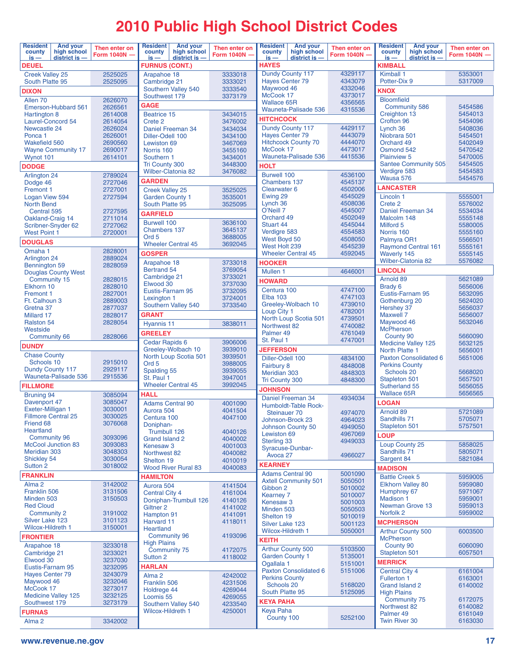# **2010 Public High School District Codes**

| <b>Resident</b><br>county<br>$is -$         | <b>And your</b><br>high school<br>district is - | Then enter on<br>Form 1040N - | <b>Resident</b><br>county<br>$is -$              | <b>And your</b><br>high school<br>$district$ is $-$ | Then enter on<br>Form 1040N - | <b>Resident</b><br>county<br>$is -$  | <b>And your</b><br>high school<br>district is - | Then enter on<br>Form 1040N - | <b>Resident</b><br>county<br>is —                      | Then enter on<br>Form 1040N - |                    |  |  |  |
|---------------------------------------------|-------------------------------------------------|-------------------------------|--------------------------------------------------|-----------------------------------------------------|-------------------------------|--------------------------------------|-------------------------------------------------|-------------------------------|--------------------------------------------------------|-------------------------------|--------------------|--|--|--|
| <b>DEUEL</b>                                |                                                 |                               | <b>FURNUS (CONT.)</b>                            |                                                     |                               | <b>HAYES</b>                         |                                                 |                               | district is -<br><b>KIMBALL</b>                        |                               |                    |  |  |  |
| <b>Creek Valley 25</b>                      |                                                 | 2525025                       | Arapahoe 18                                      |                                                     | 3333018                       |                                      | Dundy County 117                                | 4329117                       | Kimball 1                                              | 5353001                       |                    |  |  |  |
| South Platte 95                             |                                                 | 2525095                       | Cambridge 21                                     |                                                     | 3333021<br>3333540            | <b>Hayes Center 79</b><br>Maywood 46 |                                                 | 4343079<br>4332046            | Potter-Dix 9                                           |                               | 5317009            |  |  |  |
| <b>DIXON</b>                                |                                                 |                               | Southwest 179                                    | Southern Valley 540                                 | 3373179                       | McCook 17                            |                                                 | 4373017                       | <b>KNOX</b>                                            |                               |                    |  |  |  |
| Allen <sub>70</sub>                         | Emerson-Hubbard 561                             | 2626070<br>2626561            | <b>GAGE</b>                                      |                                                     |                               | <b>Wallace 65R</b>                   |                                                 | 4356565                       | <b>Bloomfield</b><br><b>Community 586</b>              | 5454586                       |                    |  |  |  |
| Hartington 8                                |                                                 | 2614008                       | <b>Beatrice 15</b>                               |                                                     | 3434015                       |                                      | Wauneta-Palisade 536                            | 4315536                       | Creighton 13                                           |                               | 5454013            |  |  |  |
| Laurel-Concord 54                           |                                                 | 2614054                       | Crete 2                                          |                                                     | 3476002                       | <b>HITCHCOCK</b>                     |                                                 |                               | Crofton 96                                             |                               | 5454096            |  |  |  |
| Newcastle 24                                |                                                 | 2626024                       |                                                  | Daniel Freeman 34                                   | 3434034                       |                                      | Dundy County 117                                | 4429117                       | Lynch 36                                               |                               | 5408036            |  |  |  |
| Ponca <sub>1</sub><br><b>Wakefield 560</b>  |                                                 | 2626001<br>2690560            | Diller-Odell 100<br>Lewiston 69                  |                                                     | 3434100<br>3467069            | <b>Hayes Center 79</b>               | <b>Hitchcock County 70</b>                      | 4443079<br>4444070            | Niobrara 501<br>Orchard 49                             |                               | 5454501<br>5402049 |  |  |  |
|                                             | <b>Wayne Community 17</b>                       | 2690017                       | Norris 160                                       |                                                     | 3455160                       | McCook 17                            |                                                 | 4473017                       | Osmond 542                                             |                               | 5470542            |  |  |  |
| Wynot 101                                   |                                                 | 2614101                       | Southern 1                                       |                                                     | 3434001                       |                                      | Wauneta-Palisade 536                            | 4415536                       | <b>Plainview 5</b>                                     |                               | 5470005            |  |  |  |
| <b>DODGE</b>                                |                                                 |                               | <b>Tri County 300</b>                            |                                                     | 3448300                       | <b>HOLT</b>                          |                                                 |                               | Verdigre 583                                           | Santee Community 505          | 5454505<br>5454583 |  |  |  |
| Arlington 24                                |                                                 | 2789024                       |                                                  | <b>Wilber-Clatonia 82</b>                           | 3476082                       | <b>Burwell 100</b>                   |                                                 | 4536100                       | Wausa 576                                              |                               | 5454576            |  |  |  |
| Dodge 46                                    |                                                 | 2727046                       | <b>GARDEN</b>                                    |                                                     |                               | <b>Chambers 137</b><br>Clearwater 6  |                                                 | 4545137<br>4502006            | <b>LANCASTER</b>                                       |                               |                    |  |  |  |
| <b>Fremont 1</b><br>Logan View 594          |                                                 | 2727001<br>2727594            | <b>Creek Valley 25</b><br><b>Garden County 1</b> |                                                     | 3525025<br>3535001            | Ewing 29                             |                                                 | 4545029                       | Lincoln 1                                              |                               | 5555001            |  |  |  |
| <b>North Bend</b>                           |                                                 |                               | South Platte 95                                  |                                                     | 3525095                       | Lynch 36                             |                                                 | 4508036                       | Crete 2                                                |                               | 5576002            |  |  |  |
| Central 595                                 |                                                 | 2727595                       | <b>GARFIELD</b>                                  |                                                     |                               | O'Neill 7                            |                                                 | 4545007                       |                                                        | Daniel Freeman 34             | 5534034            |  |  |  |
| Oakland-Craig 14                            | Scribner-Snyder 62                              | 2711014<br>2727062            | <b>Burwell 100</b>                               |                                                     | 3636100                       | Orchard 49<br><b>Stuart 44</b>       |                                                 | 4502049<br>4545044            | Malcolm 148<br>Milford 5                               |                               | 5555148<br>5580005 |  |  |  |
| <b>West Point 1</b>                         |                                                 | 2720001                       | <b>Chambers 137</b>                              |                                                     | 3645137                       | Verdigre 583                         |                                                 | 4554583                       | Norris 160                                             |                               | 5555160            |  |  |  |
| <b>DOUGLAS</b>                              |                                                 |                               | Ord <sub>5</sub>                                 | <b>Wheeler Central 45</b>                           | 3688005<br>3692045            | West Boyd 50                         |                                                 | 4508050                       | Palmyra OR1                                            |                               | 5566501            |  |  |  |
| Omaha 1                                     |                                                 | 2828001                       | <b>GOSPER</b>                                    |                                                     |                               | West Holt 239                        | <b>Wheeler Central 45</b>                       | 4545239<br>4592045            |                                                        | <b>Raymond Central 161</b>    | 5555161            |  |  |  |
| Arlington 24                                |                                                 | 2889024                       | Arapahoe 18                                      |                                                     | 3733018                       | <b>HOOKER</b>                        |                                                 |                               | <b>Waverly 145</b>                                     | <b>Wilber-Clatonia 82</b>     | 5555145<br>5576082 |  |  |  |
| Bennington 59                               |                                                 | 2828059                       | <b>Bertrand 54</b>                               |                                                     | 3769054                       | Mullen <sub>1</sub>                  |                                                 | 4646001                       | <b>LINCOLN</b>                                         |                               |                    |  |  |  |
| Community 15                                | <b>Douglas County West</b>                      | 2828015                       | Cambridge 21                                     |                                                     | 3733021                       | <b>HOWARD</b>                        |                                                 |                               | Arnold 89                                              |                               | 5621089            |  |  |  |
| Elkhorn 10                                  |                                                 | 2828010                       | Elwood 30                                        |                                                     | 3737030                       | Centura 100                          |                                                 | 4747100                       | Brady 6                                                |                               | 5656006            |  |  |  |
| <b>Fremont 1</b>                            |                                                 | 2827001                       | Eustis-Farnam 95<br>Lexington 1                  |                                                     | 3732095<br>3724001            | <b>Elba 103</b>                      |                                                 | 4747103                       | Eustis-Farnam 95                                       |                               | 5632095            |  |  |  |
| Ft. Calhoun 3<br>Gretna 37                  |                                                 | 2889003<br>2877037            |                                                  | Southern Valley 540                                 | 3733540                       |                                      | Greeley-Wolbach 10                              | 4739010                       | Gothenburg 20<br>Hershey 37                            |                               | 5624020<br>5656037 |  |  |  |
| Millard 17                                  |                                                 | 2828017                       | <b>GRANT</b>                                     |                                                     |                               | Loup City 1                          |                                                 | 4782001                       | <b>Maxwell 7</b>                                       |                               | 5656007            |  |  |  |
| <b>Ralston 54</b>                           |                                                 | 2828054                       | Hyannis 11                                       |                                                     | 3838011                       | Northwest 82                         | North Loup Scotia 501                           | 4739501<br>4740082            | Maywood 46                                             |                               | 5632046            |  |  |  |
| Westside                                    |                                                 |                               | <b>GREELEY</b>                                   |                                                     |                               | Palmer <sub>49</sub>                 |                                                 | 4761049                       | <b>McPherson</b>                                       |                               |                    |  |  |  |
| <b>Community 66</b>                         |                                                 | 2828066                       | Cedar Rapids 6                                   |                                                     | 3906006                       | St. Paul 1                           |                                                 | 4747001                       | County 90                                              | <b>Medicine Valley 125</b>    | 5660090<br>5632125 |  |  |  |
| <b>DUNDY</b>                                |                                                 |                               |                                                  | Greeley-Wolbach 10                                  | 3939010                       |                                      | <b>JEFFERSON</b>                                |                               |                                                        | North Platte 1                | 5656001            |  |  |  |
| <b>Chase County</b><br>Schools 10           |                                                 | 2915010                       | Ord <sub>5</sub>                                 | North Loup Scotia 501                               | 3939501<br>3988005            | Diller-Odell 100<br>4834100          |                                                 |                               |                                                        | <b>Paxton Consolidated 6</b>  | 5651006            |  |  |  |
| Dundy County 117                            |                                                 | 2929117                       | Spalding 55                                      |                                                     | 3939055                       | Fairbury 8<br><b>Meridian 303</b>    |                                                 | 4848008<br>4848303            | <b>Perkins County</b><br>Schools 20                    |                               | 5668020            |  |  |  |
|                                             | Wauneta-Palisade 536                            | 2915536                       | St. Paul 1                                       |                                                     | 3947001                       | Tri County 300                       |                                                 | 4848300                       | Stapleton 501                                          | 5657501                       |                    |  |  |  |
| <b>FILLMORE</b>                             |                                                 |                               |                                                  | <b>Wheeler Central 45</b>                           | 3992045                       | <b>JOHNSON</b>                       |                                                 |                               | Sutherland 55                                          |                               | 5656055            |  |  |  |
| <b>Bruning 94</b>                           |                                                 | 3085094                       | <b>HALL</b>                                      |                                                     |                               |                                      | Daniel Freeman 34                               | 4934034                       | <b>Wallace 65R</b><br>5656565                          |                               |                    |  |  |  |
| Davenport 47<br>Exeter-Milligan 1           |                                                 | 3085047<br>3030001            | <b>Adams Central 90</b>                          |                                                     | 4001090                       |                                      | Humboldt-Table Rock-                            |                               | LOGAN                                                  |                               |                    |  |  |  |
| <b>Fillmore Central 25</b>                  |                                                 | 3030025                       | Aurora 504<br>Centura 100                        |                                                     | 4041504<br>4047100            | Steinauer 70                         |                                                 | 4974070                       | Arnold 89<br>Sandhills 71                              |                               | 5721089<br>5705071 |  |  |  |
| Friend 68                                   |                                                 | 3076068                       | Doniphan-                                        |                                                     |                               |                                      | Johnson-Brock 23<br><b>Johnson County 50</b>    | 4964023<br>4949050            | Stapleton 501                                          |                               | 5757501            |  |  |  |
| Heartland                                   |                                                 |                               | Trumbull 126                                     |                                                     | 4040126                       | Lewiston 69                          |                                                 | 4967069                       | <b>LOUP</b>                                            |                               |                    |  |  |  |
| <b>Community 96</b>                         | <b>McCool Junction 83</b>                       | 3093096<br>3093083            | <b>Grand Island 2</b><br>Kenesaw <sub>3</sub>    |                                                     | 4040002<br>4001003            | <b>Sterling 33</b>                   |                                                 | 4949033                       | Loup County 25                                         |                               | 5858025            |  |  |  |
| Meridian 303                                |                                                 | 3048303                       | Northwest 82                                     |                                                     | 4040082                       | Avoca 27                             | Syracuse-Dunbar-                                | 4966027                       | Sandhills 71                                           |                               | 5805071            |  |  |  |
| Shickley 54                                 |                                                 | 3030054                       | Shelton 19                                       |                                                     | 4010019                       | <b>KEARNEY</b>                       |                                                 |                               | Sargent 84                                             |                               | 5821084            |  |  |  |
| Sutton 2                                    |                                                 | 3018002                       |                                                  | <b>Wood River Rural 83</b>                          | 4040083                       | <b>Adams Central 90</b>              |                                                 | 5001090                       | <b>MADISON</b>                                         |                               |                    |  |  |  |
| <b>FRANKLIN</b>                             |                                                 |                               | <b>HAMILTON</b>                                  |                                                     |                               |                                      | <b>Axtell Community 501</b>                     | 5050501                       | <b>Battle Creek 5</b>                                  |                               | 5959005            |  |  |  |
| Alma <sub>2</sub><br>Franklin 506           |                                                 | 3142002<br>3131506            | Aurora 504<br><b>Central City 4</b>              |                                                     | 4141504<br>4161004            | Gibbon 2                             |                                                 | 5010002                       | <b>Elkhorn Valley 80</b><br>Humphrey 67                |                               | 5959080<br>5971067 |  |  |  |
| Minden 503                                  |                                                 | 3150503                       |                                                  | Doniphan-Trumbull 126                               | 4140126                       | <b>Kearney 7</b>                     |                                                 | 5010007                       | <b>Madison 1</b>                                       |                               | 5959001            |  |  |  |
| <b>Red Cloud</b>                            |                                                 |                               | Giltner <sub>2</sub>                             |                                                     | 4141002                       | Kenesaw <sub>3</sub><br>Minden 503   |                                                 | 5001003<br>5050503            |                                                        | Newman Grove 13               | 5959013            |  |  |  |
| <b>Community 2</b>                          |                                                 | 3191002                       | Hampton 91                                       |                                                     | 4141091                       | Shelton 19                           |                                                 | 5010019                       | Norfolk <sub>2</sub>                                   |                               | 5959002            |  |  |  |
| Silver Lake 123<br><b>Wilcox-Hildreth 1</b> |                                                 | 3101123<br>3150001            | Harvard 11<br><b>Heartland</b>                   |                                                     | 4118011                       | Silver Lake 123                      |                                                 | 5001123                       | <b>MCPHERSON</b>                                       |                               |                    |  |  |  |
| <b>FRONTIER</b>                             |                                                 |                               |                                                  | <b>Community 96</b>                                 | 4193096                       | <b>Wilcox-Hildreth 1</b>             |                                                 | 5050001                       | <b>Arthur County 500</b>                               |                               | 6003500            |  |  |  |
| Arapahoe 18                                 |                                                 | 3233018                       | <b>High Plains</b>                               |                                                     |                               | <b>KEITH</b>                         |                                                 |                               | <b>McPherson</b><br>County 90                          |                               | 6060090            |  |  |  |
| Cambridge 21                                |                                                 | 3233021                       |                                                  | Community 75                                        | 4172075                       | <b>Garden County 1</b>               | <b>Arthur County 500</b>                        | 5103500<br>5135001            | Stapleton 501                                          |                               | 6057501            |  |  |  |
| Elwood 30                                   |                                                 | 3237030                       | Sutton 2                                         |                                                     | 4118002                       | Ogallala 1                           |                                                 | 5151001                       | <b>MERRICK</b>                                         |                               |                    |  |  |  |
| Eustis-Farnam 95<br><b>Hayes Center 79</b>  |                                                 | 3232095<br>3243079            | HARLAN<br>Alma <sub>2</sub><br>4242002           |                                                     |                               |                                      | Paxton Consolidated 6                           | 5151006                       | <b>Central City 4</b>                                  |                               | 6161004            |  |  |  |
| Maywood 46                                  |                                                 | 3232046                       | 4231506<br>Franklin 506                          |                                                     |                               |                                      | <b>Perkins County</b>                           |                               | Fullerton 1                                            | 6163001                       |                    |  |  |  |
| McCook 17                                   |                                                 | 3273017                       | Holdrege 44                                      |                                                     | 4269044                       | Schools 20<br>South Platte 95        |                                                 | 5168020<br>5125095            | <b>Grand Island 2</b><br>6140002<br><b>High Plains</b> |                               |                    |  |  |  |
| Southwest 179                               | <b>Medicine Valley 125</b>                      | 3232125<br>3273179            | Loomis 55                                        |                                                     | 4269055                       | <b>KEYA PAHA</b>                     |                                                 |                               | Community 75<br>6172075                                |                               |                    |  |  |  |
| <b>FURNAS</b>                               |                                                 |                               | <b>Wilcox-Hildreth 1</b>                         | Southern Valley 540                                 | 4233540<br>4250001            | <b>Keya Paha</b>                     |                                                 |                               | Northwest 82                                           | 6140082                       |                    |  |  |  |
| Alma <sub>2</sub>                           |                                                 | 3342002                       |                                                  |                                                     |                               | County 100                           |                                                 | 5252100                       | Palmer 49<br><b>Twin River 30</b>                      |                               | 6161049<br>6163030 |  |  |  |
|                                             |                                                 |                               |                                                  |                                                     |                               |                                      |                                                 |                               |                                                        |                               |                    |  |  |  |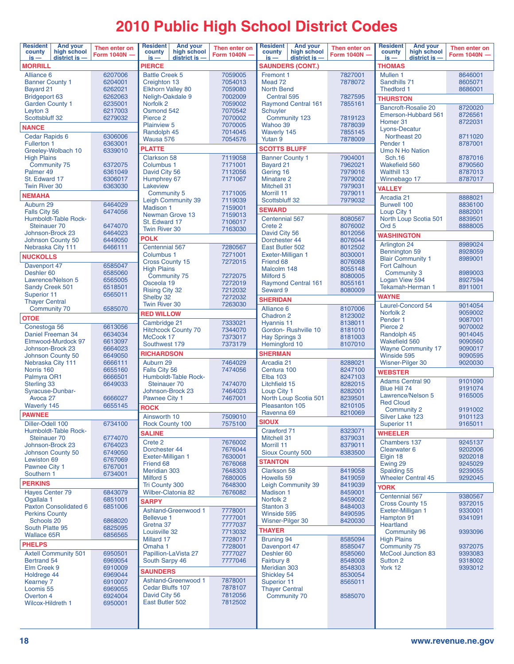# **2010 Public High School District Codes**

| <b>Resident</b><br><b>And your</b><br>high school<br>county<br>district is -<br>$is -$ | Then enter on<br>Form 1040N - | <b>Resident</b><br>county                   | <b>And your</b><br>high school<br>$district$ is $-$ | Then enter on<br><b>Form 1040N</b> | <b>Resident</b><br>county<br>$is -$ | <b>And your</b><br>high school<br>district is - | Then enter on<br>Form 1040N - | <b>Resident</b><br>county<br>$is -$         | <b>And your</b><br>high school<br>$district$ is $-$ | Then enter on<br>Form 1040N - |  |  |  |  |
|----------------------------------------------------------------------------------------|-------------------------------|---------------------------------------------|-----------------------------------------------------|------------------------------------|-------------------------------------|-------------------------------------------------|-------------------------------|---------------------------------------------|-----------------------------------------------------|-------------------------------|--|--|--|--|
| <b>MORRILL</b>                                                                         |                               | $is -$<br>PIERCE                            |                                                     |                                    |                                     | <b>SAUNDERS (CONT.)</b>                         |                               | <b>THOMAS</b>                               |                                                     |                               |  |  |  |  |
| Alliance 6                                                                             | 6207006                       | <b>Battle Creek 5</b>                       |                                                     | 7059005                            | Fremont 1                           |                                                 | 7827001                       | Mullen 1<br>8646001                         |                                                     |                               |  |  |  |  |
| <b>Banner County 1</b>                                                                 | 6204001                       | Creighton 13                                |                                                     | 7054013                            | Mead 72                             |                                                 | 7878072                       | Sandhills 71<br>8605071                     |                                                     |                               |  |  |  |  |
| Bayard 21                                                                              | 6262021                       | <b>Elkhorn Valley 80</b>                    |                                                     | 7059080<br>7002009                 | <b>North Bend</b>                   |                                                 |                               | Thedford 1                                  |                                                     | 8686001                       |  |  |  |  |
| <b>Bridgeport 63</b>                                                                   | 6262063                       |                                             | Neligh-Oakdale 9                                    |                                    | Central 595                         |                                                 | 7827595                       | <b>THURSTON</b>                             |                                                     |                               |  |  |  |  |
| <b>Garden County 1</b>                                                                 | 6235001                       | Norfolk <sub>2</sub>                        |                                                     | 7059002                            |                                     | <b>Raymond Central 161</b>                      | 7855161                       |                                             | <b>Bancroft-Rosalie 20</b>                          | 8720020                       |  |  |  |  |
| Leyton 3                                                                               | 6217003                       | Osmond 542<br>Pierce <sub>2</sub>           |                                                     | 7070542<br>7070002                 | Schuyler                            |                                                 |                               |                                             | Emerson-Hubbard 561                                 | 8726561                       |  |  |  |  |
| Scottsbluff 32                                                                         | 6279032                       | <b>Plainview 5</b>                          |                                                     | 7070005                            | Wahoo 39                            | Community 123                                   | 7819123<br>7878039            | Homer 31                                    |                                                     | 8722031                       |  |  |  |  |
| <b>NANCE</b>                                                                           |                               | Randolph 45                                 |                                                     | 7014045                            | <b>Waverly 145</b>                  |                                                 | 7855145                       | Lyons-Decatur                               |                                                     |                               |  |  |  |  |
| Cedar Rapids 6                                                                         | 6306006                       | Wausa 576                                   |                                                     | 7054576                            | Yutan 9                             |                                                 | 7878009                       | Northeast 20                                |                                                     | 8711020                       |  |  |  |  |
| Fullerton 1<br>Greeley-Wolbach 10                                                      | 6363001                       | <b>PLATTE</b>                               |                                                     |                                    | <b>SCOTTS BLUFF</b>                 |                                                 |                               | Pender 1                                    |                                                     | 8787001                       |  |  |  |  |
| <b>High Plains</b>                                                                     | 6339010                       | <b>Clarkson 58</b>                          |                                                     | 7119058                            | <b>Banner County 1</b>              |                                                 | 7904001                       | Umo N Ho Nation<br><b>Sch.16</b>            |                                                     | 8787016                       |  |  |  |  |
| Community 75                                                                           | 6372075                       | Columbus 1                                  |                                                     | 7171001                            | Bayard 21                           |                                                 | 7962021                       | <b>Wakefield 560</b>                        |                                                     | 8790560                       |  |  |  |  |
| Palmer 49                                                                              | 6361049                       | David City 56                               |                                                     | 7112056                            | Gering 16                           |                                                 | 7979016                       | <b>Walthill 13</b>                          |                                                     | 8787013                       |  |  |  |  |
| St. Edward 17                                                                          | 6306017                       | Humphrey 67                                 |                                                     | 7171067                            | <b>Minatare 2</b>                   |                                                 | 7979002                       | Winnebago 17                                |                                                     | 8787017                       |  |  |  |  |
| <b>Twin River 30</b>                                                                   | 6363030                       | Lakeview                                    |                                                     |                                    | <b>Mitchell 31</b>                  |                                                 | 7979031                       | <b>VALLEY</b>                               |                                                     |                               |  |  |  |  |
| <b>NEMAHA</b>                                                                          |                               | Community 5                                 |                                                     | 7171005                            | Morrill 11                          |                                                 | 7979011                       | Arcadia 21                                  |                                                     | 8888021                       |  |  |  |  |
| Auburn 29                                                                              | 6464029                       | <b>Leigh Community 39</b><br>Madison 1      |                                                     | 7119039<br>7159001                 | Scottsbluff 32                      |                                                 | 7979032                       | <b>Burwell 100</b>                          |                                                     | 8836100                       |  |  |  |  |
| Falls City 56                                                                          | 6474056                       | Newman Grove 13                             |                                                     | 7159013                            | <b>SEWARD</b>                       |                                                 |                               | Loup City 1                                 |                                                     | 8882001                       |  |  |  |  |
| Humboldt-Table Rock-                                                                   |                               | St. Edward 17                               |                                                     | 7106017                            | Centennial 567                      |                                                 | 8080567                       |                                             | North Loup Scotia 501                               | 8839501                       |  |  |  |  |
| Steinauer 70                                                                           | 6474070                       | <b>Twin River 30</b>                        |                                                     | 7163030                            | Crete 2                             |                                                 | 8076002                       | Ord <sub>5</sub>                            |                                                     | 8888005                       |  |  |  |  |
| Johnson-Brock 23                                                                       | 6464023                       | <b>POLK</b>                                 |                                                     |                                    | David City 56                       |                                                 | 8012056                       | <b>WASHINGTON</b>                           |                                                     |                               |  |  |  |  |
| Johnson County 50<br>Nebraska City 111                                                 | 6449050<br>6466111            | Centennial 567                              |                                                     |                                    | Dorchester 44<br>East Butler 502    |                                                 | 8076044<br>8012502            | Arlington 24                                |                                                     | 8989024                       |  |  |  |  |
|                                                                                        |                               | Columbus 1                                  |                                                     | 7280567<br>7271001                 | Exeter-Milligan 1                   |                                                 | 8030001                       | Bennington 59                               |                                                     | 8928059                       |  |  |  |  |
| <b>NUCKOLLS</b>                                                                        |                               | <b>Cross County 15</b>                      |                                                     | 7272015                            | Friend 68                           |                                                 | 8076068                       | <b>Blair Community 1</b>                    |                                                     | 8989001                       |  |  |  |  |
| Davenport 47                                                                           | 6585047                       | <b>High Plains</b>                          |                                                     |                                    | Malcolm 148                         |                                                 | 8055148                       | <b>Fort Calhoun</b>                         |                                                     |                               |  |  |  |  |
| Deshler 60                                                                             | 6585060                       | <b>Community 75</b>                         |                                                     | 7272075                            | Milford 5                           |                                                 | 8080005                       | Community 3                                 |                                                     | 8989003                       |  |  |  |  |
| Lawrence/Nelson 5                                                                      | 6565005<br>6518501            | Osceola 19                                  |                                                     | 7272019                            |                                     | <b>Raymond Central 161</b>                      | 8055161                       | Logan View 594                              | Tekamah-Herman 1                                    | 8927594<br>8911001            |  |  |  |  |
| <b>Sandy Creek 501</b><br>Superior 11                                                  | 6565011                       | <b>Rising City 32</b>                       |                                                     | 7212032                            | Seward 9                            |                                                 | 8080009                       |                                             |                                                     |                               |  |  |  |  |
| <b>Thayer Central</b>                                                                  |                               | Shelby 32                                   |                                                     | 7272032                            | <b>SHERIDAN</b>                     |                                                 |                               | <b>WAYNE</b>                                |                                                     |                               |  |  |  |  |
| <b>Community 70</b>                                                                    | 6585070                       | <b>Twin River 30</b>                        |                                                     | 7263030                            | Alliance 6                          |                                                 | 8107006                       |                                             | Laurel-Concord 54                                   | 9014054                       |  |  |  |  |
| <b>OTOE</b>                                                                            |                               | <b>RED WILLOW</b>                           |                                                     |                                    | Chadron 2                           |                                                 | 8123002                       | Norfolk <sub>2</sub><br>Pender <sub>1</sub> |                                                     | 9059002<br>9087001            |  |  |  |  |
| Conestoga 56                                                                           | 6613056                       | Cambridge 21                                |                                                     | 7333021                            | <b>Hyannis 11</b>                   |                                                 | 8138011                       | Pierce <sub>2</sub>                         |                                                     | 9070002                       |  |  |  |  |
| Daniel Freeman 34                                                                      | 6634034                       | <b>Hitchcock County 70</b>                  |                                                     | 7344070                            |                                     | Gordon-Rushville 10                             | 8181010                       | Randolph 45                                 |                                                     | 9014045                       |  |  |  |  |
| Elmwood-Murdock 97                                                                     | 6613097                       | McCook 17                                   |                                                     | 7373017                            | Hay Springs 3                       |                                                 | 8181003                       | <b>Wakefield 560</b>                        |                                                     | 9090560                       |  |  |  |  |
| Johnson-Brock 23                                                                       | 6664023                       | Southwest 179                               |                                                     | 7373179                            | Hemingford 10                       |                                                 | 8107010                       |                                             | <b>Wayne Community 17</b>                           | 9090017                       |  |  |  |  |
| Johnson County 50                                                                      | 6649050                       | <b>RICHARDSON</b>                           |                                                     |                                    | <b>SHERMAN</b>                      |                                                 |                               | Winside 595                                 |                                                     | 9090595                       |  |  |  |  |
| Nebraska City 111                                                                      | 6666111                       | Auburn 29                                   |                                                     | 7464029                            | Arcadia 21                          |                                                 | 8288021                       | Wisner-Pilger 30                            |                                                     | 9020030                       |  |  |  |  |
| Norris 160                                                                             | 6655160                       | Falls City 56                               |                                                     | 7474056                            | Centura 100                         |                                                 | 8247100                       | <b>WEBSTER</b>                              |                                                     |                               |  |  |  |  |
| Palmyra OR1<br><b>Sterling 33</b>                                                      | 6666501<br>6649033            | <b>Humboldt-Table Rock-</b><br>Steinauer 70 |                                                     | 7474070                            | <b>Elba 103</b><br>Litchfield 15    |                                                 | 8247103<br>8282015            | <b>Adams Central 90</b>                     |                                                     | 9101090                       |  |  |  |  |
| Syracuse-Dunbar-                                                                       |                               | Johnson-Brock 23                            |                                                     | 7464023                            | Loup City 1                         |                                                 | 8282001                       | Blue Hill 74                                |                                                     | 9191074                       |  |  |  |  |
| Avoca 27                                                                               | 6666027                       | Pawnee City 1                               |                                                     | 7467001                            |                                     | North Loup Scotia 501                           | 8239501                       |                                             | Lawrence/Nelson 5                                   | 9165005                       |  |  |  |  |
| <b>Waverly 145</b>                                                                     | 6655145                       | <b>ROCK</b>                                 |                                                     |                                    | Pleasanton 105                      |                                                 | 8210105                       | <b>Red Cloud</b>                            |                                                     |                               |  |  |  |  |
| <b>PAWNEE</b>                                                                          |                               | Ainsworth 10                                |                                                     | 7509010                            | Ravenna 69                          |                                                 | 8210069                       | <b>Community 2</b><br>Silver Lake 123       |                                                     | 9191002<br>9101123            |  |  |  |  |
| Diller-Odell 100                                                                       | 6734100                       | <b>Rock County 100</b>                      |                                                     | 7575100                            | <b>SIOUX</b>                        |                                                 |                               | Superior 11                                 |                                                     | 9165011                       |  |  |  |  |
| Humboldt-Table Rock-                                                                   |                               |                                             |                                                     |                                    | Crawford 71                         |                                                 | 8323071                       | <b>WHEELER</b>                              |                                                     |                               |  |  |  |  |
| Steinauer 70                                                                           | 6774070                       | SALINE                                      |                                                     |                                    | Mitchell 31                         |                                                 | 8379031                       |                                             |                                                     |                               |  |  |  |  |
| Johnson-Brock 23                                                                       | 6764023                       | Crete 2<br>Dorchester 44                    |                                                     | 7676002<br>7676044                 | Morrill 11                          |                                                 | 8379011                       | Chambers 137<br>Clearwater 6                |                                                     | 9245137<br>9202006            |  |  |  |  |
| Johnson County 50                                                                      | 6749050                       | Exeter-Milligan 1                           |                                                     | 7630001                            | <b>Sioux County 500</b>             |                                                 | 8383500                       | Elgin 18                                    |                                                     | 9202018                       |  |  |  |  |
| Lewiston 69                                                                            | 6767069                       | Friend 68                                   |                                                     | 7676068                            | <b>STANTON</b>                      |                                                 |                               | Ewing 29                                    |                                                     | 9245029                       |  |  |  |  |
| Pawnee City 1                                                                          | 6767001                       | <b>Meridian 303</b>                         |                                                     | 7648303                            | <b>Clarkson 58</b>                  |                                                 | 8419058                       | Spalding 55                                 |                                                     | 9239055                       |  |  |  |  |
| Southern 1                                                                             | 6734001                       | Milford 5                                   |                                                     | 7680005                            | Howells 59                          |                                                 | 8419059                       |                                             | <b>Wheeler Central 45</b>                           | 9292045                       |  |  |  |  |
| <b>PERKINS</b>                                                                         |                               | <b>Tri County 300</b>                       |                                                     | 7648300                            |                                     | <b>Leigh Community 39</b>                       | 8419039                       | <b>YORK</b>                                 |                                                     |                               |  |  |  |  |
| <b>Hayes Center 79</b>                                                                 | 6843079                       | Wilber-Clatonia 82                          |                                                     | 7676082                            | <b>Madison 1</b>                    |                                                 | 8459001                       | Centennial 567                              |                                                     | 9380567                       |  |  |  |  |
| Ogallala <sub>1</sub>                                                                  | 6851001                       | <b>SARPY</b>                                |                                                     |                                    | Norfolk <sub>2</sub>                |                                                 | 8459002                       | <b>Cross County 15</b>                      |                                                     | 9372015                       |  |  |  |  |
| <b>Paxton Consolidated 6</b><br><b>Perkins County</b>                                  | 6851006                       | <b>Ashland-Greenwood 1</b>                  |                                                     | 7778001                            | <b>Stanton 3</b><br>Winside 595     |                                                 | 8484003<br>8490595            | Exeter-Milligan 1                           |                                                     | 9330001                       |  |  |  |  |
| Schools 20                                                                             | 6868020                       | <b>Bellevue 1</b>                           |                                                     | 7777001                            | Wisner-Pilger 30                    |                                                 | 8420030                       | Hampton 91                                  |                                                     | 9341091                       |  |  |  |  |
| South Platte 95                                                                        | 6825095                       | Gretna 37                                   |                                                     | 7777037                            |                                     |                                                 |                               | <b>Heartland</b>                            |                                                     |                               |  |  |  |  |
| <b>Wallace 65R</b>                                                                     | 6856565                       | Louisville 32                               |                                                     | 7713032                            | <b>THAYER</b>                       |                                                 |                               | <b>Community 96</b>                         |                                                     | 9393096                       |  |  |  |  |
| <b>PHELPS</b>                                                                          |                               | Millard 17                                  |                                                     | 7728017                            | <b>Bruning 94</b>                   |                                                 | 8585094                       | <b>High Plains</b>                          |                                                     |                               |  |  |  |  |
| <b>Axtell Community 501</b>                                                            | 6950501                       | Omaha 1<br>Papillion-LaVista 27             |                                                     | 7728001<br>7777027                 | Davenport 47<br>Deshler 60          |                                                 | 8585047<br>8585060            | <b>Community 75</b>                         | <b>McCool Junction 83</b>                           | 9372075<br>9393083            |  |  |  |  |
| <b>Bertrand 54</b>                                                                     | 6969054                       | South Sarpy 46                              |                                                     | 7777046                            | Fairbury 8                          |                                                 | 8548008                       | Sutton 2                                    |                                                     | 9318002                       |  |  |  |  |
| Elm Creek 9                                                                            | 6910009                       |                                             |                                                     |                                    | <b>Meridian 303</b>                 |                                                 | 8548303                       | York 12                                     |                                                     | 9393012                       |  |  |  |  |
| Holdrege 44                                                                            | 6969044                       | <b>SAUNDERS</b>                             |                                                     |                                    |                                     | Shickley 54                                     | 8530054                       |                                             |                                                     |                               |  |  |  |  |
| <b>Kearney 7</b>                                                                       | 6910007                       | <b>Ashland-Greenwood 1</b>                  |                                                     | 7878001                            | <b>Superior 11</b>                  |                                                 | 8565011                       |                                             |                                                     |                               |  |  |  |  |
| Loomis 55                                                                              | 6969055                       | Cedar Bluffs 107                            |                                                     | 7878107                            | <b>Thayer Central</b>               |                                                 |                               |                                             |                                                     |                               |  |  |  |  |
| Overton 4                                                                              | 6924004                       | David City 56                               |                                                     | 7812056                            | <b>Community 70</b>                 |                                                 | 8585070                       |                                             |                                                     |                               |  |  |  |  |
| <b>Wilcox-Hildreth 1</b>                                                               | 6950001                       | East Butler 502                             |                                                     | 7812502                            |                                     |                                                 |                               |                                             |                                                     |                               |  |  |  |  |
|                                                                                        |                               |                                             |                                                     |                                    |                                     |                                                 |                               |                                             |                                                     |                               |  |  |  |  |
|                                                                                        |                               |                                             |                                                     |                                    |                                     |                                                 |                               |                                             |                                                     |                               |  |  |  |  |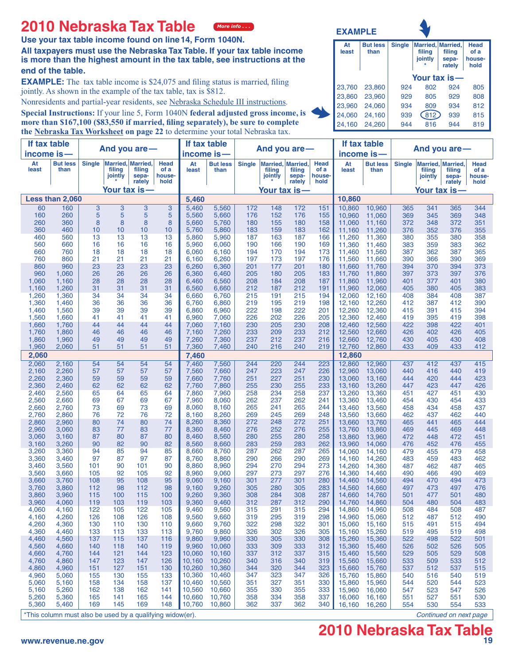#### **2010 Nebraska Tax Table** *[More info](http://www.revenue.ne.gov/question/ind_efile_FAQ.html#n4a) . . .*

**Use your tax table income found on line14, Form 1040N.**

**All taxpayers must use the Nebraska Tax Table. If your tax table income is more than the highest amount in the tax table, see instructions at the end of the table.**

**EXAMPLE:** The tax table income is \$24,075 and filing status is married, filing jointly. As shown in the example of the tax table, tax is \$812.

Nonresidents and partial-year residents, see Nebraska Schedule III instructions.

**Special Instructions:** If your line 5, Form 1040N **federal adjusted gross income, is more than \$167,100 (\$83,550 if married, filing separately), be sure to complete the [Nebraska Tax Worksheet o](#page-25-0)n page 22** to determine your total Nebraska tax.

| At<br>least | <b>But less</b><br>than | <b>Single</b> | Married, Married,<br>filing<br>jointly<br>÷ | filing<br>sepa-<br>rately | <b>Head</b><br>of a<br>house-<br>hold |
|-------------|-------------------------|---------------|---------------------------------------------|---------------------------|---------------------------------------|
|             |                         | Your tax is-  |                                             |                           |                                       |
| 23.760      | 23.860                  | 924           | 802                                         | 924                       | 805                                   |
| 23,860      | 23.960                  | 929           | 805                                         | 929                       | 808                                   |
| 23,960      | 24.060                  | 934           | 809                                         | 934                       | 812                                   |
| 24,060      | 24,160                  | 939           | 812                                         | 939                       | 815                                   |
| 24,160      | 24.260                  | 944           | 816                                         | 944                       | 819                                   |

**EXAMPLE**

| If tax table   |                                                           | And you are-  |                                               |                           | If tax table<br>And you are-   |                      |                         |               |                                        |                           | If tax table<br>And you are-          |                  |                         |               |                                        |                           |                                |
|----------------|-----------------------------------------------------------|---------------|-----------------------------------------------|---------------------------|--------------------------------|----------------------|-------------------------|---------------|----------------------------------------|---------------------------|---------------------------------------|------------------|-------------------------|---------------|----------------------------------------|---------------------------|--------------------------------|
| income is-     |                                                           |               |                                               |                           |                                | income is-           |                         |               |                                        |                           |                                       |                  | income is-              |               |                                        |                           |                                |
| At<br>least    | <b>But less</b><br>than                                   | <b>Single</b> | <b>Married, Married,</b><br>filing<br>jointly | filing<br>sepa-<br>rately | Head<br>of a<br>house-<br>hold | At<br>least          | <b>But less</b><br>than | <b>Single</b> | Married, Married,<br>filing<br>jointly | filing<br>sepa-<br>rately | <b>Head</b><br>of a<br>house-<br>hold | At<br>least      | <b>But less</b><br>than | <b>Single</b> | Married, Married,<br>filing<br>jointly | filing<br>sepa-<br>rately | Head<br>of a<br>house-<br>hold |
|                |                                                           |               |                                               | Your tax is —             |                                | <u>Your tax is —</u> |                         |               |                                        |                           |                                       |                  | <u>Your tax is —</u>    |               |                                        |                           |                                |
|                | Less than 2,060                                           |               |                                               |                           |                                | 5,460                |                         |               |                                        |                           |                                       | 10,860           |                         |               |                                        |                           |                                |
| 60             | 160                                                       | $\mathbf{3}$  | 3                                             | 3                         | 3                              | 5,460                | 5,560                   | 172           | 148                                    | 172                       | 151                                   | 10,860           | 10,960                  | 365           | 341                                    | 365                       | 344                            |
| 160            | 260                                                       | 5             | 5                                             | 5                         | 5                              | 5,560                | 5,660                   | 176           | 152                                    | 176                       | 155                                   | 10,960           | 11,060                  | 369           | 345                                    | 369                       | 348                            |
| 260<br>360     | 360<br>460                                                | 8<br>10       | 8<br>10                                       | 8<br>10                   | 8<br>10                        | 5,660<br>5,760       | 5,760<br>5,860          | 180<br>183    | 155<br>159                             | 180<br>183                | 158<br>162                            | 11,060<br>11,160 | 11,160<br>11,260        | 372<br>376    | 348<br>352                             | 372<br>376                | 351<br>355                     |
| 460            | 560                                                       | 13            | 13                                            | 13                        | 13                             | 5,860                | 5,960                   | 187           | 163                                    | 187                       | 166                                   | 11,260           | 11,360                  | 380           | 355                                    | 380                       | 358                            |
| 560            | 660                                                       | 16            | 16                                            | 16                        | 16                             | 5,960                | 6,060                   | 190           | 166                                    | 190                       | 169                                   | 11,360           | 11,460                  | 383           | 359                                    | 383                       | 362                            |
| 660            | 760                                                       | 18            | 18                                            | 18                        | 18                             | 6,060                | 6,160                   | 194           | 170                                    | 194                       | 173                                   | 11,460           | 11,560                  | 387           | 362                                    | 387                       | 365                            |
| 760<br>860     | 860<br>960                                                | 21<br>23      | 21<br>23                                      | 21<br>23                  | 21<br>23                       | 6,160<br>6,260       | 6,260<br>6,360          | 197<br>201    | 173<br>177                             | 197<br>201                | 176<br>180                            | 11,560<br>11,660 | 11,660<br>11,760        | 390<br>394    | 366<br>370                             | 390<br>394                | 369<br>373                     |
| 960            | 1,060                                                     | 26            | 26                                            | 26                        | 26                             | 6,360                | 6,460                   | 205           | 180                                    | 205                       | 183                                   | 11,760           | 11,860                  | 397           | 373                                    | 397                       | 376                            |
| 1,060          | 1,160                                                     | 28            | 28                                            | 28                        | 28                             | 6,460                | 6,560                   | 208           | 184                                    | 208                       | 187                                   | 11,860           | 11,960                  | 401           | 377                                    | 401                       | 380                            |
| 1,160<br>1,260 | 1,260                                                     | 31            | 31<br>34                                      | 31<br>34                  | 31<br>34                       | 6,560                | 6,660                   | 212<br>215    | 187<br>191                             | 212<br>215                | 191<br>194                            | 11,960           | 12,060                  | 405<br>408    | 380<br>384                             | 405<br>408                | 383<br>387                     |
| 1,360          | 1,360<br>1,460                                            | 34<br>36      | 36                                            | 36                        | 36                             | 6,660<br>6,760       | 6,760<br>6,860          | 219           | 195                                    | 219                       | 198                                   | 12,060<br>12,160 | 12,160<br>12,260        | 412           | 387                                    | 412                       | 390                            |
| 1,460          | 1,560                                                     | 39            | 39                                            | 39                        | 39                             | 6,860                | 6,960                   | 222           | 198                                    | 222                       | 201                                   | 12,260           | 12,360                  | 415           | 391                                    | 415                       | 394                            |
| 1,560          | 1,660                                                     | 41            | 41                                            | 41                        | 41                             | 6,960                | 7,060                   | 226           | 202                                    | 226                       | 205                                   | 12,360           | 12,460                  | 419           | 395                                    | 419                       | 398                            |
| 1,660<br>1,760 | 1,760<br>1,860                                            | 44<br>46      | 44<br>46                                      | 44<br>46                  | 44<br>46                       | 7,060<br>7,160       | 7,160<br>7,260          | 230<br>233    | 205<br>209                             | 230<br>233                | 208<br>212                            | 12,460<br>12,560 | 12,560<br>12,660        | 422<br>426    | 398<br>402                             | 422<br>426                | 401<br>405                     |
| 1,860          | 1,960                                                     | 49            | 49                                            | 49                        | 49                             | 7,260                | 7,360                   | 237           | 212                                    | 237                       | 216                                   | 12,660           | 12,760                  | 430           | 405                                    | 430                       | 408                            |
| 1,960          | 2,060                                                     | 51            | 51                                            | 51                        | 51                             | 7,360                | 7,460                   | 240           | 216                                    | 240                       | 219                                   | 12,760           | 12,860                  | 433           | 409                                    | 433                       | 412                            |
| 2,060          |                                                           |               |                                               |                           |                                | 7,460                |                         |               |                                        |                           |                                       | 12,860           |                         |               |                                        |                           |                                |
| 2,060          | 2,160                                                     | 54            | 54                                            | 54                        | 54                             | 7,460                | 7,560                   | 244           | 220                                    | 244                       | 223                                   | 12.860           | 12,960                  | 437           | 412                                    | 437                       | 415                            |
| 2,160<br>2,260 | 2,260<br>2,360                                            | 57<br>59      | 57<br>59                                      | 57<br>59                  | 57<br>59                       | 7,560<br>7,660       | 7,660<br>7,760          | 247<br>251    | 223<br>227                             | 247<br>251                | 226<br>230                            | 12.960<br>13.060 | 13.060<br>13,160        | 440<br>444    | 416<br>420                             | 440<br>444                | 419<br>423                     |
| 2,360          | 2,460                                                     | 62            | 62                                            | 62                        | 62                             | 7,760                | 7,860                   | 255           | 230                                    | 255                       | 233                                   | 13,160           | 13,260                  | 447           | 423                                    | 447                       | 426                            |
| 2,460          | 2,560                                                     | 65            | 64                                            | 65                        | 64                             | 7,860                | 7,960                   | 258           | 234                                    | 258                       | 237                                   | 13,260           | 13,360                  | 451           | 427                                    | 451                       | 430                            |
| 2,560          | 2,660                                                     | 69            | 67                                            | 69                        | 67                             | 7,960                | 8,060                   | 262           | 237                                    | 262                       | 241                                   | 13,360           | 13,460                  | 454           | 430                                    | 454                       | 433                            |
| 2,660<br>2,760 | 2,760<br>2,860                                            | 73<br>76      | 69<br>72                                      | 73<br>76                  | 69<br>72                       | 8,060<br>8,160       | 8,160<br>8,260          | 265<br>269    | 241<br>245                             | 265<br>269                | 244<br>248                            | 13,460<br>13,560 | 13,560<br>13,660        | 458<br>462    | 434<br>437                             | 458<br>462                | 437<br>440                     |
| 2,860          | 2,960                                                     | 80            | 74                                            | 80                        | 74                             | 8,260                | 8,360                   | 272           | 248                                    | 272                       | 251                                   | 13,660           | 13,760                  | 465           | 441                                    | 465                       | 444                            |
| 2,960          | 3,060                                                     | 83            | 77                                            | 83                        | 77                             | 8,360                | 8,460                   | 276           | 252                                    | 276                       | 255                                   | 13,760           | 13,860                  | 469           | 445                                    | 469                       | 448                            |
| 3,060<br>3,160 | 3,160<br>3,260                                            | 87<br>90      | 80<br>82                                      | 87<br>90                  | 80<br>82                       | 8,460<br>8,560       | 8,560<br>8,660          | 280<br>283    | 255<br>259                             | 280<br>283                | 258<br>262                            | 13,860<br>13,960 | 13,960<br>14,060        | 472<br>476    | 448<br>452                             | 472<br>476                | 451<br>455                     |
| 3,260          | 3,360                                                     | 94            | 85                                            | 94                        | 85                             | 8,660                | 8,760                   | 287           | 262                                    | 287                       | 265                                   | 14,060           | 14,160                  | 479           | 455                                    | 479                       | 458                            |
| 3,360          | 3,460                                                     | 97            | 87                                            | 97                        | 87                             | 8,760                | 8,860                   | 290           | 266                                    | 290                       | 269                                   | 14,160           | 14,260                  | 483           | 459                                    | 483                       | 462                            |
| 3,460          | 3,560                                                     | 101           | 90                                            | 101                       | 90                             | 8,860                | 8,960                   | 294           | 270                                    | 294                       | 273                                   | 14,260           | 14,360                  | 487           | 462                                    | 487                       | 465                            |
| 3,560<br>3,660 | 3,660<br>3,760                                            | 105<br>108    | 92<br>95                                      | 105<br>108                | 92<br>95                       | 8,960<br>9,060       | 9,060<br>9,160          | 297<br>301    | 273<br>277                             | 297<br>301                | 276<br>280                            | 14,360<br>14,460 | 14,460<br>14,560        | 490<br>494    | 466<br>470                             | 490<br>494                | 469<br>473                     |
| 3,760          | 3,860                                                     | 112           | 98                                            | 112                       | 98                             | 9,160                | 9,260                   | 305           | 280                                    | 305                       | 283                                   | 14,560           | 14,660                  | 497           | 473                                    | 497                       | 476                            |
| 3,860          | 3,960                                                     | 115           | 100                                           | 115                       | 100                            | 9,260                | 9,360                   | 308           | 284                                    | 308                       | 287                                   | 14,660           | 14,760                  | 501           | 477                                    | 501                       | 480                            |
| 3,960<br>4,060 | 4,060<br>4,160                                            | 119<br>122    | 103<br>105                                    | 119<br>122                | 103<br>105                     | 9,360<br>9,460       | 9,460<br>9,560          | 312<br>315    | 287<br>291                             | 312<br>315                | 290<br>294                            | 14,760<br>14,860 | 14,860<br>14,960        | 504<br>508    | 480<br>484                             | 504<br>508                | 483<br>487                     |
| 4,160          | 4,260                                                     | 126           | 108                                           | 126                       | 108                            | 9,560                | 9,660                   | 319           | 295                                    | 319                       | 298                                   | 14,960           | 15,060                  | 512           | 487                                    | 512                       | 490                            |
| 4,260          | 4,360                                                     | 130           | 110                                           | 130                       | 110                            | 9,660                | 9,760                   | 322           | 298                                    | 322                       | 301                                   | 15,060           | 15,160                  | 515           | 491                                    | 515                       | 494                            |
| 4,360          | 4,460                                                     | 133           | 113                                           | 133                       | 113                            | 9,760                | 9,860                   | 326           | 302                                    | 326                       | 305                                   | 15,160           | 15,260                  | 519           | 495                                    | 519                       | 498                            |
| 4,460<br>4,560 | 4,560<br>4,660                                            | 137<br>140    | 115<br>118                                    | 137<br>140                | 116<br>119                     | 9,860<br>9,960       | 9,960<br>10,060         | 330<br>333    | 305<br>309                             | 330<br>333                | 308<br>312                            | 15,260<br>15,360 | 15,360<br>15,460        | 522<br>526    | 498<br>502                             | 522<br>526                | 501<br>505                     |
| 4,660          | 4,760                                                     | 144           | 121                                           | 144                       | 123                            | 10,060               | 10,160                  | 337           | 312                                    | 337                       | 315                                   | 15,460           | 15,560                  | 529           | 505                                    | 529                       | 508                            |
| 4,760          | 4,860                                                     | 147           | 123                                           | 147                       | 126                            | 10,160               | 10,260                  | 340           | 316                                    | 340                       | 319                                   | 15,560           | 15,660                  | 533           | 509                                    | 533                       | 512                            |
| 4,860          | 4,960                                                     | 151           | 127                                           | 151                       | 130                            | 10,260               | 10,360                  | 344           | 320                                    | 344                       | 323                                   | 15,660           | 15,760                  | 537           | 512                                    | 537                       | 515                            |
| 4,960<br>5,060 | 5,060<br>5,160                                            | 155<br>158    | 130<br>134                                    | 155<br>158                | 133<br>137                     | 10,360<br>10,460     | 10,460<br>10,560        | 347<br>351    | 323<br>327                             | 347<br>351                | 326<br>330                            | 15,760<br>15,860 | 15,860<br>15,960        | 540<br>544    | 516<br>520                             | 540<br>544                | 519<br>523                     |
| 5,160          | 5,260                                                     | 162           | 138                                           | 162                       | 141                            | 10,560               | 10,660                  | 355           | 330                                    | 355                       | 333                                   | 15,960           | 16,060                  | 547           | 523                                    | 547                       | 526                            |
| 5,260          | 5,360                                                     | 165           | 141                                           | 165                       | 144                            | 10,660               | 10,760                  | 358           | 334                                    | 358                       | 337                                   | 16,060           | 16,160                  | 551           | 527                                    | 551                       | 530                            |
| 5,360          | 5,460                                                     | 169           | 145                                           | 169                       | 148                            | 10,760               | 10,860                  | 362           | 337                                    | 362                       | 340                                   | 16,160           | 16,260                  | 554           | 530                                    | 554                       | 533                            |
|                | *This column must also be used by a qualifying widow(er). |               |                                               |                           |                                |                      |                         |               |                                        |                           |                                       |                  |                         |               |                                        |                           | Continued on next page         |

# **2010 Nebraska Tax Table**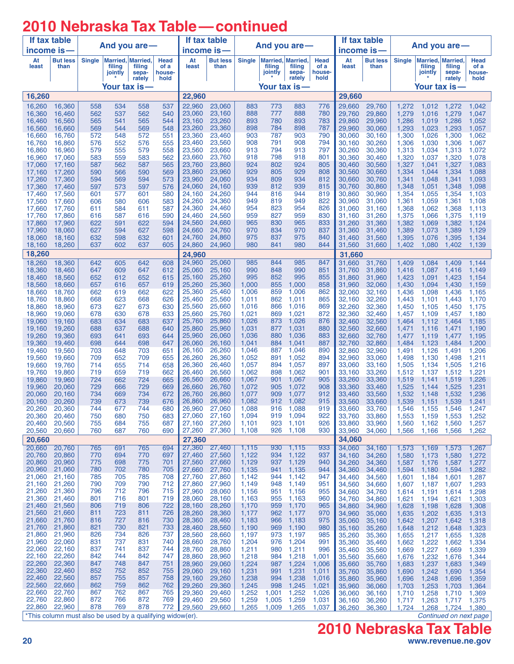## **2010 Nebraska Tax Table—continued**

| income is-<br>At<br><b>But less</b><br><b>Single</b><br><b>But less</b><br><b>Single</b><br><b>But less</b><br><b>Single</b><br>Married, Married,<br>Head<br>At<br>Married, Married,<br>Head<br>At<br>Married, Married,<br>Head<br>least<br>than<br>filing<br>filing<br>of a<br>least<br>than<br>filing<br>of a<br>least<br>than<br>filing<br>of a<br>filing<br>filing<br>jointly<br>jointly<br>sepa-<br>house-<br>jointly<br>sepa-<br>house-<br>sepa-<br>house-<br>rately<br>rately<br>rately<br>hold<br>hold<br>hold<br>Your tax is-<br>Your tax is-<br>Your tax is—<br>16,260<br>22,960<br>29,660<br>22,960<br>23,060<br>883<br>773<br>883<br>776<br>16,260<br>16,360<br>558<br>534<br>558<br>537<br>29,660<br>29,760<br>1,272<br>1,272<br>1,042<br>1,012<br>777<br>888<br>780<br>16,360<br>16,460<br>562<br>537<br>562<br>540<br>23,060<br>23,160<br>888<br>29,760<br>29,860<br>1,279<br>1,016<br>1,279<br>1,047<br>23,260<br>780<br>1,286<br>16,460<br>16,560<br>565<br>541<br>544<br>23,160<br>893<br>893<br>783<br>29,860<br>29,960<br>1,019<br>1,286<br>1,052<br>565<br>23,260<br>23,360<br>898<br>784<br>898<br>787<br>1,293<br>1,023<br>16,560<br>16,660<br>569<br>544<br>569<br>548<br>29,960<br>30,060<br>1,293<br>1,057<br>23,360<br>903<br>787<br>903<br>790<br>1,300<br>16,660<br>572<br>548<br>551<br>23,460<br>30,060<br>30,160<br>1,026<br>1,300<br>1,062<br>16,760<br>572<br>23,560<br>908<br>791<br>908<br>794<br>16,860<br>552<br>576<br>555<br>23,460<br>30,160<br>30,260<br>1,306<br>1,030<br>1,306<br>1,067<br>16,760<br>576<br>794<br>16,860<br>16,960<br>555<br>558<br>23,560<br>23,660<br>913<br>913<br>797<br>30,260<br>30,360<br>1,313<br>1,034<br>1,313<br>1,072<br>579<br>579<br>562<br>798<br>1,320<br>16,960<br>17,060<br>583<br>559<br>583<br>23,660<br>23,760<br>918<br>918<br>801<br>30,360<br>30,460<br>1,037<br>1,320<br>1,078<br>802<br>924<br>562<br>587<br>565<br>23,760<br>23,860<br>924<br>805<br>1,327<br>1,327<br>1,083<br>17,060<br>17,160<br>587<br>30,460<br>30,560<br>1,041<br>23,860<br>23,960<br>929<br>805<br>929<br>30,560<br>1,334<br>1,088<br>17,160<br>17,260<br>590<br>566<br>590<br>569<br>808<br>30,660<br>1,044<br>1,334<br>934<br>24,060<br>934<br>809<br>812<br>17,260<br>17,360<br>594<br>569<br>594<br>573<br>23,960<br>30,660<br>30,760<br>1,341<br>1,048<br>1,341<br>1,093<br>939<br>1,348<br>17,360<br>17,460<br>597<br>24,060<br>24,160<br>939<br>812<br>815<br>30,760<br>30,860<br>1,051<br>1,348<br>1,098<br>573<br>597<br>576<br>24,260<br>17,460<br>17,560<br>577<br>580<br>944<br>816<br>944<br>819<br>30,860<br>30,960<br>1,354<br>1,055<br>1,354<br>1,103<br>601<br>601<br>24,160<br>24,360<br>580<br>583<br>24,260<br>949<br>819<br>949<br>822<br>1,361<br>1,059<br>17,560<br>17,660<br>606<br>606<br>30.960<br>31,060<br>1,361<br>1,108<br>587<br>24,360<br>24.460<br>954<br>823<br>954<br>826<br>1,368<br>17,660<br>17,760<br>584<br>611<br>31.060<br>31.160<br>1,062<br>1,368<br>1,113<br>611<br>24,560<br>959<br>827<br>959<br>17,760<br>17,860<br>587<br>616<br>590<br>24,460<br>830<br>31.160<br>31,260<br>1,375<br>1,066<br>1,375<br>1,119<br>616<br>594<br>1,382<br>17,860<br>17,960<br>622<br>622<br>24,560<br>24,660<br>965<br>830<br>965<br>833<br>31.260<br>31,360<br>1,069<br>1,382<br>1,124<br>591<br>594<br>598<br>834<br>1,389<br>1,389<br>17,960<br>18,060<br>627<br>627<br>24,660<br>24,760<br>970<br>970<br>837<br>31,360<br>31,460<br>1,073<br>1,129<br>632<br>598<br>632<br>24,760<br>24,860<br>975<br>837<br>975<br>840<br>1,395<br>18,060<br>18,160<br>601<br>31,460<br>31,560<br>1,076<br>1,395<br>1,134<br>24,860<br>24,960<br>980<br>841<br>980<br>844<br>18,160<br>18,260<br>637<br>602<br>637<br>605<br>31,560<br>31,660<br>1,402<br>1,080<br>1,402<br>1,139<br>18,260<br>24,960<br>31,660<br>24,960<br>25,060<br>985<br>844<br>18,260<br>18,360<br>642<br>642<br>608<br>985<br>847<br>31,660<br>1,409<br>605<br>31,760<br>1,084<br>1,409<br>1,144<br>25,160<br>990<br>848<br>990<br>18,360<br>18,460<br>647<br>609<br>647<br>612<br>25,060<br>851<br>31,760<br>31,860<br>1,416<br>1,087<br>1,416<br>1,149<br>995<br>18,460<br>18,560<br>652<br>652<br>615<br>25,160<br>25,260<br>995<br>852<br>855<br>31,860<br>31,960<br>1,423<br>1,091<br>1,423<br>1,154<br>612<br>25,260<br>25,360<br>1,000<br>855<br>1,000<br>858<br>32,060<br>1,430<br>1,094<br>1,430<br>1,159<br>18,560<br>18,660<br>657<br>657<br>619<br>31,960<br>616<br>25,360<br>1,006<br>859<br>1,006<br>862<br>18,660<br>662<br>662<br>622<br>25,460<br>32,060<br>32,160<br>1,436<br>1,098<br>1,436<br>1,165<br>18,760<br>619<br>623<br>626<br>25,460<br>25,560<br>1,011<br>862<br>1,011<br>865<br>32,260<br>18,760<br>18,860<br>668<br>668<br>32,160<br>1,443<br>1,101<br>1,170<br>1,443<br>25,560<br>25,660<br>866<br>1,016<br>32,260<br>18,860<br>18,960<br>673<br>627<br>673<br>630<br>1,016<br>869<br>32,360<br>1,450<br>1,105<br>1,450<br>1,175<br>18,960<br>19,060<br>678<br>630<br>678<br>633<br>25,660<br>25,760<br>1,021<br>869<br>1,021<br>872<br>32,360<br>32,460<br>1,457<br>1,180<br>1,109<br>1,457<br>25,860<br>873<br>1,026<br>32,560<br>1,464<br>1,185<br>19,060<br>19,160<br>683<br>634<br>683<br>637<br>25,760<br>1,026<br>876<br>32,460<br>1,112<br>1,464<br>25,860<br>25,960<br>1,031<br>877<br>1,031<br>880<br>19,160<br>19,260<br>688<br>637<br>688<br>640<br>32,560<br>32,660<br>1,471<br>1,471<br>1,190<br>1,116<br>693<br>25,960<br>26,060<br>1,036<br>880<br>1,036<br>883<br>19,260<br>19,360<br>693<br>641<br>644<br>32,660<br>32,760<br>1,477<br>1,477<br>1,195<br>1,119<br>19,360<br>26,060<br>26,160<br>1,041<br>884<br>1,041<br>887<br>1,484<br>19,460<br>698<br>644<br>698<br>647<br>32,760<br>32,860<br>1,123<br>1,484<br>1,200<br>19,460<br>19,560<br>703<br>648<br>703<br>651<br>26,260<br>1,046<br>887<br>1,046<br>890<br>32,860<br>32,960<br>1,491<br>1,126<br>1,491<br>1,206<br>26,160<br>26,260<br>26,360<br>1,052<br>891<br>1,052<br>894<br>32,960<br>33,060<br>1,498<br>1,130<br>1,211<br>19,560<br>19,660<br>709<br>652<br>709<br>655<br>1,498<br>894<br>658<br>26,360<br>26,460<br>1,057<br>1,057<br>897<br>1,216<br>19,660<br>714<br>655<br>714<br>33.060<br>33,160<br>1,505<br>1,134<br>1,505<br>19.760<br>659<br>662<br>26,460<br>26,560<br>1,062<br>898<br>1,062<br>33,260<br>1,221<br>19,760<br>19,860<br>719<br>719<br>901<br>33,160<br>1,512<br>1,137<br>1,512<br>665<br>1,067<br>1,067<br>905<br>19,860<br>19,960<br>724<br>662<br>724<br>26,560<br>26,660<br>901<br>33,260<br>33,360<br>1,519<br>1,519<br>1,226<br>1,141<br>19,960<br>729<br>729<br>669<br>1,072<br>905<br>1,072<br>908<br>33,360<br>1,525<br>1,525<br>1,231<br>20,060<br>666<br>26.660<br>26,760<br>33,460<br>1,144<br>26,860<br>1,077<br>1,077<br>33,560<br>1,532<br>1,532<br>1,236<br>20,060<br>20,160<br>734<br>669<br>734<br>672<br>26,760<br>909<br>912<br>33,460<br>1,148<br>1,082<br>739<br>26,860<br>26,960<br>1,082<br>912<br>915<br>20,260<br>739<br>673<br>676<br>33.560<br>33,660<br>1,539<br>1,151<br>1,539<br>1,241<br>20,160<br>680<br>26,960<br>27,060<br>1,088<br>916 1,088<br>919<br>33,660<br>1,546<br>20,260<br>20,360<br>744<br>677<br>744<br>33,760<br>1,155 1,546<br>1,247<br>919 1,094<br>683<br>27,060<br>27,160<br>1,094<br>922<br>33,760<br>33,860<br>1,553<br>1,159<br>1,553<br>1,252<br>20,360<br>20,460<br>750<br>680<br>750<br>1,560<br>1,162<br>1,560<br>20,460<br>20,560<br>755<br>684<br>755<br>687<br>27,160<br>27,260<br>1,101<br>923<br>1,101<br>926<br>33,860<br>33,960<br>1,257<br>1,566<br>27,260<br>27,360<br>926<br>1,108<br>33,960<br>34,060<br>1,566<br>1,166<br>1,262<br>20,560<br>20,660<br>760<br>687<br>760<br>690<br>1,108<br>930<br>27,360<br>34,060<br>20,660<br>20,660<br>20,760<br>694<br>27,360<br>27,460<br>930 1,115<br>933<br>765<br>691<br>765<br>1,115<br>34.060<br>34,160<br>1,267<br>1,573<br>1,169<br>1,573<br>20,760<br>20,860<br>770<br>694<br>770<br>697<br>27,460<br>27,560<br>1,122<br>934<br>1,122<br>937<br>34,260<br>1,580<br>1,173<br>1,580<br>1,272<br>34,160<br>20,860<br>20,960<br>698<br>775<br>27,560<br>27,660<br>1,129<br>937 1,129<br>34,260<br>1,587<br>775<br>701<br>940<br>34,360<br>1,176<br>1,587<br>1,277<br>20,960<br>21,060<br>702<br>780<br>705<br>27,660<br>27,760<br>1,135<br>1,135<br>780<br>941<br>944<br>34,360<br>34,460<br>1,594<br>1,180<br>1,594<br>1,282<br>785<br>1,142<br>21,060<br>21,160<br>785<br>705<br>708<br>27,760<br>27,860<br>1,142<br>944<br>947<br>34,460<br>34,560<br>1,601<br>1,184<br>1,601<br>1,287<br>21,260<br>27,860<br>27,960<br>21,160<br>790<br>709<br>790<br>712<br>1,149<br>948<br>1,149<br>951<br>34,560<br>1,607<br>1,187<br>1,293<br>34,660<br>1,607<br>21,260<br>21,360<br>796<br>712<br>796<br>715<br>27,960<br>28,060<br>1,156<br>951<br>1,156<br>955<br>34,660<br>1,191<br>1,298<br>34,760<br>1,614<br>1,614<br>21,360<br>21,460<br>716<br>801<br>719<br>28,060<br>28,160<br>1,163<br>955<br>1,163<br>801<br>960<br>34,760<br>1,621<br>1,194<br>34,860<br>1,621<br>1,303<br>21,460<br>722<br>28,260<br>1,170<br>21,560<br>806<br>719<br>806<br>28,160<br>959<br>1,170<br>965<br>34,860<br>34,960<br>1,628<br>1,198<br>1,628<br>1,308<br>21,560<br>28,260<br>21,660<br>723<br>811<br>726<br>28,360<br>1,177<br>962<br>1,177<br>811<br>970<br>34,960<br>1,635<br>1,202<br>1,635<br>35,060<br>1,313<br>21,660<br>21,760<br>727<br>730<br>28,360<br>28,460<br>1,183<br>1,183<br>816<br>816<br>966<br>975<br>1,642<br>1,207<br>1,318<br>35,060<br>35,160<br>1,642<br>21,760<br>21,860<br>730<br>821<br>733<br>969 1,190<br>821<br>28,460<br>28,560<br>1,190<br>1,648<br>1,212 1,648<br>980<br>35,160<br>35,260<br>1,323<br>21,860<br>21,960<br>826<br>734<br>826<br>737<br>28,560<br>28,660<br>1,197<br>1,197<br>1,655<br>973<br>985<br>35,260<br>35,360<br>1,217<br>1,655<br>1,328<br>21,960<br>22,060<br>831<br>737<br>831<br>740<br>28,760<br>1,204<br>1,204<br>28,660<br>976<br>991<br>35,360<br>35,460<br>1,662<br>1,222<br>1,662<br>1,334<br>22,060<br>22,160<br>837<br>741<br>837<br>744<br>28,760<br>1,211<br>1,211<br>28,860<br>980<br>996<br>35,460<br>1,669<br>1,227<br>35,560<br>1,669<br>1,339<br>22,260<br>22,160<br>842<br>744<br>842<br>747<br>28,860<br>28,960<br>1,218<br>984<br>1,218<br>1,001<br>35,660<br>1,232<br>1,344<br>35,560<br>1,676<br>1,676<br>22,260<br>22,360<br>847<br>748<br>847<br>751<br>1,224<br>1,224<br>28,960<br>29,060<br>1,006<br>1,683<br>1,237<br>987<br>35,660<br>35,760<br>1,683<br>1,349<br>22,360<br>22,460<br>852<br>752<br>852<br>755<br>1,231<br>1,231<br>29,060<br>29,160<br>991<br>1,011<br>1,690<br>1,242<br>1,354<br>35,760<br>35,860<br>1,690<br>22,460<br>22,560<br>755<br>1,238<br>857<br>857<br>758<br>29,160<br>29,260<br>1,238<br>994<br>1,016<br>35,860<br>1,696<br>1,248<br>35,960<br>1,696<br>1,359<br>22,560<br>22,660<br>862<br>762<br>759<br>862<br>29,260<br>29,360<br>1,245<br>998<br>1,245<br>1,021<br>1,253<br>35,960<br>36,060<br>1,703<br>1,703<br>1,364<br>22,660<br>22,760<br>762<br>867<br>765<br>1,252<br>867<br>29,360<br>29,460<br>1,252<br>1,001<br>1,258<br>1,026<br>36,060<br>36,160<br>1,710<br>1,710<br>1,369 | If tax table<br>income is- |        |     |     | And you are- |     | If tax table<br>And you are -<br>income is- |        |       |       |       | If tax table |        | And you are - |       |       |       |       |
|---------------------------------------------------------------------------------------------------------------------------------------------------------------------------------------------------------------------------------------------------------------------------------------------------------------------------------------------------------------------------------------------------------------------------------------------------------------------------------------------------------------------------------------------------------------------------------------------------------------------------------------------------------------------------------------------------------------------------------------------------------------------------------------------------------------------------------------------------------------------------------------------------------------------------------------------------------------------------------------------------------------------------------------------------------------------------------------------------------------------------------------------------------------------------------------------------------------------------------------------------------------------------------------------------------------------------------------------------------------------------------------------------------------------------------------------------------------------------------------------------------------------------------------------------------------------------------------------------------------------------------------------------------------------------------------------------------------------------------------------------------------------------------------------------------------------------------------------------------------------------------------------------------------------------------------------------------------------------------------------------------------------------------------------------------------------------------------------------------------------------------------------------------------------------------------------------------------------------------------------------------------------------------------------------------------------------------------------------------------------------------------------------------------------------------------------------------------------------------------------------------------------------------------------------------------------------------------------------------------------------------------------------------------------------------------------------------------------------------------------------------------------------------------------------------------------------------------------------------------------------------------------------------------------------------------------------------------------------------------------------------------------------------------------------------------------------------------------------------------------------------------------------------------------------------------------------------------------------------------------------------------------------------------------------------------------------------------------------------------------------------------------------------------------------------------------------------------------------------------------------------------------------------------------------------------------------------------------------------------------------------------------------------------------------------------------------------------------------------------------------------------------------------------------------------------------------------------------------------------------------------------------------------------------------------------------------------------------------------------------------------------------------------------------------------------------------------------------------------------------------------------------------------------------------------------------------------------------------------------------------------------------------------------------------------------------------------------------------------------------------------------------------------------------------------------------------------------------------------------------------------------------------------------------------------------------------------------------------------------------------------------------------------------------------------------------------------------------------------------------------------------------------------------------------------------------------------------------------------------------------------------------------------------------------------------------------------------------------------------------------------------------------------------------------------------------------------------------------------------------------------------------------------------------------------------------------------------------------------------------------------------------------------------------------------------------------------------------------------------------------------------------------------------------------------------------------------------------------------------------------------------------------------------------------------------------------------------------------------------------------------------------------------------------------------------------------------------------------------------------------------------------------------------------------------------------------------------------------------------------------------------------------------------------------------------------------------------------------------------------------------------------------------------------------------------------------------------------------------------------------------------------------------------------------------------------------------------------------------------------------------------------------------------------------------------------------------------------------------------------------------------------------------------------------------------------------------------------------------------------------------------------------------------------------------------------------------------------------------------------------------------------------------------------------------------------------------------------------------------------------------------------------------------------------------------------------------------------------------------------------------------------------------------------------------------------------------------------------------------------------------------------------------------------------------------------------------------------------------------------------------------------------------------------------------------------------------------------------------------------------------------------------------------------------------------------------------------------------------------------------------------------------------------------------------------------------------------------------------------------------------------------------------------------------------------------------------------------------------------------------------------------------------------------------------------------------------------------------------------------------------------------------------------------------------------------------------------------------------------------------------------------------------------------------------------------------------------------------------------------------------------------------------------------------------------------------------------------------------------------------------------------------------------------------------------------------------------------------------------------------------------------------------------------------------------------------------------------------------------------------------------------------------------------------------------------------------------------------------------------------------------------------------------------------------------------------------------------------------------------------------------------------------------------------------------------------------------------------------------------------------------------------------------------------------------------------------------------------------------------------------------------------------------------------------------------------------------------------------------------------------------------------------------------------------------------------------------------------------------------------------------------------------------------------------------------------------------------------------------------------------------------------------------------------------------------------------------------------------------------------------------------------------------------------------------------------------------------------------------------------------------------------------------------------------------------------------------------------------------------------------------------------------------------------------------------------------------------------------------------------------------------------------------------------------------------------------------------------------------------------------------------------------------------------------------------------------------------------------------------------------------------------------------------------------------------------------------------------------------------------------------------------------------------------------------------------------------------------------------------------------------------------------------------------------------------------------------------------------------------------------------------------------------------------------------------------------------------------------------------------------------------------------------------------------------------------------------------------------------------------------------------------------------------------------------------------------------------------------------------------------------------------------------------------------------------------------------------------------------------------------------------------------------------------------------------------------------------------------------------------------------------------------------------------------------------------------------------------------------------------|----------------------------|--------|-----|-----|--------------|-----|---------------------------------------------|--------|-------|-------|-------|--------------|--------|---------------|-------|-------|-------|-------|
|                                                                                                                                                                                                                                                                                                                                                                                                                                                                                                                                                                                                                                                                                                                                                                                                                                                                                                                                                                                                                                                                                                                                                                                                                                                                                                                                                                                                                                                                                                                                                                                                                                                                                                                                                                                                                                                                                                                                                                                                                                                                                                                                                                                                                                                                                                                                                                                                                                                                                                                                                                                                                                                                                                                                                                                                                                                                                                                                                                                                                                                                                                                                                                                                                                                                                                                                                                                                                                                                                                                                                                                                                                                                                                                                                                                                                                                                                                                                                                                                                                                                                                                                                                                                                                                                                                                                                                                                                                                                                                                                                                                                                                                                                                                                                                                                                                                                                                                                                                                                                                                                                                                                                                                                                                                                                                                                                                                                                                                                                                                                                                                                                                                                                                                                                                                                                                                                                                                                                                                                                                                                                                                                                                                                                                                                                                                                                                                                                                                                                                                                                                                                                                                                                                                                                                                                                                                                                                                                                                                                                                                                                                                                                                                                                                                                                                                                                                                                                                                                                                                                                                                                                                                                                                                                                                                                                                                                                                                                                                                                                                                                                                                                                                                                                                                                                                                                                                                                                                                                                                                                                                                                                                                                                                                                                                                                                                                                                                                                                                                                                                                                                                                                                                                                                                                                                                                                                                                                                                                                                                                                                                                                                                                                                                                                                                                                                                                                                                                                                                                                                                                                                                                                                                                                                                                                                                                                                                                                                                                                                                                                                                                                                                                                                                                                                                                                                                                                                                                                                                                                                                                                                                                           |                            |        |     |     |              |     |                                             |        |       |       |       |              |        |               |       |       |       |       |
|                                                                                                                                                                                                                                                                                                                                                                                                                                                                                                                                                                                                                                                                                                                                                                                                                                                                                                                                                                                                                                                                                                                                                                                                                                                                                                                                                                                                                                                                                                                                                                                                                                                                                                                                                                                                                                                                                                                                                                                                                                                                                                                                                                                                                                                                                                                                                                                                                                                                                                                                                                                                                                                                                                                                                                                                                                                                                                                                                                                                                                                                                                                                                                                                                                                                                                                                                                                                                                                                                                                                                                                                                                                                                                                                                                                                                                                                                                                                                                                                                                                                                                                                                                                                                                                                                                                                                                                                                                                                                                                                                                                                                                                                                                                                                                                                                                                                                                                                                                                                                                                                                                                                                                                                                                                                                                                                                                                                                                                                                                                                                                                                                                                                                                                                                                                                                                                                                                                                                                                                                                                                                                                                                                                                                                                                                                                                                                                                                                                                                                                                                                                                                                                                                                                                                                                                                                                                                                                                                                                                                                                                                                                                                                                                                                                                                                                                                                                                                                                                                                                                                                                                                                                                                                                                                                                                                                                                                                                                                                                                                                                                                                                                                                                                                                                                                                                                                                                                                                                                                                                                                                                                                                                                                                                                                                                                                                                                                                                                                                                                                                                                                                                                                                                                                                                                                                                                                                                                                                                                                                                                                                                                                                                                                                                                                                                                                                                                                                                                                                                                                                                                                                                                                                                                                                                                                                                                                                                                                                                                                                                                                                                                                                                                                                                                                                                                                                                                                                                                                                                                                                                                                                                           |                            |        |     |     |              |     |                                             |        |       |       |       |              |        |               |       |       |       |       |
|                                                                                                                                                                                                                                                                                                                                                                                                                                                                                                                                                                                                                                                                                                                                                                                                                                                                                                                                                                                                                                                                                                                                                                                                                                                                                                                                                                                                                                                                                                                                                                                                                                                                                                                                                                                                                                                                                                                                                                                                                                                                                                                                                                                                                                                                                                                                                                                                                                                                                                                                                                                                                                                                                                                                                                                                                                                                                                                                                                                                                                                                                                                                                                                                                                                                                                                                                                                                                                                                                                                                                                                                                                                                                                                                                                                                                                                                                                                                                                                                                                                                                                                                                                                                                                                                                                                                                                                                                                                                                                                                                                                                                                                                                                                                                                                                                                                                                                                                                                                                                                                                                                                                                                                                                                                                                                                                                                                                                                                                                                                                                                                                                                                                                                                                                                                                                                                                                                                                                                                                                                                                                                                                                                                                                                                                                                                                                                                                                                                                                                                                                                                                                                                                                                                                                                                                                                                                                                                                                                                                                                                                                                                                                                                                                                                                                                                                                                                                                                                                                                                                                                                                                                                                                                                                                                                                                                                                                                                                                                                                                                                                                                                                                                                                                                                                                                                                                                                                                                                                                                                                                                                                                                                                                                                                                                                                                                                                                                                                                                                                                                                                                                                                                                                                                                                                                                                                                                                                                                                                                                                                                                                                                                                                                                                                                                                                                                                                                                                                                                                                                                                                                                                                                                                                                                                                                                                                                                                                                                                                                                                                                                                                                                                                                                                                                                                                                                                                                                                                                                                                                                                                                                                           |                            |        |     |     |              |     |                                             |        |       |       |       |              |        |               |       |       |       |       |
|                                                                                                                                                                                                                                                                                                                                                                                                                                                                                                                                                                                                                                                                                                                                                                                                                                                                                                                                                                                                                                                                                                                                                                                                                                                                                                                                                                                                                                                                                                                                                                                                                                                                                                                                                                                                                                                                                                                                                                                                                                                                                                                                                                                                                                                                                                                                                                                                                                                                                                                                                                                                                                                                                                                                                                                                                                                                                                                                                                                                                                                                                                                                                                                                                                                                                                                                                                                                                                                                                                                                                                                                                                                                                                                                                                                                                                                                                                                                                                                                                                                                                                                                                                                                                                                                                                                                                                                                                                                                                                                                                                                                                                                                                                                                                                                                                                                                                                                                                                                                                                                                                                                                                                                                                                                                                                                                                                                                                                                                                                                                                                                                                                                                                                                                                                                                                                                                                                                                                                                                                                                                                                                                                                                                                                                                                                                                                                                                                                                                                                                                                                                                                                                                                                                                                                                                                                                                                                                                                                                                                                                                                                                                                                                                                                                                                                                                                                                                                                                                                                                                                                                                                                                                                                                                                                                                                                                                                                                                                                                                                                                                                                                                                                                                                                                                                                                                                                                                                                                                                                                                                                                                                                                                                                                                                                                                                                                                                                                                                                                                                                                                                                                                                                                                                                                                                                                                                                                                                                                                                                                                                                                                                                                                                                                                                                                                                                                                                                                                                                                                                                                                                                                                                                                                                                                                                                                                                                                                                                                                                                                                                                                                                                                                                                                                                                                                                                                                                                                                                                                                                                                                                                                           |                            |        |     |     |              |     |                                             |        |       |       |       |              |        |               |       |       |       |       |
|                                                                                                                                                                                                                                                                                                                                                                                                                                                                                                                                                                                                                                                                                                                                                                                                                                                                                                                                                                                                                                                                                                                                                                                                                                                                                                                                                                                                                                                                                                                                                                                                                                                                                                                                                                                                                                                                                                                                                                                                                                                                                                                                                                                                                                                                                                                                                                                                                                                                                                                                                                                                                                                                                                                                                                                                                                                                                                                                                                                                                                                                                                                                                                                                                                                                                                                                                                                                                                                                                                                                                                                                                                                                                                                                                                                                                                                                                                                                                                                                                                                                                                                                                                                                                                                                                                                                                                                                                                                                                                                                                                                                                                                                                                                                                                                                                                                                                                                                                                                                                                                                                                                                                                                                                                                                                                                                                                                                                                                                                                                                                                                                                                                                                                                                                                                                                                                                                                                                                                                                                                                                                                                                                                                                                                                                                                                                                                                                                                                                                                                                                                                                                                                                                                                                                                                                                                                                                                                                                                                                                                                                                                                                                                                                                                                                                                                                                                                                                                                                                                                                                                                                                                                                                                                                                                                                                                                                                                                                                                                                                                                                                                                                                                                                                                                                                                                                                                                                                                                                                                                                                                                                                                                                                                                                                                                                                                                                                                                                                                                                                                                                                                                                                                                                                                                                                                                                                                                                                                                                                                                                                                                                                                                                                                                                                                                                                                                                                                                                                                                                                                                                                                                                                                                                                                                                                                                                                                                                                                                                                                                                                                                                                                                                                                                                                                                                                                                                                                                                                                                                                                                                                                                           |                            |        |     |     |              |     |                                             |        |       |       |       |              |        |               |       |       |       |       |
|                                                                                                                                                                                                                                                                                                                                                                                                                                                                                                                                                                                                                                                                                                                                                                                                                                                                                                                                                                                                                                                                                                                                                                                                                                                                                                                                                                                                                                                                                                                                                                                                                                                                                                                                                                                                                                                                                                                                                                                                                                                                                                                                                                                                                                                                                                                                                                                                                                                                                                                                                                                                                                                                                                                                                                                                                                                                                                                                                                                                                                                                                                                                                                                                                                                                                                                                                                                                                                                                                                                                                                                                                                                                                                                                                                                                                                                                                                                                                                                                                                                                                                                                                                                                                                                                                                                                                                                                                                                                                                                                                                                                                                                                                                                                                                                                                                                                                                                                                                                                                                                                                                                                                                                                                                                                                                                                                                                                                                                                                                                                                                                                                                                                                                                                                                                                                                                                                                                                                                                                                                                                                                                                                                                                                                                                                                                                                                                                                                                                                                                                                                                                                                                                                                                                                                                                                                                                                                                                                                                                                                                                                                                                                                                                                                                                                                                                                                                                                                                                                                                                                                                                                                                                                                                                                                                                                                                                                                                                                                                                                                                                                                                                                                                                                                                                                                                                                                                                                                                                                                                                                                                                                                                                                                                                                                                                                                                                                                                                                                                                                                                                                                                                                                                                                                                                                                                                                                                                                                                                                                                                                                                                                                                                                                                                                                                                                                                                                                                                                                                                                                                                                                                                                                                                                                                                                                                                                                                                                                                                                                                                                                                                                                                                                                                                                                                                                                                                                                                                                                                                                                                                                                                           |                            |        |     |     |              |     |                                             |        |       |       |       |              |        |               |       |       |       |       |
|                                                                                                                                                                                                                                                                                                                                                                                                                                                                                                                                                                                                                                                                                                                                                                                                                                                                                                                                                                                                                                                                                                                                                                                                                                                                                                                                                                                                                                                                                                                                                                                                                                                                                                                                                                                                                                                                                                                                                                                                                                                                                                                                                                                                                                                                                                                                                                                                                                                                                                                                                                                                                                                                                                                                                                                                                                                                                                                                                                                                                                                                                                                                                                                                                                                                                                                                                                                                                                                                                                                                                                                                                                                                                                                                                                                                                                                                                                                                                                                                                                                                                                                                                                                                                                                                                                                                                                                                                                                                                                                                                                                                                                                                                                                                                                                                                                                                                                                                                                                                                                                                                                                                                                                                                                                                                                                                                                                                                                                                                                                                                                                                                                                                                                                                                                                                                                                                                                                                                                                                                                                                                                                                                                                                                                                                                                                                                                                                                                                                                                                                                                                                                                                                                                                                                                                                                                                                                                                                                                                                                                                                                                                                                                                                                                                                                                                                                                                                                                                                                                                                                                                                                                                                                                                                                                                                                                                                                                                                                                                                                                                                                                                                                                                                                                                                                                                                                                                                                                                                                                                                                                                                                                                                                                                                                                                                                                                                                                                                                                                                                                                                                                                                                                                                                                                                                                                                                                                                                                                                                                                                                                                                                                                                                                                                                                                                                                                                                                                                                                                                                                                                                                                                                                                                                                                                                                                                                                                                                                                                                                                                                                                                                                                                                                                                                                                                                                                                                                                                                                                                                                                                                                                           |                            |        |     |     |              |     |                                             |        |       |       |       |              |        |               |       |       |       |       |
|                                                                                                                                                                                                                                                                                                                                                                                                                                                                                                                                                                                                                                                                                                                                                                                                                                                                                                                                                                                                                                                                                                                                                                                                                                                                                                                                                                                                                                                                                                                                                                                                                                                                                                                                                                                                                                                                                                                                                                                                                                                                                                                                                                                                                                                                                                                                                                                                                                                                                                                                                                                                                                                                                                                                                                                                                                                                                                                                                                                                                                                                                                                                                                                                                                                                                                                                                                                                                                                                                                                                                                                                                                                                                                                                                                                                                                                                                                                                                                                                                                                                                                                                                                                                                                                                                                                                                                                                                                                                                                                                                                                                                                                                                                                                                                                                                                                                                                                                                                                                                                                                                                                                                                                                                                                                                                                                                                                                                                                                                                                                                                                                                                                                                                                                                                                                                                                                                                                                                                                                                                                                                                                                                                                                                                                                                                                                                                                                                                                                                                                                                                                                                                                                                                                                                                                                                                                                                                                                                                                                                                                                                                                                                                                                                                                                                                                                                                                                                                                                                                                                                                                                                                                                                                                                                                                                                                                                                                                                                                                                                                                                                                                                                                                                                                                                                                                                                                                                                                                                                                                                                                                                                                                                                                                                                                                                                                                                                                                                                                                                                                                                                                                                                                                                                                                                                                                                                                                                                                                                                                                                                                                                                                                                                                                                                                                                                                                                                                                                                                                                                                                                                                                                                                                                                                                                                                                                                                                                                                                                                                                                                                                                                                                                                                                                                                                                                                                                                                                                                                                                                                                                                                                           |                            |        |     |     |              |     |                                             |        |       |       |       |              |        |               |       |       |       |       |
|                                                                                                                                                                                                                                                                                                                                                                                                                                                                                                                                                                                                                                                                                                                                                                                                                                                                                                                                                                                                                                                                                                                                                                                                                                                                                                                                                                                                                                                                                                                                                                                                                                                                                                                                                                                                                                                                                                                                                                                                                                                                                                                                                                                                                                                                                                                                                                                                                                                                                                                                                                                                                                                                                                                                                                                                                                                                                                                                                                                                                                                                                                                                                                                                                                                                                                                                                                                                                                                                                                                                                                                                                                                                                                                                                                                                                                                                                                                                                                                                                                                                                                                                                                                                                                                                                                                                                                                                                                                                                                                                                                                                                                                                                                                                                                                                                                                                                                                                                                                                                                                                                                                                                                                                                                                                                                                                                                                                                                                                                                                                                                                                                                                                                                                                                                                                                                                                                                                                                                                                                                                                                                                                                                                                                                                                                                                                                                                                                                                                                                                                                                                                                                                                                                                                                                                                                                                                                                                                                                                                                                                                                                                                                                                                                                                                                                                                                                                                                                                                                                                                                                                                                                                                                                                                                                                                                                                                                                                                                                                                                                                                                                                                                                                                                                                                                                                                                                                                                                                                                                                                                                                                                                                                                                                                                                                                                                                                                                                                                                                                                                                                                                                                                                                                                                                                                                                                                                                                                                                                                                                                                                                                                                                                                                                                                                                                                                                                                                                                                                                                                                                                                                                                                                                                                                                                                                                                                                                                                                                                                                                                                                                                                                                                                                                                                                                                                                                                                                                                                                                                                                                                                                                           |                            |        |     |     |              |     |                                             |        |       |       |       |              |        |               |       |       |       |       |
|                                                                                                                                                                                                                                                                                                                                                                                                                                                                                                                                                                                                                                                                                                                                                                                                                                                                                                                                                                                                                                                                                                                                                                                                                                                                                                                                                                                                                                                                                                                                                                                                                                                                                                                                                                                                                                                                                                                                                                                                                                                                                                                                                                                                                                                                                                                                                                                                                                                                                                                                                                                                                                                                                                                                                                                                                                                                                                                                                                                                                                                                                                                                                                                                                                                                                                                                                                                                                                                                                                                                                                                                                                                                                                                                                                                                                                                                                                                                                                                                                                                                                                                                                                                                                                                                                                                                                                                                                                                                                                                                                                                                                                                                                                                                                                                                                                                                                                                                                                                                                                                                                                                                                                                                                                                                                                                                                                                                                                                                                                                                                                                                                                                                                                                                                                                                                                                                                                                                                                                                                                                                                                                                                                                                                                                                                                                                                                                                                                                                                                                                                                                                                                                                                                                                                                                                                                                                                                                                                                                                                                                                                                                                                                                                                                                                                                                                                                                                                                                                                                                                                                                                                                                                                                                                                                                                                                                                                                                                                                                                                                                                                                                                                                                                                                                                                                                                                                                                                                                                                                                                                                                                                                                                                                                                                                                                                                                                                                                                                                                                                                                                                                                                                                                                                                                                                                                                                                                                                                                                                                                                                                                                                                                                                                                                                                                                                                                                                                                                                                                                                                                                                                                                                                                                                                                                                                                                                                                                                                                                                                                                                                                                                                                                                                                                                                                                                                                                                                                                                                                                                                                                                                                           |                            |        |     |     |              |     |                                             |        |       |       |       |              |        |               |       |       |       |       |
|                                                                                                                                                                                                                                                                                                                                                                                                                                                                                                                                                                                                                                                                                                                                                                                                                                                                                                                                                                                                                                                                                                                                                                                                                                                                                                                                                                                                                                                                                                                                                                                                                                                                                                                                                                                                                                                                                                                                                                                                                                                                                                                                                                                                                                                                                                                                                                                                                                                                                                                                                                                                                                                                                                                                                                                                                                                                                                                                                                                                                                                                                                                                                                                                                                                                                                                                                                                                                                                                                                                                                                                                                                                                                                                                                                                                                                                                                                                                                                                                                                                                                                                                                                                                                                                                                                                                                                                                                                                                                                                                                                                                                                                                                                                                                                                                                                                                                                                                                                                                                                                                                                                                                                                                                                                                                                                                                                                                                                                                                                                                                                                                                                                                                                                                                                                                                                                                                                                                                                                                                                                                                                                                                                                                                                                                                                                                                                                                                                                                                                                                                                                                                                                                                                                                                                                                                                                                                                                                                                                                                                                                                                                                                                                                                                                                                                                                                                                                                                                                                                                                                                                                                                                                                                                                                                                                                                                                                                                                                                                                                                                                                                                                                                                                                                                                                                                                                                                                                                                                                                                                                                                                                                                                                                                                                                                                                                                                                                                                                                                                                                                                                                                                                                                                                                                                                                                                                                                                                                                                                                                                                                                                                                                                                                                                                                                                                                                                                                                                                                                                                                                                                                                                                                                                                                                                                                                                                                                                                                                                                                                                                                                                                                                                                                                                                                                                                                                                                                                                                                                                                                                                                                                           |                            |        |     |     |              |     |                                             |        |       |       |       |              |        |               |       |       |       |       |
|                                                                                                                                                                                                                                                                                                                                                                                                                                                                                                                                                                                                                                                                                                                                                                                                                                                                                                                                                                                                                                                                                                                                                                                                                                                                                                                                                                                                                                                                                                                                                                                                                                                                                                                                                                                                                                                                                                                                                                                                                                                                                                                                                                                                                                                                                                                                                                                                                                                                                                                                                                                                                                                                                                                                                                                                                                                                                                                                                                                                                                                                                                                                                                                                                                                                                                                                                                                                                                                                                                                                                                                                                                                                                                                                                                                                                                                                                                                                                                                                                                                                                                                                                                                                                                                                                                                                                                                                                                                                                                                                                                                                                                                                                                                                                                                                                                                                                                                                                                                                                                                                                                                                                                                                                                                                                                                                                                                                                                                                                                                                                                                                                                                                                                                                                                                                                                                                                                                                                                                                                                                                                                                                                                                                                                                                                                                                                                                                                                                                                                                                                                                                                                                                                                                                                                                                                                                                                                                                                                                                                                                                                                                                                                                                                                                                                                                                                                                                                                                                                                                                                                                                                                                                                                                                                                                                                                                                                                                                                                                                                                                                                                                                                                                                                                                                                                                                                                                                                                                                                                                                                                                                                                                                                                                                                                                                                                                                                                                                                                                                                                                                                                                                                                                                                                                                                                                                                                                                                                                                                                                                                                                                                                                                                                                                                                                                                                                                                                                                                                                                                                                                                                                                                                                                                                                                                                                                                                                                                                                                                                                                                                                                                                                                                                                                                                                                                                                                                                                                                                                                                                                                                                                           |                            |        |     |     |              |     |                                             |        |       |       |       |              |        |               |       |       |       |       |
|                                                                                                                                                                                                                                                                                                                                                                                                                                                                                                                                                                                                                                                                                                                                                                                                                                                                                                                                                                                                                                                                                                                                                                                                                                                                                                                                                                                                                                                                                                                                                                                                                                                                                                                                                                                                                                                                                                                                                                                                                                                                                                                                                                                                                                                                                                                                                                                                                                                                                                                                                                                                                                                                                                                                                                                                                                                                                                                                                                                                                                                                                                                                                                                                                                                                                                                                                                                                                                                                                                                                                                                                                                                                                                                                                                                                                                                                                                                                                                                                                                                                                                                                                                                                                                                                                                                                                                                                                                                                                                                                                                                                                                                                                                                                                                                                                                                                                                                                                                                                                                                                                                                                                                                                                                                                                                                                                                                                                                                                                                                                                                                                                                                                                                                                                                                                                                                                                                                                                                                                                                                                                                                                                                                                                                                                                                                                                                                                                                                                                                                                                                                                                                                                                                                                                                                                                                                                                                                                                                                                                                                                                                                                                                                                                                                                                                                                                                                                                                                                                                                                                                                                                                                                                                                                                                                                                                                                                                                                                                                                                                                                                                                                                                                                                                                                                                                                                                                                                                                                                                                                                                                                                                                                                                                                                                                                                                                                                                                                                                                                                                                                                                                                                                                                                                                                                                                                                                                                                                                                                                                                                                                                                                                                                                                                                                                                                                                                                                                                                                                                                                                                                                                                                                                                                                                                                                                                                                                                                                                                                                                                                                                                                                                                                                                                                                                                                                                                                                                                                                                                                                                                                                                           |                            |        |     |     |              |     |                                             |        |       |       |       |              |        |               |       |       |       |       |
|                                                                                                                                                                                                                                                                                                                                                                                                                                                                                                                                                                                                                                                                                                                                                                                                                                                                                                                                                                                                                                                                                                                                                                                                                                                                                                                                                                                                                                                                                                                                                                                                                                                                                                                                                                                                                                                                                                                                                                                                                                                                                                                                                                                                                                                                                                                                                                                                                                                                                                                                                                                                                                                                                                                                                                                                                                                                                                                                                                                                                                                                                                                                                                                                                                                                                                                                                                                                                                                                                                                                                                                                                                                                                                                                                                                                                                                                                                                                                                                                                                                                                                                                                                                                                                                                                                                                                                                                                                                                                                                                                                                                                                                                                                                                                                                                                                                                                                                                                                                                                                                                                                                                                                                                                                                                                                                                                                                                                                                                                                                                                                                                                                                                                                                                                                                                                                                                                                                                                                                                                                                                                                                                                                                                                                                                                                                                                                                                                                                                                                                                                                                                                                                                                                                                                                                                                                                                                                                                                                                                                                                                                                                                                                                                                                                                                                                                                                                                                                                                                                                                                                                                                                                                                                                                                                                                                                                                                                                                                                                                                                                                                                                                                                                                                                                                                                                                                                                                                                                                                                                                                                                                                                                                                                                                                                                                                                                                                                                                                                                                                                                                                                                                                                                                                                                                                                                                                                                                                                                                                                                                                                                                                                                                                                                                                                                                                                                                                                                                                                                                                                                                                                                                                                                                                                                                                                                                                                                                                                                                                                                                                                                                                                                                                                                                                                                                                                                                                                                                                                                                                                                                                                                           |                            |        |     |     |              |     |                                             |        |       |       |       |              |        |               |       |       |       |       |
|                                                                                                                                                                                                                                                                                                                                                                                                                                                                                                                                                                                                                                                                                                                                                                                                                                                                                                                                                                                                                                                                                                                                                                                                                                                                                                                                                                                                                                                                                                                                                                                                                                                                                                                                                                                                                                                                                                                                                                                                                                                                                                                                                                                                                                                                                                                                                                                                                                                                                                                                                                                                                                                                                                                                                                                                                                                                                                                                                                                                                                                                                                                                                                                                                                                                                                                                                                                                                                                                                                                                                                                                                                                                                                                                                                                                                                                                                                                                                                                                                                                                                                                                                                                                                                                                                                                                                                                                                                                                                                                                                                                                                                                                                                                                                                                                                                                                                                                                                                                                                                                                                                                                                                                                                                                                                                                                                                                                                                                                                                                                                                                                                                                                                                                                                                                                                                                                                                                                                                                                                                                                                                                                                                                                                                                                                                                                                                                                                                                                                                                                                                                                                                                                                                                                                                                                                                                                                                                                                                                                                                                                                                                                                                                                                                                                                                                                                                                                                                                                                                                                                                                                                                                                                                                                                                                                                                                                                                                                                                                                                                                                                                                                                                                                                                                                                                                                                                                                                                                                                                                                                                                                                                                                                                                                                                                                                                                                                                                                                                                                                                                                                                                                                                                                                                                                                                                                                                                                                                                                                                                                                                                                                                                                                                                                                                                                                                                                                                                                                                                                                                                                                                                                                                                                                                                                                                                                                                                                                                                                                                                                                                                                                                                                                                                                                                                                                                                                                                                                                                                                                                                                                                                           |                            |        |     |     |              |     |                                             |        |       |       |       |              |        |               |       |       |       |       |
|                                                                                                                                                                                                                                                                                                                                                                                                                                                                                                                                                                                                                                                                                                                                                                                                                                                                                                                                                                                                                                                                                                                                                                                                                                                                                                                                                                                                                                                                                                                                                                                                                                                                                                                                                                                                                                                                                                                                                                                                                                                                                                                                                                                                                                                                                                                                                                                                                                                                                                                                                                                                                                                                                                                                                                                                                                                                                                                                                                                                                                                                                                                                                                                                                                                                                                                                                                                                                                                                                                                                                                                                                                                                                                                                                                                                                                                                                                                                                                                                                                                                                                                                                                                                                                                                                                                                                                                                                                                                                                                                                                                                                                                                                                                                                                                                                                                                                                                                                                                                                                                                                                                                                                                                                                                                                                                                                                                                                                                                                                                                                                                                                                                                                                                                                                                                                                                                                                                                                                                                                                                                                                                                                                                                                                                                                                                                                                                                                                                                                                                                                                                                                                                                                                                                                                                                                                                                                                                                                                                                                                                                                                                                                                                                                                                                                                                                                                                                                                                                                                                                                                                                                                                                                                                                                                                                                                                                                                                                                                                                                                                                                                                                                                                                                                                                                                                                                                                                                                                                                                                                                                                                                                                                                                                                                                                                                                                                                                                                                                                                                                                                                                                                                                                                                                                                                                                                                                                                                                                                                                                                                                                                                                                                                                                                                                                                                                                                                                                                                                                                                                                                                                                                                                                                                                                                                                                                                                                                                                                                                                                                                                                                                                                                                                                                                                                                                                                                                                                                                                                                                                                                                                                           |                            |        |     |     |              |     |                                             |        |       |       |       |              |        |               |       |       |       |       |
|                                                                                                                                                                                                                                                                                                                                                                                                                                                                                                                                                                                                                                                                                                                                                                                                                                                                                                                                                                                                                                                                                                                                                                                                                                                                                                                                                                                                                                                                                                                                                                                                                                                                                                                                                                                                                                                                                                                                                                                                                                                                                                                                                                                                                                                                                                                                                                                                                                                                                                                                                                                                                                                                                                                                                                                                                                                                                                                                                                                                                                                                                                                                                                                                                                                                                                                                                                                                                                                                                                                                                                                                                                                                                                                                                                                                                                                                                                                                                                                                                                                                                                                                                                                                                                                                                                                                                                                                                                                                                                                                                                                                                                                                                                                                                                                                                                                                                                                                                                                                                                                                                                                                                                                                                                                                                                                                                                                                                                                                                                                                                                                                                                                                                                                                                                                                                                                                                                                                                                                                                                                                                                                                                                                                                                                                                                                                                                                                                                                                                                                                                                                                                                                                                                                                                                                                                                                                                                                                                                                                                                                                                                                                                                                                                                                                                                                                                                                                                                                                                                                                                                                                                                                                                                                                                                                                                                                                                                                                                                                                                                                                                                                                                                                                                                                                                                                                                                                                                                                                                                                                                                                                                                                                                                                                                                                                                                                                                                                                                                                                                                                                                                                                                                                                                                                                                                                                                                                                                                                                                                                                                                                                                                                                                                                                                                                                                                                                                                                                                                                                                                                                                                                                                                                                                                                                                                                                                                                                                                                                                                                                                                                                                                                                                                                                                                                                                                                                                                                                                                                                                                                                                                                           |                            |        |     |     |              |     |                                             |        |       |       |       |              |        |               |       |       |       |       |
|                                                                                                                                                                                                                                                                                                                                                                                                                                                                                                                                                                                                                                                                                                                                                                                                                                                                                                                                                                                                                                                                                                                                                                                                                                                                                                                                                                                                                                                                                                                                                                                                                                                                                                                                                                                                                                                                                                                                                                                                                                                                                                                                                                                                                                                                                                                                                                                                                                                                                                                                                                                                                                                                                                                                                                                                                                                                                                                                                                                                                                                                                                                                                                                                                                                                                                                                                                                                                                                                                                                                                                                                                                                                                                                                                                                                                                                                                                                                                                                                                                                                                                                                                                                                                                                                                                                                                                                                                                                                                                                                                                                                                                                                                                                                                                                                                                                                                                                                                                                                                                                                                                                                                                                                                                                                                                                                                                                                                                                                                                                                                                                                                                                                                                                                                                                                                                                                                                                                                                                                                                                                                                                                                                                                                                                                                                                                                                                                                                                                                                                                                                                                                                                                                                                                                                                                                                                                                                                                                                                                                                                                                                                                                                                                                                                                                                                                                                                                                                                                                                                                                                                                                                                                                                                                                                                                                                                                                                                                                                                                                                                                                                                                                                                                                                                                                                                                                                                                                                                                                                                                                                                                                                                                                                                                                                                                                                                                                                                                                                                                                                                                                                                                                                                                                                                                                                                                                                                                                                                                                                                                                                                                                                                                                                                                                                                                                                                                                                                                                                                                                                                                                                                                                                                                                                                                                                                                                                                                                                                                                                                                                                                                                                                                                                                                                                                                                                                                                                                                                                                                                                                                                                                           |                            |        |     |     |              |     |                                             |        |       |       |       |              |        |               |       |       |       |       |
|                                                                                                                                                                                                                                                                                                                                                                                                                                                                                                                                                                                                                                                                                                                                                                                                                                                                                                                                                                                                                                                                                                                                                                                                                                                                                                                                                                                                                                                                                                                                                                                                                                                                                                                                                                                                                                                                                                                                                                                                                                                                                                                                                                                                                                                                                                                                                                                                                                                                                                                                                                                                                                                                                                                                                                                                                                                                                                                                                                                                                                                                                                                                                                                                                                                                                                                                                                                                                                                                                                                                                                                                                                                                                                                                                                                                                                                                                                                                                                                                                                                                                                                                                                                                                                                                                                                                                                                                                                                                                                                                                                                                                                                                                                                                                                                                                                                                                                                                                                                                                                                                                                                                                                                                                                                                                                                                                                                                                                                                                                                                                                                                                                                                                                                                                                                                                                                                                                                                                                                                                                                                                                                                                                                                                                                                                                                                                                                                                                                                                                                                                                                                                                                                                                                                                                                                                                                                                                                                                                                                                                                                                                                                                                                                                                                                                                                                                                                                                                                                                                                                                                                                                                                                                                                                                                                                                                                                                                                                                                                                                                                                                                                                                                                                                                                                                                                                                                                                                                                                                                                                                                                                                                                                                                                                                                                                                                                                                                                                                                                                                                                                                                                                                                                                                                                                                                                                                                                                                                                                                                                                                                                                                                                                                                                                                                                                                                                                                                                                                                                                                                                                                                                                                                                                                                                                                                                                                                                                                                                                                                                                                                                                                                                                                                                                                                                                                                                                                                                                                                                                                                                                                                                           |                            |        |     |     |              |     |                                             |        |       |       |       |              |        |               |       |       |       |       |
|                                                                                                                                                                                                                                                                                                                                                                                                                                                                                                                                                                                                                                                                                                                                                                                                                                                                                                                                                                                                                                                                                                                                                                                                                                                                                                                                                                                                                                                                                                                                                                                                                                                                                                                                                                                                                                                                                                                                                                                                                                                                                                                                                                                                                                                                                                                                                                                                                                                                                                                                                                                                                                                                                                                                                                                                                                                                                                                                                                                                                                                                                                                                                                                                                                                                                                                                                                                                                                                                                                                                                                                                                                                                                                                                                                                                                                                                                                                                                                                                                                                                                                                                                                                                                                                                                                                                                                                                                                                                                                                                                                                                                                                                                                                                                                                                                                                                                                                                                                                                                                                                                                                                                                                                                                                                                                                                                                                                                                                                                                                                                                                                                                                                                                                                                                                                                                                                                                                                                                                                                                                                                                                                                                                                                                                                                                                                                                                                                                                                                                                                                                                                                                                                                                                                                                                                                                                                                                                                                                                                                                                                                                                                                                                                                                                                                                                                                                                                                                                                                                                                                                                                                                                                                                                                                                                                                                                                                                                                                                                                                                                                                                                                                                                                                                                                                                                                                                                                                                                                                                                                                                                                                                                                                                                                                                                                                                                                                                                                                                                                                                                                                                                                                                                                                                                                                                                                                                                                                                                                                                                                                                                                                                                                                                                                                                                                                                                                                                                                                                                                                                                                                                                                                                                                                                                                                                                                                                                                                                                                                                                                                                                                                                                                                                                                                                                                                                                                                                                                                                                                                                                                                                                           |                            |        |     |     |              |     |                                             |        |       |       |       |              |        |               |       |       |       |       |
|                                                                                                                                                                                                                                                                                                                                                                                                                                                                                                                                                                                                                                                                                                                                                                                                                                                                                                                                                                                                                                                                                                                                                                                                                                                                                                                                                                                                                                                                                                                                                                                                                                                                                                                                                                                                                                                                                                                                                                                                                                                                                                                                                                                                                                                                                                                                                                                                                                                                                                                                                                                                                                                                                                                                                                                                                                                                                                                                                                                                                                                                                                                                                                                                                                                                                                                                                                                                                                                                                                                                                                                                                                                                                                                                                                                                                                                                                                                                                                                                                                                                                                                                                                                                                                                                                                                                                                                                                                                                                                                                                                                                                                                                                                                                                                                                                                                                                                                                                                                                                                                                                                                                                                                                                                                                                                                                                                                                                                                                                                                                                                                                                                                                                                                                                                                                                                                                                                                                                                                                                                                                                                                                                                                                                                                                                                                                                                                                                                                                                                                                                                                                                                                                                                                                                                                                                                                                                                                                                                                                                                                                                                                                                                                                                                                                                                                                                                                                                                                                                                                                                                                                                                                                                                                                                                                                                                                                                                                                                                                                                                                                                                                                                                                                                                                                                                                                                                                                                                                                                                                                                                                                                                                                                                                                                                                                                                                                                                                                                                                                                                                                                                                                                                                                                                                                                                                                                                                                                                                                                                                                                                                                                                                                                                                                                                                                                                                                                                                                                                                                                                                                                                                                                                                                                                                                                                                                                                                                                                                                                                                                                                                                                                                                                                                                                                                                                                                                                                                                                                                                                                                                                                                           |                            |        |     |     |              |     |                                             |        |       |       |       |              |        |               |       |       |       |       |
|                                                                                                                                                                                                                                                                                                                                                                                                                                                                                                                                                                                                                                                                                                                                                                                                                                                                                                                                                                                                                                                                                                                                                                                                                                                                                                                                                                                                                                                                                                                                                                                                                                                                                                                                                                                                                                                                                                                                                                                                                                                                                                                                                                                                                                                                                                                                                                                                                                                                                                                                                                                                                                                                                                                                                                                                                                                                                                                                                                                                                                                                                                                                                                                                                                                                                                                                                                                                                                                                                                                                                                                                                                                                                                                                                                                                                                                                                                                                                                                                                                                                                                                                                                                                                                                                                                                                                                                                                                                                                                                                                                                                                                                                                                                                                                                                                                                                                                                                                                                                                                                                                                                                                                                                                                                                                                                                                                                                                                                                                                                                                                                                                                                                                                                                                                                                                                                                                                                                                                                                                                                                                                                                                                                                                                                                                                                                                                                                                                                                                                                                                                                                                                                                                                                                                                                                                                                                                                                                                                                                                                                                                                                                                                                                                                                                                                                                                                                                                                                                                                                                                                                                                                                                                                                                                                                                                                                                                                                                                                                                                                                                                                                                                                                                                                                                                                                                                                                                                                                                                                                                                                                                                                                                                                                                                                                                                                                                                                                                                                                                                                                                                                                                                                                                                                                                                                                                                                                                                                                                                                                                                                                                                                                                                                                                                                                                                                                                                                                                                                                                                                                                                                                                                                                                                                                                                                                                                                                                                                                                                                                                                                                                                                                                                                                                                                                                                                                                                                                                                                                                                                                                                                                           |                            |        |     |     |              |     |                                             |        |       |       |       |              |        |               |       |       |       |       |
|                                                                                                                                                                                                                                                                                                                                                                                                                                                                                                                                                                                                                                                                                                                                                                                                                                                                                                                                                                                                                                                                                                                                                                                                                                                                                                                                                                                                                                                                                                                                                                                                                                                                                                                                                                                                                                                                                                                                                                                                                                                                                                                                                                                                                                                                                                                                                                                                                                                                                                                                                                                                                                                                                                                                                                                                                                                                                                                                                                                                                                                                                                                                                                                                                                                                                                                                                                                                                                                                                                                                                                                                                                                                                                                                                                                                                                                                                                                                                                                                                                                                                                                                                                                                                                                                                                                                                                                                                                                                                                                                                                                                                                                                                                                                                                                                                                                                                                                                                                                                                                                                                                                                                                                                                                                                                                                                                                                                                                                                                                                                                                                                                                                                                                                                                                                                                                                                                                                                                                                                                                                                                                                                                                                                                                                                                                                                                                                                                                                                                                                                                                                                                                                                                                                                                                                                                                                                                                                                                                                                                                                                                                                                                                                                                                                                                                                                                                                                                                                                                                                                                                                                                                                                                                                                                                                                                                                                                                                                                                                                                                                                                                                                                                                                                                                                                                                                                                                                                                                                                                                                                                                                                                                                                                                                                                                                                                                                                                                                                                                                                                                                                                                                                                                                                                                                                                                                                                                                                                                                                                                                                                                                                                                                                                                                                                                                                                                                                                                                                                                                                                                                                                                                                                                                                                                                                                                                                                                                                                                                                                                                                                                                                                                                                                                                                                                                                                                                                                                                                                                                                                                                                                                           |                            |        |     |     |              |     |                                             |        |       |       |       |              |        |               |       |       |       |       |
|                                                                                                                                                                                                                                                                                                                                                                                                                                                                                                                                                                                                                                                                                                                                                                                                                                                                                                                                                                                                                                                                                                                                                                                                                                                                                                                                                                                                                                                                                                                                                                                                                                                                                                                                                                                                                                                                                                                                                                                                                                                                                                                                                                                                                                                                                                                                                                                                                                                                                                                                                                                                                                                                                                                                                                                                                                                                                                                                                                                                                                                                                                                                                                                                                                                                                                                                                                                                                                                                                                                                                                                                                                                                                                                                                                                                                                                                                                                                                                                                                                                                                                                                                                                                                                                                                                                                                                                                                                                                                                                                                                                                                                                                                                                                                                                                                                                                                                                                                                                                                                                                                                                                                                                                                                                                                                                                                                                                                                                                                                                                                                                                                                                                                                                                                                                                                                                                                                                                                                                                                                                                                                                                                                                                                                                                                                                                                                                                                                                                                                                                                                                                                                                                                                                                                                                                                                                                                                                                                                                                                                                                                                                                                                                                                                                                                                                                                                                                                                                                                                                                                                                                                                                                                                                                                                                                                                                                                                                                                                                                                                                                                                                                                                                                                                                                                                                                                                                                                                                                                                                                                                                                                                                                                                                                                                                                                                                                                                                                                                                                                                                                                                                                                                                                                                                                                                                                                                                                                                                                                                                                                                                                                                                                                                                                                                                                                                                                                                                                                                                                                                                                                                                                                                                                                                                                                                                                                                                                                                                                                                                                                                                                                                                                                                                                                                                                                                                                                                                                                                                                                                                                                                                           |                            |        |     |     |              |     |                                             |        |       |       |       |              |        |               |       |       |       |       |
|                                                                                                                                                                                                                                                                                                                                                                                                                                                                                                                                                                                                                                                                                                                                                                                                                                                                                                                                                                                                                                                                                                                                                                                                                                                                                                                                                                                                                                                                                                                                                                                                                                                                                                                                                                                                                                                                                                                                                                                                                                                                                                                                                                                                                                                                                                                                                                                                                                                                                                                                                                                                                                                                                                                                                                                                                                                                                                                                                                                                                                                                                                                                                                                                                                                                                                                                                                                                                                                                                                                                                                                                                                                                                                                                                                                                                                                                                                                                                                                                                                                                                                                                                                                                                                                                                                                                                                                                                                                                                                                                                                                                                                                                                                                                                                                                                                                                                                                                                                                                                                                                                                                                                                                                                                                                                                                                                                                                                                                                                                                                                                                                                                                                                                                                                                                                                                                                                                                                                                                                                                                                                                                                                                                                                                                                                                                                                                                                                                                                                                                                                                                                                                                                                                                                                                                                                                                                                                                                                                                                                                                                                                                                                                                                                                                                                                                                                                                                                                                                                                                                                                                                                                                                                                                                                                                                                                                                                                                                                                                                                                                                                                                                                                                                                                                                                                                                                                                                                                                                                                                                                                                                                                                                                                                                                                                                                                                                                                                                                                                                                                                                                                                                                                                                                                                                                                                                                                                                                                                                                                                                                                                                                                                                                                                                                                                                                                                                                                                                                                                                                                                                                                                                                                                                                                                                                                                                                                                                                                                                                                                                                                                                                                                                                                                                                                                                                                                                                                                                                                                                                                                                                                                           |                            |        |     |     |              |     |                                             |        |       |       |       |              |        |               |       |       |       |       |
|                                                                                                                                                                                                                                                                                                                                                                                                                                                                                                                                                                                                                                                                                                                                                                                                                                                                                                                                                                                                                                                                                                                                                                                                                                                                                                                                                                                                                                                                                                                                                                                                                                                                                                                                                                                                                                                                                                                                                                                                                                                                                                                                                                                                                                                                                                                                                                                                                                                                                                                                                                                                                                                                                                                                                                                                                                                                                                                                                                                                                                                                                                                                                                                                                                                                                                                                                                                                                                                                                                                                                                                                                                                                                                                                                                                                                                                                                                                                                                                                                                                                                                                                                                                                                                                                                                                                                                                                                                                                                                                                                                                                                                                                                                                                                                                                                                                                                                                                                                                                                                                                                                                                                                                                                                                                                                                                                                                                                                                                                                                                                                                                                                                                                                                                                                                                                                                                                                                                                                                                                                                                                                                                                                                                                                                                                                                                                                                                                                                                                                                                                                                                                                                                                                                                                                                                                                                                                                                                                                                                                                                                                                                                                                                                                                                                                                                                                                                                                                                                                                                                                                                                                                                                                                                                                                                                                                                                                                                                                                                                                                                                                                                                                                                                                                                                                                                                                                                                                                                                                                                                                                                                                                                                                                                                                                                                                                                                                                                                                                                                                                                                                                                                                                                                                                                                                                                                                                                                                                                                                                                                                                                                                                                                                                                                                                                                                                                                                                                                                                                                                                                                                                                                                                                                                                                                                                                                                                                                                                                                                                                                                                                                                                                                                                                                                                                                                                                                                                                                                                                                                                                                                                                           |                            |        |     |     |              |     |                                             |        |       |       |       |              |        |               |       |       |       |       |
|                                                                                                                                                                                                                                                                                                                                                                                                                                                                                                                                                                                                                                                                                                                                                                                                                                                                                                                                                                                                                                                                                                                                                                                                                                                                                                                                                                                                                                                                                                                                                                                                                                                                                                                                                                                                                                                                                                                                                                                                                                                                                                                                                                                                                                                                                                                                                                                                                                                                                                                                                                                                                                                                                                                                                                                                                                                                                                                                                                                                                                                                                                                                                                                                                                                                                                                                                                                                                                                                                                                                                                                                                                                                                                                                                                                                                                                                                                                                                                                                                                                                                                                                                                                                                                                                                                                                                                                                                                                                                                                                                                                                                                                                                                                                                                                                                                                                                                                                                                                                                                                                                                                                                                                                                                                                                                                                                                                                                                                                                                                                                                                                                                                                                                                                                                                                                                                                                                                                                                                                                                                                                                                                                                                                                                                                                                                                                                                                                                                                                                                                                                                                                                                                                                                                                                                                                                                                                                                                                                                                                                                                                                                                                                                                                                                                                                                                                                                                                                                                                                                                                                                                                                                                                                                                                                                                                                                                                                                                                                                                                                                                                                                                                                                                                                                                                                                                                                                                                                                                                                                                                                                                                                                                                                                                                                                                                                                                                                                                                                                                                                                                                                                                                                                                                                                                                                                                                                                                                                                                                                                                                                                                                                                                                                                                                                                                                                                                                                                                                                                                                                                                                                                                                                                                                                                                                                                                                                                                                                                                                                                                                                                                                                                                                                                                                                                                                                                                                                                                                                                                                                                                                                                           |                            |        |     |     |              |     |                                             |        |       |       |       |              |        |               |       |       |       |       |
|                                                                                                                                                                                                                                                                                                                                                                                                                                                                                                                                                                                                                                                                                                                                                                                                                                                                                                                                                                                                                                                                                                                                                                                                                                                                                                                                                                                                                                                                                                                                                                                                                                                                                                                                                                                                                                                                                                                                                                                                                                                                                                                                                                                                                                                                                                                                                                                                                                                                                                                                                                                                                                                                                                                                                                                                                                                                                                                                                                                                                                                                                                                                                                                                                                                                                                                                                                                                                                                                                                                                                                                                                                                                                                                                                                                                                                                                                                                                                                                                                                                                                                                                                                                                                                                                                                                                                                                                                                                                                                                                                                                                                                                                                                                                                                                                                                                                                                                                                                                                                                                                                                                                                                                                                                                                                                                                                                                                                                                                                                                                                                                                                                                                                                                                                                                                                                                                                                                                                                                                                                                                                                                                                                                                                                                                                                                                                                                                                                                                                                                                                                                                                                                                                                                                                                                                                                                                                                                                                                                                                                                                                                                                                                                                                                                                                                                                                                                                                                                                                                                                                                                                                                                                                                                                                                                                                                                                                                                                                                                                                                                                                                                                                                                                                                                                                                                                                                                                                                                                                                                                                                                                                                                                                                                                                                                                                                                                                                                                                                                                                                                                                                                                                                                                                                                                                                                                                                                                                                                                                                                                                                                                                                                                                                                                                                                                                                                                                                                                                                                                                                                                                                                                                                                                                                                                                                                                                                                                                                                                                                                                                                                                                                                                                                                                                                                                                                                                                                                                                                                                                                                                                                                           |                            |        |     |     |              |     |                                             |        |       |       |       |              |        |               |       |       |       |       |
|                                                                                                                                                                                                                                                                                                                                                                                                                                                                                                                                                                                                                                                                                                                                                                                                                                                                                                                                                                                                                                                                                                                                                                                                                                                                                                                                                                                                                                                                                                                                                                                                                                                                                                                                                                                                                                                                                                                                                                                                                                                                                                                                                                                                                                                                                                                                                                                                                                                                                                                                                                                                                                                                                                                                                                                                                                                                                                                                                                                                                                                                                                                                                                                                                                                                                                                                                                                                                                                                                                                                                                                                                                                                                                                                                                                                                                                                                                                                                                                                                                                                                                                                                                                                                                                                                                                                                                                                                                                                                                                                                                                                                                                                                                                                                                                                                                                                                                                                                                                                                                                                                                                                                                                                                                                                                                                                                                                                                                                                                                                                                                                                                                                                                                                                                                                                                                                                                                                                                                                                                                                                                                                                                                                                                                                                                                                                                                                                                                                                                                                                                                                                                                                                                                                                                                                                                                                                                                                                                                                                                                                                                                                                                                                                                                                                                                                                                                                                                                                                                                                                                                                                                                                                                                                                                                                                                                                                                                                                                                                                                                                                                                                                                                                                                                                                                                                                                                                                                                                                                                                                                                                                                                                                                                                                                                                                                                                                                                                                                                                                                                                                                                                                                                                                                                                                                                                                                                                                                                                                                                                                                                                                                                                                                                                                                                                                                                                                                                                                                                                                                                                                                                                                                                                                                                                                                                                                                                                                                                                                                                                                                                                                                                                                                                                                                                                                                                                                                                                                                                                                                                                                                                                           |                            |        |     |     |              |     |                                             |        |       |       |       |              |        |               |       |       |       |       |
|                                                                                                                                                                                                                                                                                                                                                                                                                                                                                                                                                                                                                                                                                                                                                                                                                                                                                                                                                                                                                                                                                                                                                                                                                                                                                                                                                                                                                                                                                                                                                                                                                                                                                                                                                                                                                                                                                                                                                                                                                                                                                                                                                                                                                                                                                                                                                                                                                                                                                                                                                                                                                                                                                                                                                                                                                                                                                                                                                                                                                                                                                                                                                                                                                                                                                                                                                                                                                                                                                                                                                                                                                                                                                                                                                                                                                                                                                                                                                                                                                                                                                                                                                                                                                                                                                                                                                                                                                                                                                                                                                                                                                                                                                                                                                                                                                                                                                                                                                                                                                                                                                                                                                                                                                                                                                                                                                                                                                                                                                                                                                                                                                                                                                                                                                                                                                                                                                                                                                                                                                                                                                                                                                                                                                                                                                                                                                                                                                                                                                                                                                                                                                                                                                                                                                                                                                                                                                                                                                                                                                                                                                                                                                                                                                                                                                                                                                                                                                                                                                                                                                                                                                                                                                                                                                                                                                                                                                                                                                                                                                                                                                                                                                                                                                                                                                                                                                                                                                                                                                                                                                                                                                                                                                                                                                                                                                                                                                                                                                                                                                                                                                                                                                                                                                                                                                                                                                                                                                                                                                                                                                                                                                                                                                                                                                                                                                                                                                                                                                                                                                                                                                                                                                                                                                                                                                                                                                                                                                                                                                                                                                                                                                                                                                                                                                                                                                                                                                                                                                                                                                                                                                                                           |                            |        |     |     |              |     |                                             |        |       |       |       |              |        |               |       |       |       |       |
|                                                                                                                                                                                                                                                                                                                                                                                                                                                                                                                                                                                                                                                                                                                                                                                                                                                                                                                                                                                                                                                                                                                                                                                                                                                                                                                                                                                                                                                                                                                                                                                                                                                                                                                                                                                                                                                                                                                                                                                                                                                                                                                                                                                                                                                                                                                                                                                                                                                                                                                                                                                                                                                                                                                                                                                                                                                                                                                                                                                                                                                                                                                                                                                                                                                                                                                                                                                                                                                                                                                                                                                                                                                                                                                                                                                                                                                                                                                                                                                                                                                                                                                                                                                                                                                                                                                                                                                                                                                                                                                                                                                                                                                                                                                                                                                                                                                                                                                                                                                                                                                                                                                                                                                                                                                                                                                                                                                                                                                                                                                                                                                                                                                                                                                                                                                                                                                                                                                                                                                                                                                                                                                                                                                                                                                                                                                                                                                                                                                                                                                                                                                                                                                                                                                                                                                                                                                                                                                                                                                                                                                                                                                                                                                                                                                                                                                                                                                                                                                                                                                                                                                                                                                                                                                                                                                                                                                                                                                                                                                                                                                                                                                                                                                                                                                                                                                                                                                                                                                                                                                                                                                                                                                                                                                                                                                                                                                                                                                                                                                                                                                                                                                                                                                                                                                                                                                                                                                                                                                                                                                                                                                                                                                                                                                                                                                                                                                                                                                                                                                                                                                                                                                                                                                                                                                                                                                                                                                                                                                                                                                                                                                                                                                                                                                                                                                                                                                                                                                                                                                                                                                                                                                           |                            |        |     |     |              |     |                                             |        |       |       |       |              |        |               |       |       |       |       |
|                                                                                                                                                                                                                                                                                                                                                                                                                                                                                                                                                                                                                                                                                                                                                                                                                                                                                                                                                                                                                                                                                                                                                                                                                                                                                                                                                                                                                                                                                                                                                                                                                                                                                                                                                                                                                                                                                                                                                                                                                                                                                                                                                                                                                                                                                                                                                                                                                                                                                                                                                                                                                                                                                                                                                                                                                                                                                                                                                                                                                                                                                                                                                                                                                                                                                                                                                                                                                                                                                                                                                                                                                                                                                                                                                                                                                                                                                                                                                                                                                                                                                                                                                                                                                                                                                                                                                                                                                                                                                                                                                                                                                                                                                                                                                                                                                                                                                                                                                                                                                                                                                                                                                                                                                                                                                                                                                                                                                                                                                                                                                                                                                                                                                                                                                                                                                                                                                                                                                                                                                                                                                                                                                                                                                                                                                                                                                                                                                                                                                                                                                                                                                                                                                                                                                                                                                                                                                                                                                                                                                                                                                                                                                                                                                                                                                                                                                                                                                                                                                                                                                                                                                                                                                                                                                                                                                                                                                                                                                                                                                                                                                                                                                                                                                                                                                                                                                                                                                                                                                                                                                                                                                                                                                                                                                                                                                                                                                                                                                                                                                                                                                                                                                                                                                                                                                                                                                                                                                                                                                                                                                                                                                                                                                                                                                                                                                                                                                                                                                                                                                                                                                                                                                                                                                                                                                                                                                                                                                                                                                                                                                                                                                                                                                                                                                                                                                                                                                                                                                                                                                                                                                                                           |                            |        |     |     |              |     |                                             |        |       |       |       |              |        |               |       |       |       |       |
|                                                                                                                                                                                                                                                                                                                                                                                                                                                                                                                                                                                                                                                                                                                                                                                                                                                                                                                                                                                                                                                                                                                                                                                                                                                                                                                                                                                                                                                                                                                                                                                                                                                                                                                                                                                                                                                                                                                                                                                                                                                                                                                                                                                                                                                                                                                                                                                                                                                                                                                                                                                                                                                                                                                                                                                                                                                                                                                                                                                                                                                                                                                                                                                                                                                                                                                                                                                                                                                                                                                                                                                                                                                                                                                                                                                                                                                                                                                                                                                                                                                                                                                                                                                                                                                                                                                                                                                                                                                                                                                                                                                                                                                                                                                                                                                                                                                                                                                                                                                                                                                                                                                                                                                                                                                                                                                                                                                                                                                                                                                                                                                                                                                                                                                                                                                                                                                                                                                                                                                                                                                                                                                                                                                                                                                                                                                                                                                                                                                                                                                                                                                                                                                                                                                                                                                                                                                                                                                                                                                                                                                                                                                                                                                                                                                                                                                                                                                                                                                                                                                                                                                                                                                                                                                                                                                                                                                                                                                                                                                                                                                                                                                                                                                                                                                                                                                                                                                                                                                                                                                                                                                                                                                                                                                                                                                                                                                                                                                                                                                                                                                                                                                                                                                                                                                                                                                                                                                                                                                                                                                                                                                                                                                                                                                                                                                                                                                                                                                                                                                                                                                                                                                                                                                                                                                                                                                                                                                                                                                                                                                                                                                                                                                                                                                                                                                                                                                                                                                                                                                                                                                                                                                           |                            |        |     |     |              |     |                                             |        |       |       |       |              |        |               |       |       |       |       |
|                                                                                                                                                                                                                                                                                                                                                                                                                                                                                                                                                                                                                                                                                                                                                                                                                                                                                                                                                                                                                                                                                                                                                                                                                                                                                                                                                                                                                                                                                                                                                                                                                                                                                                                                                                                                                                                                                                                                                                                                                                                                                                                                                                                                                                                                                                                                                                                                                                                                                                                                                                                                                                                                                                                                                                                                                                                                                                                                                                                                                                                                                                                                                                                                                                                                                                                                                                                                                                                                                                                                                                                                                                                                                                                                                                                                                                                                                                                                                                                                                                                                                                                                                                                                                                                                                                                                                                                                                                                                                                                                                                                                                                                                                                                                                                                                                                                                                                                                                                                                                                                                                                                                                                                                                                                                                                                                                                                                                                                                                                                                                                                                                                                                                                                                                                                                                                                                                                                                                                                                                                                                                                                                                                                                                                                                                                                                                                                                                                                                                                                                                                                                                                                                                                                                                                                                                                                                                                                                                                                                                                                                                                                                                                                                                                                                                                                                                                                                                                                                                                                                                                                                                                                                                                                                                                                                                                                                                                                                                                                                                                                                                                                                                                                                                                                                                                                                                                                                                                                                                                                                                                                                                                                                                                                                                                                                                                                                                                                                                                                                                                                                                                                                                                                                                                                                                                                                                                                                                                                                                                                                                                                                                                                                                                                                                                                                                                                                                                                                                                                                                                                                                                                                                                                                                                                                                                                                                                                                                                                                                                                                                                                                                                                                                                                                                                                                                                                                                                                                                                                                                                                                                                                           |                            |        |     |     |              |     |                                             |        |       |       |       |              |        |               |       |       |       |       |
|                                                                                                                                                                                                                                                                                                                                                                                                                                                                                                                                                                                                                                                                                                                                                                                                                                                                                                                                                                                                                                                                                                                                                                                                                                                                                                                                                                                                                                                                                                                                                                                                                                                                                                                                                                                                                                                                                                                                                                                                                                                                                                                                                                                                                                                                                                                                                                                                                                                                                                                                                                                                                                                                                                                                                                                                                                                                                                                                                                                                                                                                                                                                                                                                                                                                                                                                                                                                                                                                                                                                                                                                                                                                                                                                                                                                                                                                                                                                                                                                                                                                                                                                                                                                                                                                                                                                                                                                                                                                                                                                                                                                                                                                                                                                                                                                                                                                                                                                                                                                                                                                                                                                                                                                                                                                                                                                                                                                                                                                                                                                                                                                                                                                                                                                                                                                                                                                                                                                                                                                                                                                                                                                                                                                                                                                                                                                                                                                                                                                                                                                                                                                                                                                                                                                                                                                                                                                                                                                                                                                                                                                                                                                                                                                                                                                                                                                                                                                                                                                                                                                                                                                                                                                                                                                                                                                                                                                                                                                                                                                                                                                                                                                                                                                                                                                                                                                                                                                                                                                                                                                                                                                                                                                                                                                                                                                                                                                                                                                                                                                                                                                                                                                                                                                                                                                                                                                                                                                                                                                                                                                                                                                                                                                                                                                                                                                                                                                                                                                                                                                                                                                                                                                                                                                                                                                                                                                                                                                                                                                                                                                                                                                                                                                                                                                                                                                                                                                                                                                                                                                                                                                                                                           |                            |        |     |     |              |     |                                             |        |       |       |       |              |        |               |       |       |       |       |
|                                                                                                                                                                                                                                                                                                                                                                                                                                                                                                                                                                                                                                                                                                                                                                                                                                                                                                                                                                                                                                                                                                                                                                                                                                                                                                                                                                                                                                                                                                                                                                                                                                                                                                                                                                                                                                                                                                                                                                                                                                                                                                                                                                                                                                                                                                                                                                                                                                                                                                                                                                                                                                                                                                                                                                                                                                                                                                                                                                                                                                                                                                                                                                                                                                                                                                                                                                                                                                                                                                                                                                                                                                                                                                                                                                                                                                                                                                                                                                                                                                                                                                                                                                                                                                                                                                                                                                                                                                                                                                                                                                                                                                                                                                                                                                                                                                                                                                                                                                                                                                                                                                                                                                                                                                                                                                                                                                                                                                                                                                                                                                                                                                                                                                                                                                                                                                                                                                                                                                                                                                                                                                                                                                                                                                                                                                                                                                                                                                                                                                                                                                                                                                                                                                                                                                                                                                                                                                                                                                                                                                                                                                                                                                                                                                                                                                                                                                                                                                                                                                                                                                                                                                                                                                                                                                                                                                                                                                                                                                                                                                                                                                                                                                                                                                                                                                                                                                                                                                                                                                                                                                                                                                                                                                                                                                                                                                                                                                                                                                                                                                                                                                                                                                                                                                                                                                                                                                                                                                                                                                                                                                                                                                                                                                                                                                                                                                                                                                                                                                                                                                                                                                                                                                                                                                                                                                                                                                                                                                                                                                                                                                                                                                                                                                                                                                                                                                                                                                                                                                                                                                                                                                                           |                            |        |     |     |              |     |                                             |        |       |       |       |              |        |               |       |       |       |       |
|                                                                                                                                                                                                                                                                                                                                                                                                                                                                                                                                                                                                                                                                                                                                                                                                                                                                                                                                                                                                                                                                                                                                                                                                                                                                                                                                                                                                                                                                                                                                                                                                                                                                                                                                                                                                                                                                                                                                                                                                                                                                                                                                                                                                                                                                                                                                                                                                                                                                                                                                                                                                                                                                                                                                                                                                                                                                                                                                                                                                                                                                                                                                                                                                                                                                                                                                                                                                                                                                                                                                                                                                                                                                                                                                                                                                                                                                                                                                                                                                                                                                                                                                                                                                                                                                                                                                                                                                                                                                                                                                                                                                                                                                                                                                                                                                                                                                                                                                                                                                                                                                                                                                                                                                                                                                                                                                                                                                                                                                                                                                                                                                                                                                                                                                                                                                                                                                                                                                                                                                                                                                                                                                                                                                                                                                                                                                                                                                                                                                                                                                                                                                                                                                                                                                                                                                                                                                                                                                                                                                                                                                                                                                                                                                                                                                                                                                                                                                                                                                                                                                                                                                                                                                                                                                                                                                                                                                                                                                                                                                                                                                                                                                                                                                                                                                                                                                                                                                                                                                                                                                                                                                                                                                                                                                                                                                                                                                                                                                                                                                                                                                                                                                                                                                                                                                                                                                                                                                                                                                                                                                                                                                                                                                                                                                                                                                                                                                                                                                                                                                                                                                                                                                                                                                                                                                                                                                                                                                                                                                                                                                                                                                                                                                                                                                                                                                                                                                                                                                                                                                                                                                                                                           |                            |        |     |     |              |     |                                             |        |       |       |       |              |        |               |       |       |       |       |
|                                                                                                                                                                                                                                                                                                                                                                                                                                                                                                                                                                                                                                                                                                                                                                                                                                                                                                                                                                                                                                                                                                                                                                                                                                                                                                                                                                                                                                                                                                                                                                                                                                                                                                                                                                                                                                                                                                                                                                                                                                                                                                                                                                                                                                                                                                                                                                                                                                                                                                                                                                                                                                                                                                                                                                                                                                                                                                                                                                                                                                                                                                                                                                                                                                                                                                                                                                                                                                                                                                                                                                                                                                                                                                                                                                                                                                                                                                                                                                                                                                                                                                                                                                                                                                                                                                                                                                                                                                                                                                                                                                                                                                                                                                                                                                                                                                                                                                                                                                                                                                                                                                                                                                                                                                                                                                                                                                                                                                                                                                                                                                                                                                                                                                                                                                                                                                                                                                                                                                                                                                                                                                                                                                                                                                                                                                                                                                                                                                                                                                                                                                                                                                                                                                                                                                                                                                                                                                                                                                                                                                                                                                                                                                                                                                                                                                                                                                                                                                                                                                                                                                                                                                                                                                                                                                                                                                                                                                                                                                                                                                                                                                                                                                                                                                                                                                                                                                                                                                                                                                                                                                                                                                                                                                                                                                                                                                                                                                                                                                                                                                                                                                                                                                                                                                                                                                                                                                                                                                                                                                                                                                                                                                                                                                                                                                                                                                                                                                                                                                                                                                                                                                                                                                                                                                                                                                                                                                                                                                                                                                                                                                                                                                                                                                                                                                                                                                                                                                                                                                                                                                                                                                                           |                            |        |     |     |              |     |                                             |        |       |       |       |              |        |               |       |       |       |       |
|                                                                                                                                                                                                                                                                                                                                                                                                                                                                                                                                                                                                                                                                                                                                                                                                                                                                                                                                                                                                                                                                                                                                                                                                                                                                                                                                                                                                                                                                                                                                                                                                                                                                                                                                                                                                                                                                                                                                                                                                                                                                                                                                                                                                                                                                                                                                                                                                                                                                                                                                                                                                                                                                                                                                                                                                                                                                                                                                                                                                                                                                                                                                                                                                                                                                                                                                                                                                                                                                                                                                                                                                                                                                                                                                                                                                                                                                                                                                                                                                                                                                                                                                                                                                                                                                                                                                                                                                                                                                                                                                                                                                                                                                                                                                                                                                                                                                                                                                                                                                                                                                                                                                                                                                                                                                                                                                                                                                                                                                                                                                                                                                                                                                                                                                                                                                                                                                                                                                                                                                                                                                                                                                                                                                                                                                                                                                                                                                                                                                                                                                                                                                                                                                                                                                                                                                                                                                                                                                                                                                                                                                                                                                                                                                                                                                                                                                                                                                                                                                                                                                                                                                                                                                                                                                                                                                                                                                                                                                                                                                                                                                                                                                                                                                                                                                                                                                                                                                                                                                                                                                                                                                                                                                                                                                                                                                                                                                                                                                                                                                                                                                                                                                                                                                                                                                                                                                                                                                                                                                                                                                                                                                                                                                                                                                                                                                                                                                                                                                                                                                                                                                                                                                                                                                                                                                                                                                                                                                                                                                                                                                                                                                                                                                                                                                                                                                                                                                                                                                                                                                                                                                                                                           |                            |        |     |     |              |     |                                             |        |       |       |       |              |        |               |       |       |       |       |
|                                                                                                                                                                                                                                                                                                                                                                                                                                                                                                                                                                                                                                                                                                                                                                                                                                                                                                                                                                                                                                                                                                                                                                                                                                                                                                                                                                                                                                                                                                                                                                                                                                                                                                                                                                                                                                                                                                                                                                                                                                                                                                                                                                                                                                                                                                                                                                                                                                                                                                                                                                                                                                                                                                                                                                                                                                                                                                                                                                                                                                                                                                                                                                                                                                                                                                                                                                                                                                                                                                                                                                                                                                                                                                                                                                                                                                                                                                                                                                                                                                                                                                                                                                                                                                                                                                                                                                                                                                                                                                                                                                                                                                                                                                                                                                                                                                                                                                                                                                                                                                                                                                                                                                                                                                                                                                                                                                                                                                                                                                                                                                                                                                                                                                                                                                                                                                                                                                                                                                                                                                                                                                                                                                                                                                                                                                                                                                                                                                                                                                                                                                                                                                                                                                                                                                                                                                                                                                                                                                                                                                                                                                                                                                                                                                                                                                                                                                                                                                                                                                                                                                                                                                                                                                                                                                                                                                                                                                                                                                                                                                                                                                                                                                                                                                                                                                                                                                                                                                                                                                                                                                                                                                                                                                                                                                                                                                                                                                                                                                                                                                                                                                                                                                                                                                                                                                                                                                                                                                                                                                                                                                                                                                                                                                                                                                                                                                                                                                                                                                                                                                                                                                                                                                                                                                                                                                                                                                                                                                                                                                                                                                                                                                                                                                                                                                                                                                                                                                                                                                                                                                                                                                                           |                            |        |     |     |              |     |                                             |        |       |       |       |              |        |               |       |       |       |       |
|                                                                                                                                                                                                                                                                                                                                                                                                                                                                                                                                                                                                                                                                                                                                                                                                                                                                                                                                                                                                                                                                                                                                                                                                                                                                                                                                                                                                                                                                                                                                                                                                                                                                                                                                                                                                                                                                                                                                                                                                                                                                                                                                                                                                                                                                                                                                                                                                                                                                                                                                                                                                                                                                                                                                                                                                                                                                                                                                                                                                                                                                                                                                                                                                                                                                                                                                                                                                                                                                                                                                                                                                                                                                                                                                                                                                                                                                                                                                                                                                                                                                                                                                                                                                                                                                                                                                                                                                                                                                                                                                                                                                                                                                                                                                                                                                                                                                                                                                                                                                                                                                                                                                                                                                                                                                                                                                                                                                                                                                                                                                                                                                                                                                                                                                                                                                                                                                                                                                                                                                                                                                                                                                                                                                                                                                                                                                                                                                                                                                                                                                                                                                                                                                                                                                                                                                                                                                                                                                                                                                                                                                                                                                                                                                                                                                                                                                                                                                                                                                                                                                                                                                                                                                                                                                                                                                                                                                                                                                                                                                                                                                                                                                                                                                                                                                                                                                                                                                                                                                                                                                                                                                                                                                                                                                                                                                                                                                                                                                                                                                                                                                                                                                                                                                                                                                                                                                                                                                                                                                                                                                                                                                                                                                                                                                                                                                                                                                                                                                                                                                                                                                                                                                                                                                                                                                                                                                                                                                                                                                                                                                                                                                                                                                                                                                                                                                                                                                                                                                                                                                                                                                                                                           |                            |        |     |     |              |     |                                             |        |       |       |       |              |        |               |       |       |       |       |
|                                                                                                                                                                                                                                                                                                                                                                                                                                                                                                                                                                                                                                                                                                                                                                                                                                                                                                                                                                                                                                                                                                                                                                                                                                                                                                                                                                                                                                                                                                                                                                                                                                                                                                                                                                                                                                                                                                                                                                                                                                                                                                                                                                                                                                                                                                                                                                                                                                                                                                                                                                                                                                                                                                                                                                                                                                                                                                                                                                                                                                                                                                                                                                                                                                                                                                                                                                                                                                                                                                                                                                                                                                                                                                                                                                                                                                                                                                                                                                                                                                                                                                                                                                                                                                                                                                                                                                                                                                                                                                                                                                                                                                                                                                                                                                                                                                                                                                                                                                                                                                                                                                                                                                                                                                                                                                                                                                                                                                                                                                                                                                                                                                                                                                                                                                                                                                                                                                                                                                                                                                                                                                                                                                                                                                                                                                                                                                                                                                                                                                                                                                                                                                                                                                                                                                                                                                                                                                                                                                                                                                                                                                                                                                                                                                                                                                                                                                                                                                                                                                                                                                                                                                                                                                                                                                                                                                                                                                                                                                                                                                                                                                                                                                                                                                                                                                                                                                                                                                                                                                                                                                                                                                                                                                                                                                                                                                                                                                                                                                                                                                                                                                                                                                                                                                                                                                                                                                                                                                                                                                                                                                                                                                                                                                                                                                                                                                                                                                                                                                                                                                                                                                                                                                                                                                                                                                                                                                                                                                                                                                                                                                                                                                                                                                                                                                                                                                                                                                                                                                                                                                                                                                                           |                            |        |     |     |              |     |                                             |        |       |       |       |              |        |               |       |       |       |       |
|                                                                                                                                                                                                                                                                                                                                                                                                                                                                                                                                                                                                                                                                                                                                                                                                                                                                                                                                                                                                                                                                                                                                                                                                                                                                                                                                                                                                                                                                                                                                                                                                                                                                                                                                                                                                                                                                                                                                                                                                                                                                                                                                                                                                                                                                                                                                                                                                                                                                                                                                                                                                                                                                                                                                                                                                                                                                                                                                                                                                                                                                                                                                                                                                                                                                                                                                                                                                                                                                                                                                                                                                                                                                                                                                                                                                                                                                                                                                                                                                                                                                                                                                                                                                                                                                                                                                                                                                                                                                                                                                                                                                                                                                                                                                                                                                                                                                                                                                                                                                                                                                                                                                                                                                                                                                                                                                                                                                                                                                                                                                                                                                                                                                                                                                                                                                                                                                                                                                                                                                                                                                                                                                                                                                                                                                                                                                                                                                                                                                                                                                                                                                                                                                                                                                                                                                                                                                                                                                                                                                                                                                                                                                                                                                                                                                                                                                                                                                                                                                                                                                                                                                                                                                                                                                                                                                                                                                                                                                                                                                                                                                                                                                                                                                                                                                                                                                                                                                                                                                                                                                                                                                                                                                                                                                                                                                                                                                                                                                                                                                                                                                                                                                                                                                                                                                                                                                                                                                                                                                                                                                                                                                                                                                                                                                                                                                                                                                                                                                                                                                                                                                                                                                                                                                                                                                                                                                                                                                                                                                                                                                                                                                                                                                                                                                                                                                                                                                                                                                                                                                                                                                                                                           |                            |        |     |     |              |     |                                             |        |       |       |       |              |        |               |       |       |       |       |
|                                                                                                                                                                                                                                                                                                                                                                                                                                                                                                                                                                                                                                                                                                                                                                                                                                                                                                                                                                                                                                                                                                                                                                                                                                                                                                                                                                                                                                                                                                                                                                                                                                                                                                                                                                                                                                                                                                                                                                                                                                                                                                                                                                                                                                                                                                                                                                                                                                                                                                                                                                                                                                                                                                                                                                                                                                                                                                                                                                                                                                                                                                                                                                                                                                                                                                                                                                                                                                                                                                                                                                                                                                                                                                                                                                                                                                                                                                                                                                                                                                                                                                                                                                                                                                                                                                                                                                                                                                                                                                                                                                                                                                                                                                                                                                                                                                                                                                                                                                                                                                                                                                                                                                                                                                                                                                                                                                                                                                                                                                                                                                                                                                                                                                                                                                                                                                                                                                                                                                                                                                                                                                                                                                                                                                                                                                                                                                                                                                                                                                                                                                                                                                                                                                                                                                                                                                                                                                                                                                                                                                                                                                                                                                                                                                                                                                                                                                                                                                                                                                                                                                                                                                                                                                                                                                                                                                                                                                                                                                                                                                                                                                                                                                                                                                                                                                                                                                                                                                                                                                                                                                                                                                                                                                                                                                                                                                                                                                                                                                                                                                                                                                                                                                                                                                                                                                                                                                                                                                                                                                                                                                                                                                                                                                                                                                                                                                                                                                                                                                                                                                                                                                                                                                                                                                                                                                                                                                                                                                                                                                                                                                                                                                                                                                                                                                                                                                                                                                                                                                                                                                                                                                                           |                            |        |     |     |              |     |                                             |        |       |       |       |              |        |               |       |       |       |       |
|                                                                                                                                                                                                                                                                                                                                                                                                                                                                                                                                                                                                                                                                                                                                                                                                                                                                                                                                                                                                                                                                                                                                                                                                                                                                                                                                                                                                                                                                                                                                                                                                                                                                                                                                                                                                                                                                                                                                                                                                                                                                                                                                                                                                                                                                                                                                                                                                                                                                                                                                                                                                                                                                                                                                                                                                                                                                                                                                                                                                                                                                                                                                                                                                                                                                                                                                                                                                                                                                                                                                                                                                                                                                                                                                                                                                                                                                                                                                                                                                                                                                                                                                                                                                                                                                                                                                                                                                                                                                                                                                                                                                                                                                                                                                                                                                                                                                                                                                                                                                                                                                                                                                                                                                                                                                                                                                                                                                                                                                                                                                                                                                                                                                                                                                                                                                                                                                                                                                                                                                                                                                                                                                                                                                                                                                                                                                                                                                                                                                                                                                                                                                                                                                                                                                                                                                                                                                                                                                                                                                                                                                                                                                                                                                                                                                                                                                                                                                                                                                                                                                                                                                                                                                                                                                                                                                                                                                                                                                                                                                                                                                                                                                                                                                                                                                                                                                                                                                                                                                                                                                                                                                                                                                                                                                                                                                                                                                                                                                                                                                                                                                                                                                                                                                                                                                                                                                                                                                                                                                                                                                                                                                                                                                                                                                                                                                                                                                                                                                                                                                                                                                                                                                                                                                                                                                                                                                                                                                                                                                                                                                                                                                                                                                                                                                                                                                                                                                                                                                                                                                                                                                                                                           |                            |        |     |     |              |     |                                             |        |       |       |       |              |        |               |       |       |       |       |
|                                                                                                                                                                                                                                                                                                                                                                                                                                                                                                                                                                                                                                                                                                                                                                                                                                                                                                                                                                                                                                                                                                                                                                                                                                                                                                                                                                                                                                                                                                                                                                                                                                                                                                                                                                                                                                                                                                                                                                                                                                                                                                                                                                                                                                                                                                                                                                                                                                                                                                                                                                                                                                                                                                                                                                                                                                                                                                                                                                                                                                                                                                                                                                                                                                                                                                                                                                                                                                                                                                                                                                                                                                                                                                                                                                                                                                                                                                                                                                                                                                                                                                                                                                                                                                                                                                                                                                                                                                                                                                                                                                                                                                                                                                                                                                                                                                                                                                                                                                                                                                                                                                                                                                                                                                                                                                                                                                                                                                                                                                                                                                                                                                                                                                                                                                                                                                                                                                                                                                                                                                                                                                                                                                                                                                                                                                                                                                                                                                                                                                                                                                                                                                                                                                                                                                                                                                                                                                                                                                                                                                                                                                                                                                                                                                                                                                                                                                                                                                                                                                                                                                                                                                                                                                                                                                                                                                                                                                                                                                                                                                                                                                                                                                                                                                                                                                                                                                                                                                                                                                                                                                                                                                                                                                                                                                                                                                                                                                                                                                                                                                                                                                                                                                                                                                                                                                                                                                                                                                                                                                                                                                                                                                                                                                                                                                                                                                                                                                                                                                                                                                                                                                                                                                                                                                                                                                                                                                                                                                                                                                                                                                                                                                                                                                                                                                                                                                                                                                                                                                                                                                                                                                                           |                            |        |     |     |              |     |                                             |        |       |       |       |              |        |               |       |       |       |       |
|                                                                                                                                                                                                                                                                                                                                                                                                                                                                                                                                                                                                                                                                                                                                                                                                                                                                                                                                                                                                                                                                                                                                                                                                                                                                                                                                                                                                                                                                                                                                                                                                                                                                                                                                                                                                                                                                                                                                                                                                                                                                                                                                                                                                                                                                                                                                                                                                                                                                                                                                                                                                                                                                                                                                                                                                                                                                                                                                                                                                                                                                                                                                                                                                                                                                                                                                                                                                                                                                                                                                                                                                                                                                                                                                                                                                                                                                                                                                                                                                                                                                                                                                                                                                                                                                                                                                                                                                                                                                                                                                                                                                                                                                                                                                                                                                                                                                                                                                                                                                                                                                                                                                                                                                                                                                                                                                                                                                                                                                                                                                                                                                                                                                                                                                                                                                                                                                                                                                                                                                                                                                                                                                                                                                                                                                                                                                                                                                                                                                                                                                                                                                                                                                                                                                                                                                                                                                                                                                                                                                                                                                                                                                                                                                                                                                                                                                                                                                                                                                                                                                                                                                                                                                                                                                                                                                                                                                                                                                                                                                                                                                                                                                                                                                                                                                                                                                                                                                                                                                                                                                                                                                                                                                                                                                                                                                                                                                                                                                                                                                                                                                                                                                                                                                                                                                                                                                                                                                                                                                                                                                                                                                                                                                                                                                                                                                                                                                                                                                                                                                                                                                                                                                                                                                                                                                                                                                                                                                                                                                                                                                                                                                                                                                                                                                                                                                                                                                                                                                                                                                                                                                                                                           |                            |        |     |     |              |     |                                             |        |       |       |       |              |        |               |       |       |       |       |
|                                                                                                                                                                                                                                                                                                                                                                                                                                                                                                                                                                                                                                                                                                                                                                                                                                                                                                                                                                                                                                                                                                                                                                                                                                                                                                                                                                                                                                                                                                                                                                                                                                                                                                                                                                                                                                                                                                                                                                                                                                                                                                                                                                                                                                                                                                                                                                                                                                                                                                                                                                                                                                                                                                                                                                                                                                                                                                                                                                                                                                                                                                                                                                                                                                                                                                                                                                                                                                                                                                                                                                                                                                                                                                                                                                                                                                                                                                                                                                                                                                                                                                                                                                                                                                                                                                                                                                                                                                                                                                                                                                                                                                                                                                                                                                                                                                                                                                                                                                                                                                                                                                                                                                                                                                                                                                                                                                                                                                                                                                                                                                                                                                                                                                                                                                                                                                                                                                                                                                                                                                                                                                                                                                                                                                                                                                                                                                                                                                                                                                                                                                                                                                                                                                                                                                                                                                                                                                                                                                                                                                                                                                                                                                                                                                                                                                                                                                                                                                                                                                                                                                                                                                                                                                                                                                                                                                                                                                                                                                                                                                                                                                                                                                                                                                                                                                                                                                                                                                                                                                                                                                                                                                                                                                                                                                                                                                                                                                                                                                                                                                                                                                                                                                                                                                                                                                                                                                                                                                                                                                                                                                                                                                                                                                                                                                                                                                                                                                                                                                                                                                                                                                                                                                                                                                                                                                                                                                                                                                                                                                                                                                                                                                                                                                                                                                                                                                                                                                                                                                                                                                                                                                                           |                            |        |     |     |              |     |                                             |        |       |       |       |              |        |               |       |       |       |       |
|                                                                                                                                                                                                                                                                                                                                                                                                                                                                                                                                                                                                                                                                                                                                                                                                                                                                                                                                                                                                                                                                                                                                                                                                                                                                                                                                                                                                                                                                                                                                                                                                                                                                                                                                                                                                                                                                                                                                                                                                                                                                                                                                                                                                                                                                                                                                                                                                                                                                                                                                                                                                                                                                                                                                                                                                                                                                                                                                                                                                                                                                                                                                                                                                                                                                                                                                                                                                                                                                                                                                                                                                                                                                                                                                                                                                                                                                                                                                                                                                                                                                                                                                                                                                                                                                                                                                                                                                                                                                                                                                                                                                                                                                                                                                                                                                                                                                                                                                                                                                                                                                                                                                                                                                                                                                                                                                                                                                                                                                                                                                                                                                                                                                                                                                                                                                                                                                                                                                                                                                                                                                                                                                                                                                                                                                                                                                                                                                                                                                                                                                                                                                                                                                                                                                                                                                                                                                                                                                                                                                                                                                                                                                                                                                                                                                                                                                                                                                                                                                                                                                                                                                                                                                                                                                                                                                                                                                                                                                                                                                                                                                                                                                                                                                                                                                                                                                                                                                                                                                                                                                                                                                                                                                                                                                                                                                                                                                                                                                                                                                                                                                                                                                                                                                                                                                                                                                                                                                                                                                                                                                                                                                                                                                                                                                                                                                                                                                                                                                                                                                                                                                                                                                                                                                                                                                                                                                                                                                                                                                                                                                                                                                                                                                                                                                                                                                                                                                                                                                                                                                                                                                                                                           |                            |        |     |     |              |     |                                             |        |       |       |       |              |        |               |       |       |       |       |
|                                                                                                                                                                                                                                                                                                                                                                                                                                                                                                                                                                                                                                                                                                                                                                                                                                                                                                                                                                                                                                                                                                                                                                                                                                                                                                                                                                                                                                                                                                                                                                                                                                                                                                                                                                                                                                                                                                                                                                                                                                                                                                                                                                                                                                                                                                                                                                                                                                                                                                                                                                                                                                                                                                                                                                                                                                                                                                                                                                                                                                                                                                                                                                                                                                                                                                                                                                                                                                                                                                                                                                                                                                                                                                                                                                                                                                                                                                                                                                                                                                                                                                                                                                                                                                                                                                                                                                                                                                                                                                                                                                                                                                                                                                                                                                                                                                                                                                                                                                                                                                                                                                                                                                                                                                                                                                                                                                                                                                                                                                                                                                                                                                                                                                                                                                                                                                                                                                                                                                                                                                                                                                                                                                                                                                                                                                                                                                                                                                                                                                                                                                                                                                                                                                                                                                                                                                                                                                                                                                                                                                                                                                                                                                                                                                                                                                                                                                                                                                                                                                                                                                                                                                                                                                                                                                                                                                                                                                                                                                                                                                                                                                                                                                                                                                                                                                                                                                                                                                                                                                                                                                                                                                                                                                                                                                                                                                                                                                                                                                                                                                                                                                                                                                                                                                                                                                                                                                                                                                                                                                                                                                                                                                                                                                                                                                                                                                                                                                                                                                                                                                                                                                                                                                                                                                                                                                                                                                                                                                                                                                                                                                                                                                                                                                                                                                                                                                                                                                                                                                                                                                                                                                                           |                            |        |     |     |              |     |                                             |        |       |       |       |              |        |               |       |       |       |       |
|                                                                                                                                                                                                                                                                                                                                                                                                                                                                                                                                                                                                                                                                                                                                                                                                                                                                                                                                                                                                                                                                                                                                                                                                                                                                                                                                                                                                                                                                                                                                                                                                                                                                                                                                                                                                                                                                                                                                                                                                                                                                                                                                                                                                                                                                                                                                                                                                                                                                                                                                                                                                                                                                                                                                                                                                                                                                                                                                                                                                                                                                                                                                                                                                                                                                                                                                                                                                                                                                                                                                                                                                                                                                                                                                                                                                                                                                                                                                                                                                                                                                                                                                                                                                                                                                                                                                                                                                                                                                                                                                                                                                                                                                                                                                                                                                                                                                                                                                                                                                                                                                                                                                                                                                                                                                                                                                                                                                                                                                                                                                                                                                                                                                                                                                                                                                                                                                                                                                                                                                                                                                                                                                                                                                                                                                                                                                                                                                                                                                                                                                                                                                                                                                                                                                                                                                                                                                                                                                                                                                                                                                                                                                                                                                                                                                                                                                                                                                                                                                                                                                                                                                                                                                                                                                                                                                                                                                                                                                                                                                                                                                                                                                                                                                                                                                                                                                                                                                                                                                                                                                                                                                                                                                                                                                                                                                                                                                                                                                                                                                                                                                                                                                                                                                                                                                                                                                                                                                                                                                                                                                                                                                                                                                                                                                                                                                                                                                                                                                                                                                                                                                                                                                                                                                                                                                                                                                                                                                                                                                                                                                                                                                                                                                                                                                                                                                                                                                                                                                                                                                                                                                                                                           |                            |        |     |     |              |     |                                             |        |       |       |       |              |        |               |       |       |       |       |
|                                                                                                                                                                                                                                                                                                                                                                                                                                                                                                                                                                                                                                                                                                                                                                                                                                                                                                                                                                                                                                                                                                                                                                                                                                                                                                                                                                                                                                                                                                                                                                                                                                                                                                                                                                                                                                                                                                                                                                                                                                                                                                                                                                                                                                                                                                                                                                                                                                                                                                                                                                                                                                                                                                                                                                                                                                                                                                                                                                                                                                                                                                                                                                                                                                                                                                                                                                                                                                                                                                                                                                                                                                                                                                                                                                                                                                                                                                                                                                                                                                                                                                                                                                                                                                                                                                                                                                                                                                                                                                                                                                                                                                                                                                                                                                                                                                                                                                                                                                                                                                                                                                                                                                                                                                                                                                                                                                                                                                                                                                                                                                                                                                                                                                                                                                                                                                                                                                                                                                                                                                                                                                                                                                                                                                                                                                                                                                                                                                                                                                                                                                                                                                                                                                                                                                                                                                                                                                                                                                                                                                                                                                                                                                                                                                                                                                                                                                                                                                                                                                                                                                                                                                                                                                                                                                                                                                                                                                                                                                                                                                                                                                                                                                                                                                                                                                                                                                                                                                                                                                                                                                                                                                                                                                                                                                                                                                                                                                                                                                                                                                                                                                                                                                                                                                                                                                                                                                                                                                                                                                                                                                                                                                                                                                                                                                                                                                                                                                                                                                                                                                                                                                                                                                                                                                                                                                                                                                                                                                                                                                                                                                                                                                                                                                                                                                                                                                                                                                                                                                                                                                                                                                                           |                            |        |     |     |              |     |                                             |        |       |       |       |              |        |               |       |       |       |       |
|                                                                                                                                                                                                                                                                                                                                                                                                                                                                                                                                                                                                                                                                                                                                                                                                                                                                                                                                                                                                                                                                                                                                                                                                                                                                                                                                                                                                                                                                                                                                                                                                                                                                                                                                                                                                                                                                                                                                                                                                                                                                                                                                                                                                                                                                                                                                                                                                                                                                                                                                                                                                                                                                                                                                                                                                                                                                                                                                                                                                                                                                                                                                                                                                                                                                                                                                                                                                                                                                                                                                                                                                                                                                                                                                                                                                                                                                                                                                                                                                                                                                                                                                                                                                                                                                                                                                                                                                                                                                                                                                                                                                                                                                                                                                                                                                                                                                                                                                                                                                                                                                                                                                                                                                                                                                                                                                                                                                                                                                                                                                                                                                                                                                                                                                                                                                                                                                                                                                                                                                                                                                                                                                                                                                                                                                                                                                                                                                                                                                                                                                                                                                                                                                                                                                                                                                                                                                                                                                                                                                                                                                                                                                                                                                                                                                                                                                                                                                                                                                                                                                                                                                                                                                                                                                                                                                                                                                                                                                                                                                                                                                                                                                                                                                                                                                                                                                                                                                                                                                                                                                                                                                                                                                                                                                                                                                                                                                                                                                                                                                                                                                                                                                                                                                                                                                                                                                                                                                                                                                                                                                                                                                                                                                                                                                                                                                                                                                                                                                                                                                                                                                                                                                                                                                                                                                                                                                                                                                                                                                                                                                                                                                                                                                                                                                                                                                                                                                                                                                                                                                                                                                                                                           | 22,760                     | 22,860 | 872 | 766 | 872          | 769 | 29,460                                      | 29,560 | 1,259 | 1,005 | 1,259 | 1,031        | 36,160 | 36,260        | 1,717 | 1,263 | 1,717 | 1,375 |
| 22,860<br>22,960<br>878<br>769<br>878<br>772<br>29,560<br>1,009 1,265<br>29,660<br>1,265<br>1,037<br>36,260<br>1,268 1,724 1,380<br>36,360<br>1,724<br>*This column must also be used by a qualifying widow(er).<br>Continued on next page                                                                                                                                                                                                                                                                                                                                                                                                                                                                                                                                                                                                                                                                                                                                                                                                                                                                                                                                                                                                                                                                                                                                                                                                                                                                                                                                                                                                                                                                                                                                                                                                                                                                                                                                                                                                                                                                                                                                                                                                                                                                                                                                                                                                                                                                                                                                                                                                                                                                                                                                                                                                                                                                                                                                                                                                                                                                                                                                                                                                                                                                                                                                                                                                                                                                                                                                                                                                                                                                                                                                                                                                                                                                                                                                                                                                                                                                                                                                                                                                                                                                                                                                                                                                                                                                                                                                                                                                                                                                                                                                                                                                                                                                                                                                                                                                                                                                                                                                                                                                                                                                                                                                                                                                                                                                                                                                                                                                                                                                                                                                                                                                                                                                                                                                                                                                                                                                                                                                                                                                                                                                                                                                                                                                                                                                                                                                                                                                                                                                                                                                                                                                                                                                                                                                                                                                                                                                                                                                                                                                                                                                                                                                                                                                                                                                                                                                                                                                                                                                                                                                                                                                                                                                                                                                                                                                                                                                                                                                                                                                                                                                                                                                                                                                                                                                                                                                                                                                                                                                                                                                                                                                                                                                                                                                                                                                                                                                                                                                                                                                                                                                                                                                                                                                                                                                                                                                                                                                                                                                                                                                                                                                                                                                                                                                                                                                                                                                                                                                                                                                                                                                                                                                                                                                                                                                                                                                                                                                                                                                                                                                                                                                                                                                                                                                                                                                                                                                                |                            |        |     |     |              |     |                                             |        |       |       |       |              |        |               |       |       |       |       |

# **2010 Nebraska Tax Table**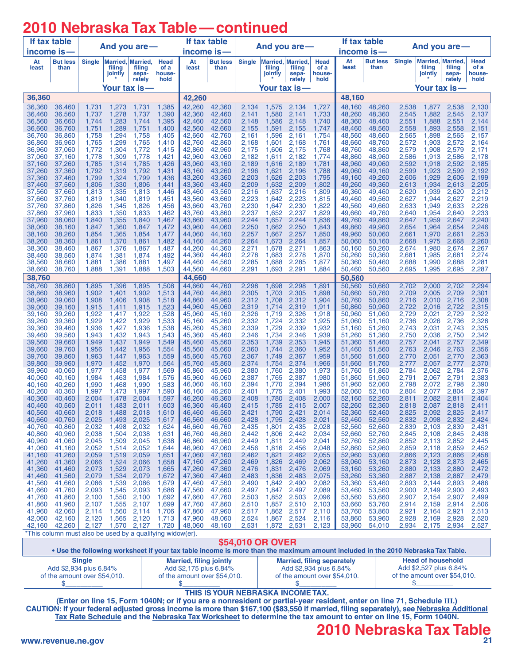# **2010 Nebraska Tax Table—continued**

| If tax table                                                                                                                                        |                                                           |                |                                       |                      |                        | If tax table     |                         |                |                                        |                        |                        | If tax table     |                         |                |                                        |                 |                        |
|-----------------------------------------------------------------------------------------------------------------------------------------------------|-----------------------------------------------------------|----------------|---------------------------------------|----------------------|------------------------|------------------|-------------------------|----------------|----------------------------------------|------------------------|------------------------|------------------|-------------------------|----------------|----------------------------------------|-----------------|------------------------|
| $income$ is $-$                                                                                                                                     |                                                           | And you are-   |                                       |                      |                        | income is-       |                         | And you are-   |                                        |                        |                        | income is-       |                         | And you are-   |                                        |                 |                        |
| At<br>least                                                                                                                                         | But less<br>than                                          | <b>Single</b>  | Married, Married<br>filing<br>jointly | filing<br>sepa-      | Head<br>of a<br>house- | At<br>least      | <b>But less</b><br>than | <b>Single</b>  | Married, Married,<br>filing<br>jointly | filing<br>sepa-        | Head<br>of a<br>house- | At<br>least      | <b>But less</b><br>than | <b>Single</b>  | Married, Married,<br>filing<br>jointly | filing<br>sepa- | Head<br>of a<br>house- |
|                                                                                                                                                     |                                                           |                |                                       | rately               | hold                   |                  |                         |                |                                        | rately                 | hold                   |                  |                         |                |                                        | rately          | hold                   |
| Your tax is—<br>36,360                                                                                                                              |                                                           |                |                                       | 42,260               | Your tax is—           |                  |                         |                |                                        | Your tax is-<br>48,160 |                        |                  |                         |                |                                        |                 |                        |
| 36,360                                                                                                                                              | 36,460                                                    | 1,731          | 1,273                                 | 1,731                | 1,385                  | 42,260           | 42,360                  | 2,134          | 1,575                                  | 2,134                  | 1,727                  | 48,160           | 48,260                  | 2,538          | 1,877                                  | 2,538           | 2,130                  |
| 36,460                                                                                                                                              | 36,560                                                    | 1,737          | 1,278                                 | 1,737                | 1,390                  | 42,360           | 42,460                  | 2,141          | 1,580                                  | 2,141                  | 1,733                  | 48,260           | 48,360                  | 2,545          | 1,882                                  | 2,545           | 2,137                  |
| 36,560<br>36,660                                                                                                                                    | 36,660<br>36,760                                          | 1,744<br>1,751 | 1,283<br>1,289                        | 1,744<br>1,751       | 1,395<br>1,400         | 42,460<br>42,560 | 42,560<br>42,660        | 2,148<br>2,155 | 1,586<br>1,591                         | 2,148<br>2.155         | 1,740<br>1,747         | 48,360<br>48,460 | 48,460<br>48,560        | 2,551<br>2,558 | 1,888<br>1,893                         | 2,551<br>2,558  | 2,144<br>2,151         |
| 36,760                                                                                                                                              | 36,860                                                    | 1,758          | 1,294                                 | 1,758                | 1,405                  | 42,660           | 42,760                  | 2,161          | 1,596                                  | 2,161                  | 1,754                  | 48,560           | 48,660                  | 2,565          | 1,898                                  | 2,565           | 2,157                  |
| 36,860<br>36,960                                                                                                                                    | 36,960<br>37,060                                          | 1,765<br>1,772 | 1,299<br>1,304                        | 1,765<br>1,772       | 1,410<br>1,415         | 42,760<br>42,860 | 42,860<br>42,960        | 2,168<br>2,175 | 1,601<br>1,606                         | 2,168<br>2,175         | 1,761<br>1,768         | 48,660<br>48,760 | 48,760<br>48,860        | 2,572<br>2,579 | 1,903<br>1,908                         | 2,572<br>2,579  | 2,164<br>2,171         |
| 37.060                                                                                                                                              | 37,160                                                    | 1,778          | 1,309                                 | 1,778                | 1,421                  | 42,960           | 43,060                  | 2.182          | 1.611                                  | 2,182                  | 1.774                  | 48,860           | 48,960                  | 2,586          | 1,913                                  | 2,586           | 2,178                  |
| 37,160<br>37,260                                                                                                                                    | 37,260<br>37,360                                          | 1,785<br>1,792 | 1,314<br>1,319                        | 1,785<br>1,792       | 1,426<br>1,431         | 43,060<br>43,160 | 43,160<br>43,260        | 2,189<br>2,196 | 1,616<br>1,621                         | 2,189<br>2,196         | 1,781<br>1,788         | 48,960<br>49,060 | 49,060<br>49,160        | 2,592<br>2,599 | 1,918<br>1,923                         | 2,592<br>2,599  | 2,185<br>2,192         |
| 37,360                                                                                                                                              | 37,460                                                    | 1,799          | 1,324                                 | 1,799                | 1,436                  | 43,260           | 43,360                  | 2,203          | 1,626                                  | 2,203                  | 1,795                  | 49,160           | 49,260                  | 2,606          | 1,929                                  | 2,606           | 2,199                  |
| 37,460                                                                                                                                              | 37,560                                                    | 1,806          | 1,330                                 | 1,806                | 1,441                  | 43,360           | 43,460                  | 2,209          | 1,632                                  | 2,209                  | 1,802                  | 49,260           | 49,360                  | 2,613          | 1,934                                  | 2,613           | 2,205                  |
| 37,560<br>37,660                                                                                                                                    | 37,660<br>37,760                                          | 1,813<br>1,819 | 1,335<br>1,340                        | 1,813<br>1,819       | 1,446<br>1,451         | 43,460<br>43,560 | 43,560<br>43,660        | 2,216<br>2,223 | 1,637<br>1,642                         | 2,216<br>2,223         | 1,809<br>1,815         | 49,360<br>49,460 | 49,460<br>49,560        | 2,620<br>2,627 | 1,939<br>1,944                         | 2,620<br>2,627  | 2,212<br>2,219         |
| 37,760                                                                                                                                              | 37,860                                                    | 1,826          | 1,345                                 | 1,826                | 1,456                  | 43,660           | 43,760                  | 2,230          | 1,647                                  | 2,230                  | 1,822                  | 49,560           | 49,660                  | 2,633          | 1,949                                  | 2,633           | 2,226                  |
| 37,860<br>37,960                                                                                                                                    | 37,960<br>38,060                                          | 1,833<br>1,840 | 1,350<br>1,355                        | 1,833<br>1,840       | 1,462<br>1,467         | 43,760<br>43,860 | 43,860<br>43,960        | 2,237<br>2,244 | 1,652<br>1,657                         | 2,237<br>2,244         | 1,829<br>1,836         | 49,660<br>49,760 | 49,760<br>49,860        | 2,640<br>2,647 | 1,954<br>1,959                         | 2,640<br>2,647  | 2,233<br>2,240         |
| 38,060                                                                                                                                              | 38,160                                                    | 1,847          | 1,360                                 | 1,847                | 1,472                  | 43,960           | 44,060                  | 2,250          | 1,662                                  | 2,250                  | 1,843                  | 49,860           | 49,960                  | 2,654          | 1,964                                  | 2,654           | 2,246                  |
| 38,160                                                                                                                                              | 38,260                                                    | 1,854          | 1,365                                 | 1,854                | 1,477                  | 44,060           | 44,160                  | 2,257          | 1,667                                  | 2,257                  | 1,850                  | 49,960           | 50,060                  | 2,661          | 1,970                                  | 2,661           | 2,253                  |
| 38,260<br>38,360                                                                                                                                    | 38,360<br>38,460                                          | 1,861<br>1,867 | 1,370<br>1,376                        | 1,861<br>1,867       | 1,482<br>1,487         | 44,160<br>44,260 | 44,260<br>44,360        | 2,264<br>2,271 | 1,673<br>1,678                         | 2,264<br>2,271         | 1,857<br>1,863         | 50,060<br>50,160 | 50,160<br>50,260        | 2,668<br>2,674 | 1,975<br>1,980                         | 2,668<br>2,674  | 2,260<br>2,267         |
| 38,460                                                                                                                                              | 38,560                                                    | 1,874          | 1,381                                 | 1,874                | 1,492                  | 44,360           | 44,460                  | 2,278          | 1,683                                  | 2,278                  | 1,870                  | 50,260           | 50,360                  | 2,681          | 1,985                                  | 2,681           | 2,274                  |
| 38.560<br>38,660                                                                                                                                    | 38,660<br>38,760                                          | 1,881<br>1,888 | 1,386<br>1,391                        | 1,881<br>1,888       | 1,497<br>1,503         | 44,460<br>44,560 | 44,560<br>44,660        | 2,285<br>2,291 | 1,688<br>1,693                         | 2,285<br>2,291         | 1,877<br>1,884         | 50,360<br>50,460 | 50,460<br>50,560        | 2,688<br>2,695 | 1,990<br>1,995                         | 2,688<br>2,695  | 2,281<br>2,287         |
| 38,760                                                                                                                                              |                                                           |                |                                       |                      |                        | 44,660           |                         |                |                                        |                        |                        | 50,560           |                         |                |                                        |                 |                        |
| 38,760                                                                                                                                              | 38,860                                                    | 1,895          | 1,396                                 | 1,895                | 1,508                  | 44,660           | 44,760                  | 2,298          | 1,698                                  | 2,298                  | 1,891                  | 50,560           | 50,660                  | 2,702          | 2,000                                  | 2,702           | 2,294                  |
| 38,860<br>38,960                                                                                                                                    | 38,960<br>39,060                                          | 1,902<br>1,908 | 1,401<br>1,406                        | 1,902<br>1,908       | 1,513<br>1,518         | 44,760<br>44,860 | 44,860<br>44,960        | 2,305<br>2,312 | 1,703<br>1,708                         | 2,305<br>2,312         | 1,898<br>1,904         | 50,660<br>50.760 | 50,760<br>50,860        | 2,709<br>2,716 | 2,005<br>2,010                         | 2,709<br>2,716  | 2,301<br>2,308         |
| 39,060                                                                                                                                              | 39,160                                                    | 1,915          | 1,411                                 | 1,915                | 1,523                  | 44,960           | 45,060                  | 2,319          | 1,714                                  | 2,319                  | 1,911                  | 50,860           | 50,960                  | 2,722          | 2,016                                  | 2,722           | 2,315                  |
| 39,160<br>39,260                                                                                                                                    | 39,260<br>39,360                                          | 1,922<br>1,929 | 1,417<br>1,422                        | 1,922<br>1,929       | 1,528<br>1,533         | 45,060<br>45,160 | 45,160<br>45,260        | 2,326<br>2,332 | 1,719<br>1,724                         | 2,326<br>2,332         | 1,918<br>1,925         | 50,960<br>51,060 | 51,060<br>51,160        | 2,729<br>2,736 | 2,021<br>2,026                         | 2,729<br>2,736  | 2,322<br>2,328         |
| 39,360                                                                                                                                              | 39,460                                                    | 1,936          | 1,427                                 | 1,936                | 1,538                  | 45,260           | 45,360                  | 2,339          | 1,729                                  | 2,339                  | 1,932                  | 51,160           | 51,260                  | 2,743          | 2,031                                  | 2,743           | 2,335                  |
| 39,460                                                                                                                                              | 39,560                                                    | 1,943          | 1,432                                 | 1,943                | 1,543                  | 45,360           | 45,460                  | 2,346          | 1,734                                  | 2,346                  | 1,939                  | 51,260           | 51,360                  | 2,750          | 2,036                                  | 2,750           | 2,342                  |
| 39,560<br>39,660                                                                                                                                    | 39,660<br>39,760                                          | 1,949<br>1,956 | 1,437<br>1,442                        | 1,949<br>1,956       | 1,549<br>1,554         | 45,460<br>45,560 | 45,560<br>45,660        | 2,353<br>2,360 | 1,739<br>1,744                         | 2,353<br>2,360         | 1,945<br>1,952         | 51,360<br>51,460 | 51,460<br>51,560        | 2,757<br>2,763 | 2,041<br>2,046                         | 2,757<br>2,763  | 2,349<br>2,356         |
| 39,760                                                                                                                                              | 39,860                                                    | 1,963          | 1,447                                 | 1,963                | 1,559                  | 45,660           | 45,760                  | 2,367          | 1,749                                  | 2,367                  | 1,959                  | 51,560           | 51,660                  | 2,770          | 2,051                                  | 2,770           | 2,363                  |
| 39,860<br>39,960                                                                                                                                    | 39,960<br>40,060                                          | 1,970<br>1,977 | 1,452<br>1,458                        | 1,970<br>1,977       | 1,564<br>1,569         | 45,760<br>45,860 | 45,860<br>45,960        | 2,374<br>2,380 | 1,754<br>1,760                         | 2,374<br>2,380         | 1,966<br>1,973         | 51,660<br>51,760 | 51,760<br>51,860        | 2,777<br>2,784 | 2,057<br>2,062                         | 2,777<br>2,784  | 2,370<br>2,376         |
| 40,060                                                                                                                                              | 40,160                                                    | 1,984          | 1,463                                 | 1,984                | 1,576                  | 45,960           | 46,060                  | 2,387          | 1,765                                  | 2,387                  | 1,980                  | 51,860           | 51,960                  | 2,791          | 2,067                                  | 2,791           | 2,383                  |
| 40,160<br>40,260                                                                                                                                    | 40,260<br>40,360                                          | 1,990<br>1,997 | 1,468<br>1,473                        | 1,990<br>1,997       | 1,583<br>1,590         | 46,060<br>46.160 | 46,160<br>46,260        | 2,394<br>2,401 | 1,770<br>1,775                         | 2,394<br>2,401         | 1,986<br>1,993         | 51,960<br>52,060 | 52,060<br>52,160        | 2,798<br>2,804 | 2,072<br>2,077                         | 2,798<br>2,804  | 2,390<br>2,397         |
| 40,360                                                                                                                                              | 40,460                                                    | 2,004          | 1,478                                 | 2,004                | 1,597                  | 46,260           | 46,360                  | 2,408          | 1,780                                  | 2,408                  | 2,000                  | 52,160           | 52,260                  | 2,811          | 2.082                                  | 2,811           | 2,404                  |
| 40.460                                                                                                                                              | 40,560                                                    | 2,011          | 1,483                                 | 2,011                | 1,603                  | 46,360           | 46,460                  | 2,415          | 1,785                                  | 2,415                  | 2,007                  | 52,260           | 52,360                  | 2,818          | 2,087                                  | 2,818           | 2,411                  |
| 40,560<br>40,660                                                                                                                                    | 40,660<br>40,760                                          | 2,018<br>2,025 | 1,488<br>1,493                        | 2,018<br>2,025       | 1,610<br>1,617         | 46,460<br>46,560 | 46,560<br>46,660        | 2,421<br>2,428 | 1,790<br>1,795                         | 2,421<br>2,428         | 2,014<br>2,021         | 52,360<br>52,460 | 52,460<br>52,560        | 2,825<br>2,832 | 2,092<br>2,098                         | 2,825<br>2,832  | 2,417<br>2,424         |
| 40,760                                                                                                                                              | 40,860                                                    | 2,032          | 1,498                                 | 2,032                | 1,624                  | 46,660           | 46,760                  | 2,435          | 1,801                                  | 2,435                  | 2,028                  | 52,560           | 52,660                  | 2,839          | 2,103                                  | 2,839           | 2,431                  |
| 40,860<br>40,960                                                                                                                                    | 40,960<br>41,060                                          | 2,038<br>2,045 | 1,504<br>1,509                        | 2,038<br>2,045       | 1,631<br>1,638         | 46,760<br>46,860 | 46,860<br>46,960        | 2,442<br>2,449 | 1,806<br>1,811                         | 2,442<br>2,449         | 2,034<br>2,041         | 52,660<br>52.760 | 52,760<br>52,860        | 2,845<br>2,852 | 2,108<br>2,113                         | 2,845<br>2,852  | 2,438<br>2,445         |
| 41,060                                                                                                                                              | 41,160                                                    | 2,052          | 1,514                                 | 2,052                | 1,644                  | 46,960           | 47,060                  | 2,456          | 1,816                                  | 2,456                  | 2,048                  | 52,860           | 52,960                  | 2,859          | 2,118                                  | 2,859           | 2,452                  |
| 41,160<br>41,260                                                                                                                                    | 41,260<br>41,360                                          | 2,059<br>2,066 | 1,519<br>1,524                        | 2,059<br>2,066       | 1,651<br>1.658         | 47,060           | 47,160<br>47,260        | 2,462<br>2,469 | 1,821<br>1,826                         | 2,462<br>2,469         | 2,055<br>2,062         | 52,960<br>53,060 | 53,060<br>53,160        | 2,866<br>2,873 | 2,123<br>2,128                         | 2,866<br>2,873  | 2,458<br>2,465         |
| 41,360                                                                                                                                              | 41,460                                                    | 2,073          | 1,529                                 | 2,073                | 1,665                  | 47,160<br>47,260 | 47,360                  | 2,476          | 1,831                                  | 2,476                  | 2,069                  | 53,160           | 53,260                  | 2,880          | 2,133                                  | 2,880           | 2,472                  |
| 41,460                                                                                                                                              | 41,560                                                    | 2,079          | 1,534                                 | 2,079                | 1,672                  | 47,360           | 47,460                  | 2,483          | 1,836                                  | 2,483                  | 2,075                  | 53,260           | 53,360                  | 2,887          | 2,138                                  | 2,887           | 2,479                  |
| 41,560<br>41,660                                                                                                                                    | 41,660<br>41,760                                          | 2,086<br>2,093 | 1,539<br>1,545                        | 2,086<br>2,093       | 1,679<br>1,686         | 47,460<br>47,560 | 47,560<br>47,660        | 2,490<br>2,497 | 1,842<br>1,847                         | 2,490<br>2,497         | 2,082<br>2,089         | 53,360<br>53,460 | 53,460<br>53,560        | 2,893<br>2,900 | 2,144<br>2,149                         | 2,893<br>2,900  | 2,486<br>2,493         |
| 41,760                                                                                                                                              | 41,860                                                    | 2,100          | 1,550                                 | 2,100                | 1,692                  | 47,660           | 47,760                  | 2,503          | 1,852                                  | 2,503                  | 2,096                  | 53,560           | 53,660                  | 2,907          | 2,154                                  | 2,907           | 2,499                  |
| 41,860<br>41,960                                                                                                                                    | 41,960<br>42,060                                          | 2,107<br>2,114 | 1,560                                 | 1,555 2,107<br>2,114 | 1,699<br>1,706         | 47,760<br>47,860 | 47,860<br>47,960        | 2,510<br>2,517 | 1,857<br>1,862                         | 2,510<br>2,517         | 2,103<br>2,110         | 53,660<br>53,760 | 53,760<br>53,860        | 2,914<br>2,921 | 2,159<br>2,164                         | 2,914<br>2,921  | 2,506<br>2,513         |
| 42,060                                                                                                                                              | 42,160                                                    | 2,120          |                                       | 1,565 2,120          | 1,713                  | 47,960           | 48,060                  | 2,524          | 1,867                                  | 2,524                  | 2,116                  | 53,860           | 53,960                  | 2,928          | 2,169                                  | 2,928           | 2,520                  |
| 42,160                                                                                                                                              | 42,260                                                    | 2,127          |                                       | 1,570 2,127          | $1,720$                | 48,060           | 48,160                  | 2,531          | 1,872                                  | 2,531                  | 2,123                  | 53,960           | 54,010                  | 2,934          | 2,175                                  | 2,934           | 2,527                  |
|                                                                                                                                                     | *This column must also be used by a qualifying widow(er). |                |                                       |                      |                        |                  |                         |                |                                        |                        |                        |                  |                         |                |                                        |                 |                        |
| \$54,010 OR OVER<br>e Llee the following workeheet if your tay table income is more than the mayimum amount included in the 2010 Nebraska Tay Table |                                                           |                |                                       |                      |                        |                  |                         |                |                                        |                        |                        |                  |                         |                |                                        |                 |                        |

. Use the following worksheet if your tax table income is more than the maximum amount included in the 2010 Nebraska Tax Table. **Married, filing jointly**

**Single** Add \$2,934 plus 6.84% of the amount over \$54,010.  $\mathsf{\$}$ 

**Married, filing separately** Add \$2,934 plus 6.84% of the amount over \$54,010.  $$$ 

**Head of household** Add \$2,527 plus 6.84% of the amount over \$54,010.  $$$ 

#### **THIS IS YOUR NEBRASKA INCOME TAX.**

Add \$2,175 plus 6.84% of the amount over \$54,010.

 $$$ 

**(Enter on line 15, Form 1040N; or if you are a nonresident or partial-year resident, enter on line 71, Schedule III.) CAUTION: If your federal adjusted gross income is more than \$167,100 (\$83,550 if married, filing separately), see [Nebraska Additional](#page-25-0) [Tax Rate Schedule](#page-25-0) and the [Nebraska Tax Worksheet](#page-25-0) to determine the tax amount to enter on line 15, Form 1040N.**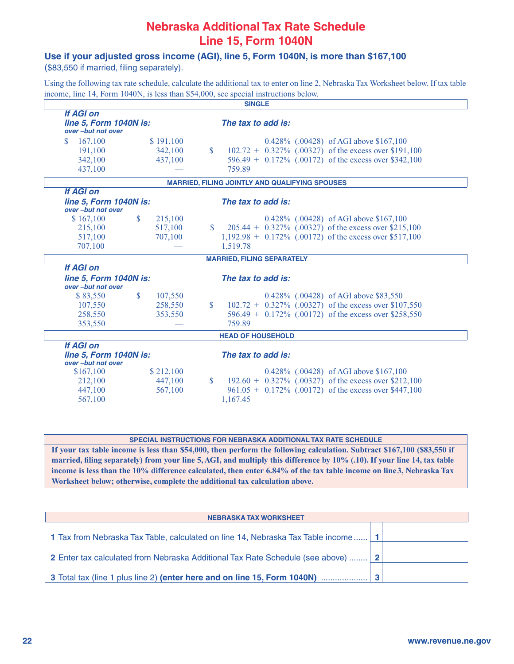### **Nebraska Additional Tax Rate Schedule Line 15, Form 1040N**

#### <span id="page-25-0"></span>**Use if your adjusted gross income (AGI), line 5, Form 1040N, is more than \$167,100**

(\$83,550 if married, filing separately).

Using the following tax rate schedule, calculate the additional tax to enter on line 2, Nebraska Tax Worksheet below. If tax table income, line 14, Form 1040N, is less than \$54,000, see special instructions below.

| <b>SINGLE</b>                                                   |               |           |              |                                                            |  |  |  |  |  |
|-----------------------------------------------------------------|---------------|-----------|--------------|------------------------------------------------------------|--|--|--|--|--|
| <b>If AGI on</b><br>line 5, Form 1040N is:<br>over-but not over |               |           |              | The tax to add is:                                         |  |  |  |  |  |
| $\mathbf{\$}$<br>167,100                                        |               | \$191,100 |              | 0.428% (.00428) of AGI above \$167,100                     |  |  |  |  |  |
| 191,100                                                         |               | 342,100   | S            | $102.72 + 0.327\%$ (.00327) of the excess over \$191,100   |  |  |  |  |  |
| 342,100                                                         |               | 437,100   |              | 596.49 + 0.172% (.00172) of the excess over \$342,100      |  |  |  |  |  |
| 437,100                                                         |               |           |              | 759.89                                                     |  |  |  |  |  |
|                                                                 |               |           |              | <b>MARRIED, FILING JOINTLY AND QUALIFYING SPOUSES</b>      |  |  |  |  |  |
| <b>If AGI on</b>                                                |               |           |              |                                                            |  |  |  |  |  |
| line 5, Form 1040N is:<br>over-but not over                     |               |           |              | The tax to add is:                                         |  |  |  |  |  |
| \$167,100                                                       | $\mathbb{S}$  | 215,100   |              | 0.428% (.00428) of AGI above \$167,100                     |  |  |  |  |  |
| 215,100                                                         |               | 517,100   | $\mathbf{s}$ | 205.44 + 0.327% (.00327) of the excess over \$215,100      |  |  |  |  |  |
| 517,100                                                         |               | 707,100   |              | $1,192.98 + 0.172\%$ (.00172) of the excess over \$517,100 |  |  |  |  |  |
| 707,100                                                         |               |           |              | 1,519.78                                                   |  |  |  |  |  |
|                                                                 |               |           |              | <b>MARRIED, FILING SEPARATELY</b>                          |  |  |  |  |  |
| <b>If AGI on</b>                                                |               |           |              |                                                            |  |  |  |  |  |
| line 5, Form 1040N is:<br>over-but not over                     |               |           |              | The tax to add is:                                         |  |  |  |  |  |
| \$83,550                                                        | $\mathsf{\$}$ | 107,550   |              | 0.428% (.00428) of AGI above \$83,550                      |  |  |  |  |  |
| 107,550                                                         |               | 258,550   | $\mathbb{S}$ | $102.72 + 0.327\%$ (.00327) of the excess over \$107,550   |  |  |  |  |  |
| 258,550                                                         |               | 353,550   |              | 596.49 + 0.172% (.00172) of the excess over \$258,550      |  |  |  |  |  |
| 353,550                                                         |               |           |              | 759.89                                                     |  |  |  |  |  |
|                                                                 |               |           |              | <b>HEAD OF HOUSEHOLD</b>                                   |  |  |  |  |  |
| <b>If AGI on</b>                                                |               |           |              |                                                            |  |  |  |  |  |
| line 5, Form 1040N is:<br>over-but not over                     |               |           |              | The tax to add is:                                         |  |  |  |  |  |
| \$167,100                                                       |               | \$212,100 |              | 0.428% (.00428) of AGI above \$167,100                     |  |  |  |  |  |
| 212,100                                                         |               | 447,100   | $\mathbb{S}$ | $192.60 + 0.327\%$ (.00327) of the excess over \$212,100   |  |  |  |  |  |
| 447,100                                                         |               | 567,100   |              | $961.05 + 0.172\%$ (.00172) of the excess over \$447,100   |  |  |  |  |  |
| 567,100                                                         |               |           |              | 1,167.45                                                   |  |  |  |  |  |

**SPECIAL INSTRUCTIONS FOR NEBRASKA ADDITIONAL TAX RATE SCHEDULE**

**If your tax table income is less than \$54,000, then perform the following calculation. Subtract \$167,100 (\$83,550 if married, filing separately) from your line 5, AGI, and multiply this difference by 10% (.10). If your line 14, tax table income is less than the 10% difference calculated, then enter 6.84% of the tax table income on line3, Nebraska Tax Worksheet below; otherwise, complete the additional tax calculation above.**

| <b>NEBRASKA TAX WORKSHEET</b>                                                      |  |
|------------------------------------------------------------------------------------|--|
| 1 Tax from Nebraska Tax Table, calculated on line 14, Nebraska Tax Table income 1  |  |
| 2 Enter tax calculated from Nebraska Additional Tax Rate Schedule (see above)    2 |  |
| 3 Total tax (line 1 plus line 2) (enter here and on line 15, Form 1040N)           |  |